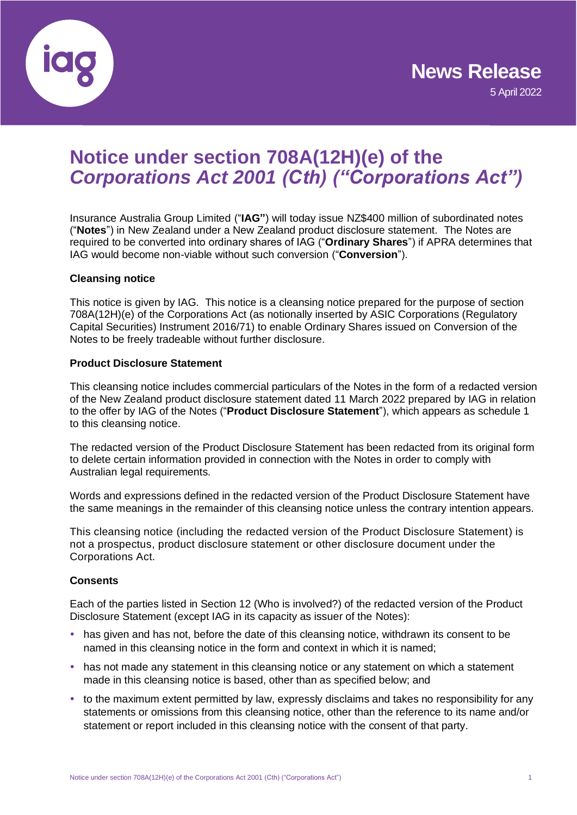

### **Notice under section 708A(12H)(e) of the**  *Corporations Act 2001 (Cth) ("Corporations Act")*

Insurance Australia Group Limited ("**IAG"**) will today issue NZ\$400 million of subordinated notes ("**Notes**") in New Zealand under a New Zealand product disclosure statement. The Notes are required to be converted into ordinary shares of IAG ("**Ordinary Shares**") if APRA determines that IAG would become non-viable without such conversion ("**Conversion**").

### **Cleansing notice**

This notice is given by IAG. This notice is a cleansing notice prepared for the purpose of section 708A(12H)(e) of the Corporations Act (as notionally inserted by ASIC Corporations (Regulatory Capital Securities) Instrument 2016/71) to enable Ordinary Shares issued on Conversion of the Notes to be freely tradeable without further disclosure.

### **Product Disclosure Statement**

This cleansing notice includes commercial particulars of the Notes in the form of a redacted version of the New Zealand product disclosure statement dated 11 March 2022 prepared by IAG in relation to the offer by IAG of the Notes ("**Product Disclosure Statement**"), which appears as schedule 1 to this cleansing notice.

The redacted version of the Product Disclosure Statement has been redacted from its original form to delete certain information provided in connection with the Notes in order to comply with Australian legal requirements.

Words and expressions defined in the redacted version of the Product Disclosure Statement have the same meanings in the remainder of this cleansing notice unless the contrary intention appears.

This cleansing notice (including the redacted version of the Product Disclosure Statement) is not a prospectus, product disclosure statement or other disclosure document under the Corporations Act.

### **Consents**

Each of the parties listed in Section 12 (Who is involved?) of the redacted version of the Product Disclosure Statement (except IAG in its capacity as issuer of the Notes):

- has given and has not, before the date of this cleansing notice, withdrawn its consent to be named in this cleansing notice in the form and context in which it is named;
- has not made any statement in this cleansing notice or any statement on which a statement made in this cleansing notice is based, other than as specified below; and
- to the maximum extent permitted by law, expressly disclaims and takes no responsibility for any statements or omissions from this cleansing notice, other than the reference to its name and/or statement or report included in this cleansing notice with the consent of that party.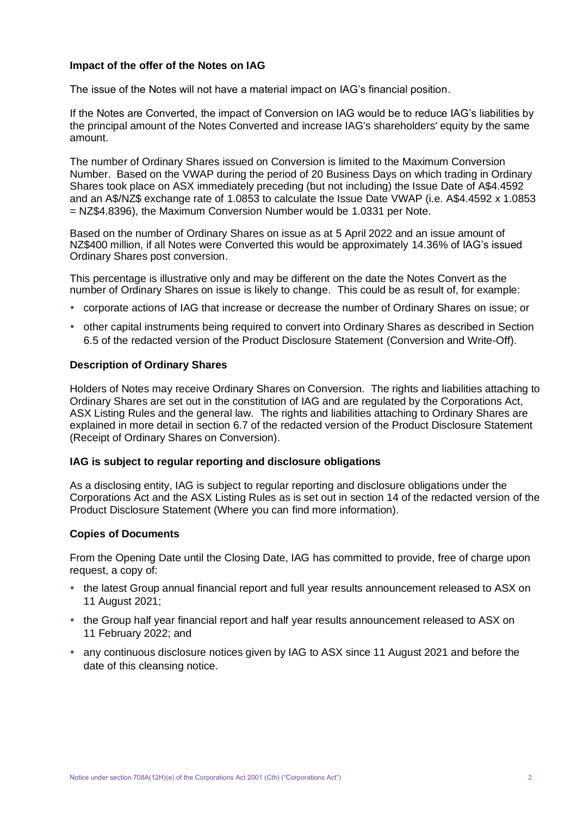### **Impact of the offer of the Notes on IAG**

The issue of the Notes will not have a material impact on IAG's financial position.

If the Notes are Converted, the impact of Conversion on IAG would be to reduce IAG's liabilities by the principal amount of the Notes Converted and increase IAG's shareholders' equity by the same amount.

The number of Ordinary Shares issued on Conversion is limited to the Maximum Conversion Number. Based on the VWAP during the period of 20 Business Days on which trading in Ordinary Shares took place on ASX immediately preceding (but not including) the Issue Date of A\$4.4592 and an A\$/NZ\$ exchange rate of 1.0853 to calculate the Issue Date VWAP (i.e. A\$4.4592 x 1.0853 = NZ\$4.8396), the Maximum Conversion Number would be 1.0331 per Note.

Based on the number of Ordinary Shares on issue as at 5 April 2022 and an issue amount of NZ\$400 million, if all Notes were Converted this would be approximately 14.36% of IAG's issued Ordinary Shares post conversion.

This percentage is illustrative only and may be different on the date the Notes Convert as the number of Ordinary Shares on issue is likely to change. This could be as result of, for example:

- corporate actions of IAG that increase or decrease the number of Ordinary Shares on issue; or
- other capital instruments being required to convert into Ordinary Shares as described in Section 6.5 of the redacted version of the Product Disclosure Statement (Conversion and Write-Off).

### **Description of Ordinary Shares**

Holders of Notes may receive Ordinary Shares on Conversion. The rights and liabilities attaching to Ordinary Shares are set out in the constitution of IAG and are regulated by the Corporations Act, ASX Listing Rules and the general law. The rights and liabilities attaching to Ordinary Shares are explained in more detail in section 6.7 of the redacted version of the Product Disclosure Statement (Receipt of Ordinary Shares on Conversion).

### **IAG is subject to regular reporting and disclosure obligations**

As a disclosing entity, IAG is subject to regular reporting and disclosure obligations under the Corporations Act and the ASX Listing Rules as is set out in section 14 of the redacted version of the Product Disclosure Statement (Where you can find more information).

### **Copies of Documents**

From the Opening Date until the Closing Date, IAG has committed to provide, free of charge upon request, a copy of:

- the latest Group annual financial report and full year results announcement released to ASX on 11 August 2021;
- the Group half year financial report and half year results announcement released to ASX on 11 February 2022; and
- any continuous disclosure notices given by IAG to ASX since 11 August 2021 and before the date of this cleansing notice.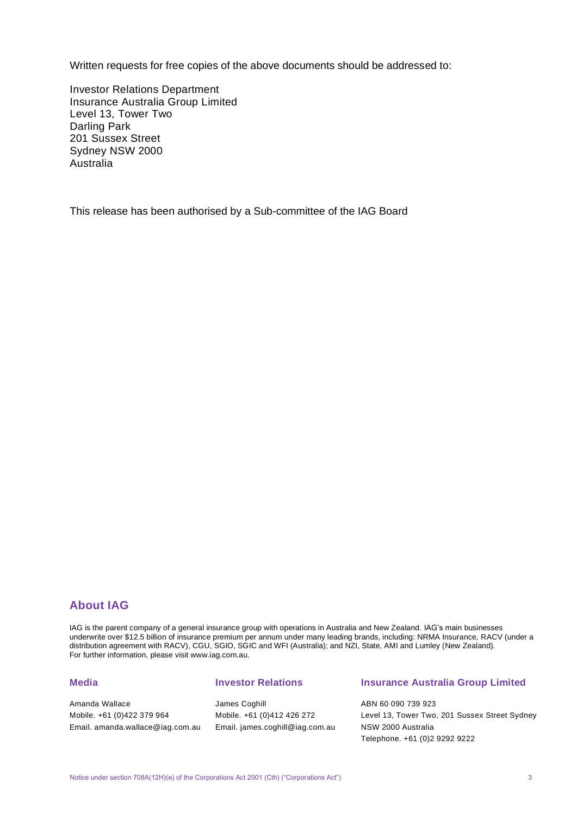Written requests for free copies of the above documents should be addressed to:

Investor Relations Department Insurance Australia Group Limited Level 13, Tower Two Darling Park 201 Sussex Street Sydney NSW 2000 Australia

This release has been authorised by a Sub-committee of the IAG Board

### **About IAG**

IAG is the parent company of a general insurance group with operations in Australia and New Zealand. IAG's main businesses underwrite over \$12.5 billion of insurance premium per annum under many leading brands, including: NRMA Insurance, RACV (under a distribution agreement with RACV), CGU, SGIO, SGIC and WFI (Australia); and NZI, State, AMI and Lumley (New Zealand). For further information, please visit www.iag.com.au.

### **Media**

Amanda Wallace Mobile. +61 (0)422 379 964 Email. amanda.wallace@iag.com.au

### **Investor Relations**

James Coghill Mobile. +61 (0)412 426 272 Email. james.coghill@iag.com.au

### **Insurance Australia Group Limited**

ABN 60 090 739 923 Level 13, Tower Two, 201 Sussex Street Sydney NSW 2000 Australia Telephone. +61 (0)2 9292 9222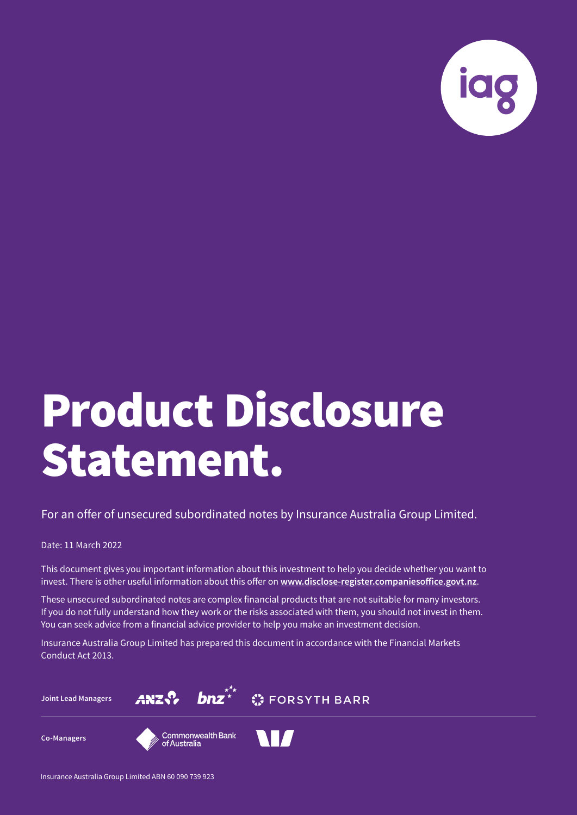

### Product Disclosure Statement.

For an offer of unsecured subordinated notes by Insurance Australia Group Limited.

### Date: 11 March 2022

This document gives you important information about this investment to help you decide whether you want to invest. There is other useful information about this offer on **www.disclose-register.companiesoffice.govt.nz**.

These unsecured subordinated notes are complex financial products that are not suitable for many investors. If you do not fully understand how they work or the risks associated with them, you should not invest in them. You can seek advice from a financial advice provider to help you make an investment decision.

Insurance Australia Group Limited has prepared this document in accordance with the Financial Markets Conduct Act 2013.

**Joint Lead Managers**





**Co-Managers**



Insurance Australia Group Limited ABN 60 090 739 923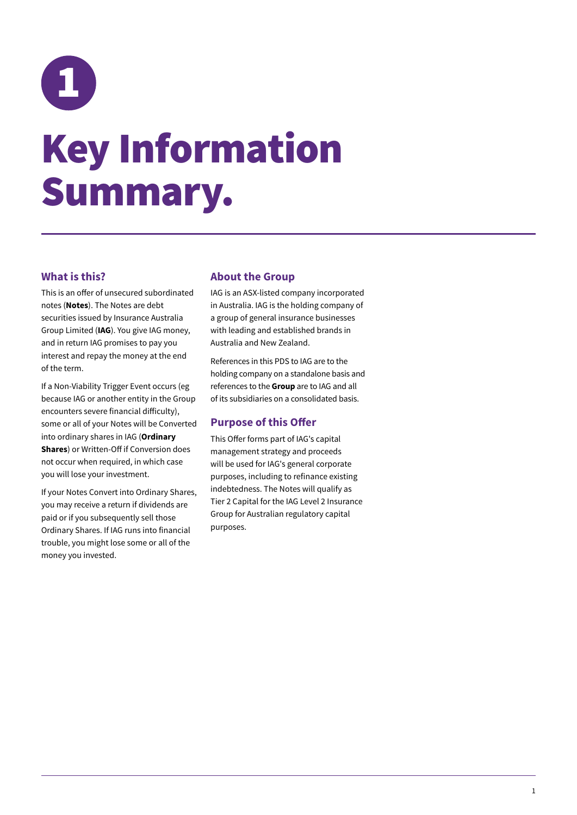<span id="page-4-0"></span>

### Key Information Summary.

### **What is this?**

This is an offer of unsecured subordinated notes (**Notes**). The Notes are debt securities issued by Insurance Australia Group Limited (**IAG**). You give IAG money, and in return IAG promises to pay you interest and repay the money at the end of the term.

If a Non-Viability Trigger Event occurs (eg because IAG or another entity in the Group encounters severe financial difficulty), some or all of your Notes will be Converted into ordinary shares in IAG (**Ordinary Shares**) or Written-Off if Conversion does not occur when required, in which case you will lose your investment.

If your Notes Convert into Ordinary Shares, you may receive a return if dividends are paid or if you subsequently sell those Ordinary Shares. If IAG runs into financial trouble, you might lose some or all of the money you invested.

### **About the Group**

IAG is an ASX-listed company incorporated in Australia. IAG is the holding company of a group of general insurance businesses with leading and established brands in Australia and New Zealand.

References in this PDS to IAG are to the holding company on a standalone basis and references to the **Group** are to IAG and all of its subsidiaries on a consolidated basis.

### **Purpose of this Offer**

This Offer forms part of IAG's capital management strategy and proceeds will be used for IAG's general corporate purposes, including to refinance existing indebtedness. The Notes will qualify as Tier 2 Capital for the IAG Level 2 Insurance Group for Australian regulatory capital purposes.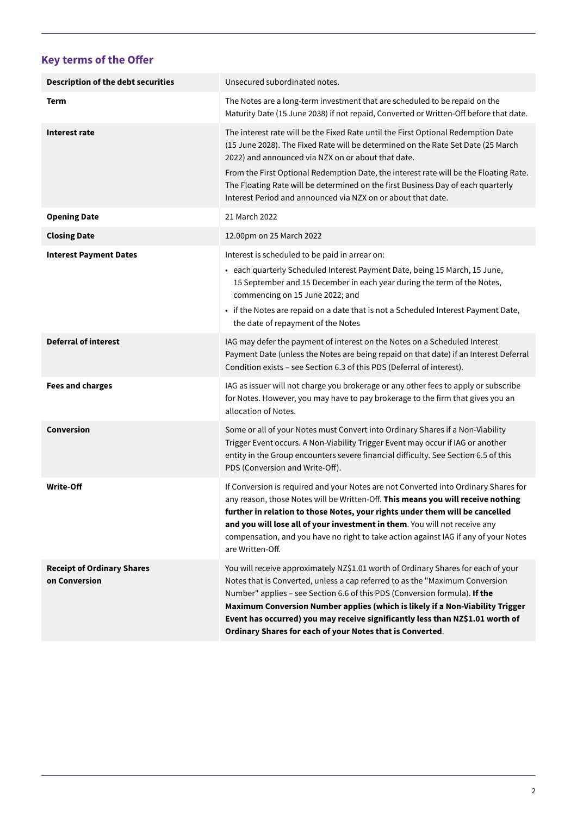### **Key terms of the Offer**

| <b>Description of the debt securities</b>          | Unsecured subordinated notes.                                                                                                                                                                                                                                                                                                                                                                                                                                                  |
|----------------------------------------------------|--------------------------------------------------------------------------------------------------------------------------------------------------------------------------------------------------------------------------------------------------------------------------------------------------------------------------------------------------------------------------------------------------------------------------------------------------------------------------------|
| Term                                               | The Notes are a long-term investment that are scheduled to be repaid on the<br>Maturity Date (15 June 2038) if not repaid, Converted or Written-Off before that date.                                                                                                                                                                                                                                                                                                          |
| Interest rate                                      | The interest rate will be the Fixed Rate until the First Optional Redemption Date<br>(15 June 2028). The Fixed Rate will be determined on the Rate Set Date (25 March<br>2022) and announced via NZX on or about that date.                                                                                                                                                                                                                                                    |
|                                                    | From the First Optional Redemption Date, the interest rate will be the Floating Rate.<br>The Floating Rate will be determined on the first Business Day of each quarterly<br>Interest Period and announced via NZX on or about that date.                                                                                                                                                                                                                                      |
| <b>Opening Date</b>                                | 21 March 2022                                                                                                                                                                                                                                                                                                                                                                                                                                                                  |
| <b>Closing Date</b>                                | 12.00pm on 25 March 2022                                                                                                                                                                                                                                                                                                                                                                                                                                                       |
| <b>Interest Payment Dates</b>                      | Interest is scheduled to be paid in arrear on:                                                                                                                                                                                                                                                                                                                                                                                                                                 |
|                                                    | • each quarterly Scheduled Interest Payment Date, being 15 March, 15 June,<br>15 September and 15 December in each year during the term of the Notes,<br>commencing on 15 June 2022; and                                                                                                                                                                                                                                                                                       |
|                                                    | • if the Notes are repaid on a date that is not a Scheduled Interest Payment Date,<br>the date of repayment of the Notes                                                                                                                                                                                                                                                                                                                                                       |
| <b>Deferral of interest</b>                        | IAG may defer the payment of interest on the Notes on a Scheduled Interest<br>Payment Date (unless the Notes are being repaid on that date) if an Interest Deferral<br>Condition exists - see Section 6.3 of this PDS (Deferral of interest).                                                                                                                                                                                                                                  |
| <b>Fees and charges</b>                            | IAG as issuer will not charge you brokerage or any other fees to apply or subscribe<br>for Notes. However, you may have to pay brokerage to the firm that gives you an<br>allocation of Notes.                                                                                                                                                                                                                                                                                 |
| <b>Conversion</b>                                  | Some or all of your Notes must Convert into Ordinary Shares if a Non-Viability<br>Trigger Event occurs. A Non-Viability Trigger Event may occur if IAG or another<br>entity in the Group encounters severe financial difficulty. See Section 6.5 of this<br>PDS (Conversion and Write-Off).                                                                                                                                                                                    |
| Write-Off                                          | If Conversion is required and your Notes are not Converted into Ordinary Shares for<br>any reason, those Notes will be Written-Off. This means you will receive nothing<br>further in relation to those Notes, your rights under them will be cancelled<br>and you will lose all of your investment in them. You will not receive any<br>compensation, and you have no right to take action against IAG if any of your Notes<br>are Written-Off.                               |
| <b>Receipt of Ordinary Shares</b><br>on Conversion | You will receive approximately NZ\$1.01 worth of Ordinary Shares for each of your<br>Notes that is Converted, unless a cap referred to as the "Maximum Conversion<br>Number" applies - see Section 6.6 of this PDS (Conversion formula). If the<br>Maximum Conversion Number applies (which is likely if a Non-Viability Trigger<br>Event has occurred) you may receive significantly less than NZ\$1.01 worth of<br>Ordinary Shares for each of your Notes that is Converted. |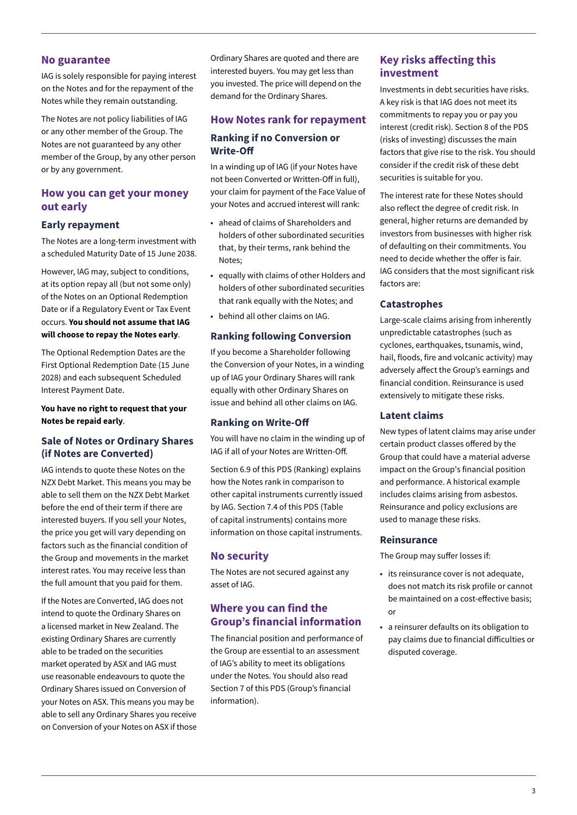### **No guarantee**

IAG is solely responsible for paying interest on the Notes and for the repayment of the Notes while they remain outstanding.

The Notes are not policy liabilities of IAG or any other member of the Group. The Notes are not guaranteed by any other member of the Group, by any other person or by any government.

### **How you can get your money out early**

#### **Early repayment**

The Notes are a long-term investment with a scheduled Maturity Date of 15 June 2038.

However, IAG may, subject to conditions, at its option repay all (but not some only) of the Notes on an Optional Redemption Date or if a Regulatory Event or Tax Event occurs. **You should not assume that IAG will choose to repay the Notes early**.

The Optional Redemption Dates are the First Optional Redemption Date (15 June 2028) and each subsequent Scheduled Interest Payment Date.

#### **You have no right to request that your Notes be repaid early**.

### **Sale of Notes or Ordinary Shares (if Notes are Converted)**

IAG intends to quote these Notes on the NZX Debt Market. This means you may be able to sell them on the NZX Debt Market before the end of their term if there are interested buyers. If you sell your Notes, the price you get will vary depending on factors such as the financial condition of the Group and movements in the market interest rates. You may receive less than the full amount that you paid for them.

If the Notes are Converted, IAG does not intend to quote the Ordinary Shares on a licensed market in New Zealand. The existing Ordinary Shares are currently able to be traded on the securities market operated by ASX and IAG must use reasonable endeavours to quote the Ordinary Shares issued on Conversion of your Notes on ASX. This means you may be able to sell any Ordinary Shares you receive on Conversion of your Notes on ASX if those

Ordinary Shares are quoted and there are interested buyers. You may get less than you invested. The price will depend on the demand for the Ordinary Shares.

### **How Notes rank for repayment Ranking if no Conversion or Write-Off**

In a winding up of IAG (if your Notes have not been Converted or Written-Off in full), your claim for payment of the Face Value of your Notes and accrued interest will rank:

- ahead of claims of Shareholders and holders of other subordinated securities that, by their terms, rank behind the Notes;
- equally with claims of other Holders and holders of other subordinated securities that rank equally with the Notes; and
- behind all other claims on IAG.

### **Ranking following Conversion**

If you become a Shareholder following the Conversion of your Notes, in a winding up of IAG your Ordinary Shares will rank equally with other Ordinary Shares on issue and behind all other claims on IAG.

### **Ranking on Write-Off**

You will have no claim in the winding up of IAG if all of your Notes are Written-Off.

Section 6.9 of this PDS (Ranking) explains how the Notes rank in comparison to other capital instruments currently issued by IAG. Section 7.4 of this PDS (Table of capital instruments) contains more information on those capital instruments.

### **No security**

The Notes are not secured against any asset of IAG.

### **Where you can find the Group's financial information**

The financial position and performance of the Group are essential to an assessment of IAG's ability to meet its obligations under the Notes. You should also read Section 7 of this PDS (Group's financial information).

### **Key risks affecting this investment**

Investments in debt securities have risks. A key risk is that IAG does not meet its commitments to repay you or pay you interest (credit risk). Section 8 of the PDS (risks of investing) discusses the main factors that give rise to the risk. You should consider if the credit risk of these debt securities is suitable for you.

The interest rate for these Notes should also reflect the degree of credit risk. In general, higher returns are demanded by investors from businesses with higher risk of defaulting on their commitments. You need to decide whether the offer is fair. IAG considers that the most significant risk factors are:

### **Catastrophes**

Large-scale claims arising from inherently unpredictable catastrophes (such as cyclones, earthquakes, tsunamis, wind, hail, floods, fire and volcanic activity) may adversely affect the Group's earnings and financial condition. Reinsurance is used extensively to mitigate these risks.

#### **Latent claims**

New types of latent claims may arise under certain product classes offered by the Group that could have a material adverse impact on the Group's financial position and performance. A historical example includes claims arising from asbestos. Reinsurance and policy exclusions are used to manage these risks.

#### **Reinsurance**

The Group may suffer losses if:

- its reinsurance cover is not adequate, does not match its risk profile or cannot be maintained on a cost-effective basis; or
- a reinsurer defaults on its obligation to pay claims due to financial difficulties or disputed coverage.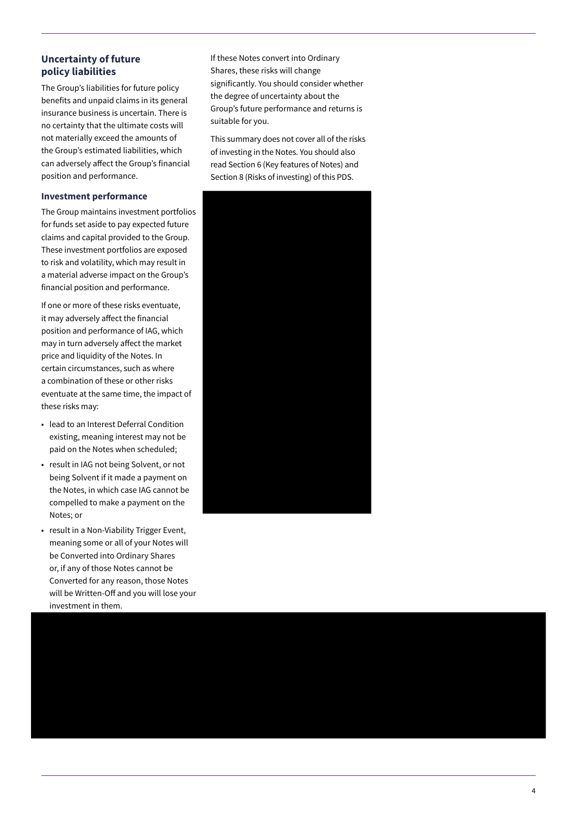### **Uncertainty of future policy liabilities**

The Group's liabilities for future policy benefits and unpaid claims in its general insurance business is uncertain. There is no certainty that the ultimate costs will not materially exceed the amounts of the Group's estimated liabilities, which can adversely affect the Group's financial position and performance.

#### **Investment performance**

The Group maintains investment portfolios for funds set aside to pay expected future claims and capital provided to the Group. These investment portfolios are exposed to risk and volatility, which may result in a material adverse impact on the Group's financial position and performance.

If one or more of these risks eventuate, it may adversely affect the financial position and performance of IAG, which may in turn adversely affect the market price and liquidity of the Notes. In certain circumstances, such as where a combination of these or other risks eventuate at the same time, the impact of these risks may:

- lead to an Interest Deferral Condition existing, meaning interest may not be paid on the Notes when scheduled;
- result in IAG not being Solvent, or not being Solvent if it made a payment on the Notes, in which case IAG cannot be compelled to make a payment on the Notes; or
- result in a Non-Viability Trigger Event, meaning some or all of your Notes will be Converted into Ordinary Shares or, if any of those Notes cannot be Converted for any reason, those Notes will be Written-Off and you will lose your investment in them.

If these Notes convert into Ordinary Shares, these risks will change significantly. You should consider whether the degree of uncertainty about the Group's future performance and returns is suitable for you.

This summary does not cover all of the risks of investing in the Notes. You should also read Section 6 (Key features of Notes) and Section 8 (Risks of investing) of this PDS.



4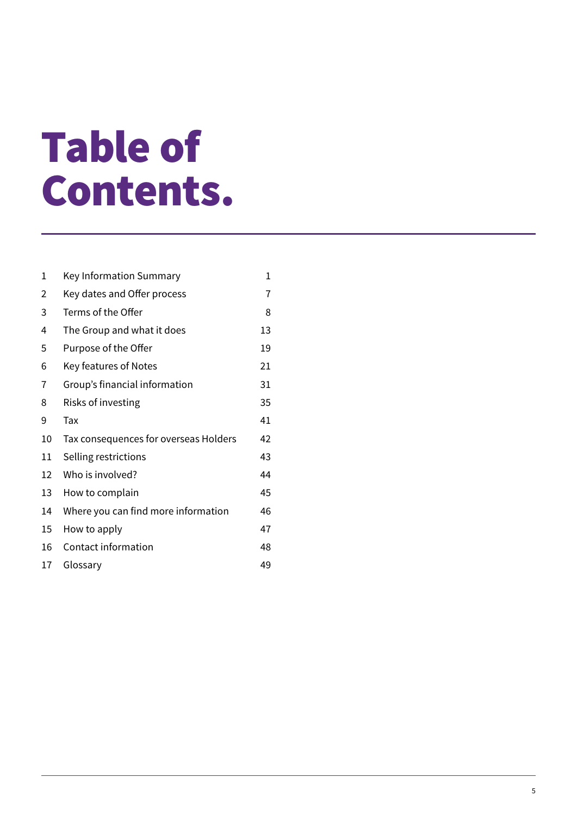### Table of Contents.

| 1  | Key Information Summary               | 1  |
|----|---------------------------------------|----|
| 2  | Key dates and Offer process           | 7  |
| 3  | Terms of the Offer                    | 8  |
| 4  | The Group and what it does            | 13 |
| 5  | Purpose of the Offer                  | 19 |
| 6  | Key features of Notes                 | 21 |
| 7  | Group's financial information         | 31 |
| 8  | Risks of investing                    | 35 |
| 9  | Tax                                   | 41 |
| 10 | Tax consequences for overseas Holders | 42 |
| 11 | Selling restrictions                  | 43 |
| 12 | Who is involved?                      | 44 |
| 13 | How to complain                       | 45 |
| 14 | Where you can find more information   | 46 |
| 15 | How to apply                          | 47 |
| 16 | Contact information                   | 48 |
| 17 | Glossary                              | 49 |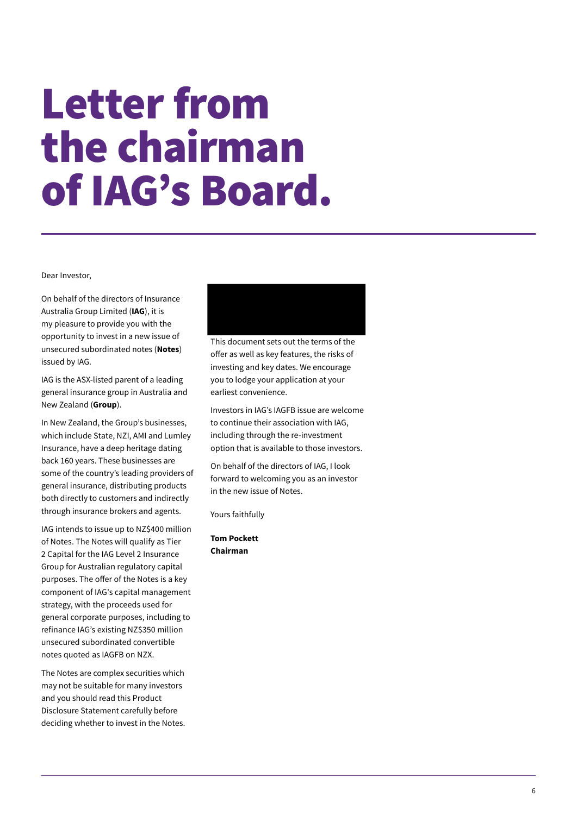### Letter from the chairman of IAG's Board.

Dear Investor,

On behalf of the directors of Insurance Australia Group Limited (**IAG**), it is my pleasure to provide you with the opportunity to invest in a new issue of unsecured subordinated notes (**Notes**) issued by IAG.

IAG is the ASX-listed parent of a leading general insurance group in Australia and New Zealand (**Group**).

In New Zealand, the Group's businesses, which include State, NZI, AMI and Lumley Insurance, have a deep heritage dating back 160 years. These businesses are some of the country's leading providers of general insurance, distributing products both directly to customers and indirectly through insurance brokers and agents.

IAG intends to issue up to NZ\$400 million of Notes. The Notes will qualify as Tier 2 Capital for the IAG Level 2 Insurance Group for Australian regulatory capital purposes. The offer of the Notes is a key component of IAG's capital management strategy, with the proceeds used for general corporate purposes, including to refinance IAG's existing NZ\$350 million unsecured subordinated convertible notes quoted as IAGFB on NZX.

The Notes are complex securities which may not be suitable for many investors and you should read this Product Disclosure Statement carefully before deciding whether to invest in the Notes.



This document sets out the terms of the offer as well as key features, the risks of investing and key dates. We encourage you to lodge your application at your earliest convenience.

Investors in IAG's IAGFB issue are welcome to continue their association with IAG, including through the re-investment option that is available to those investors.

On behalf of the directors of IAG, I look forward to welcoming you as an investor in the new issue of Notes.

Yours faithfully

**Tom Pockett Chairman**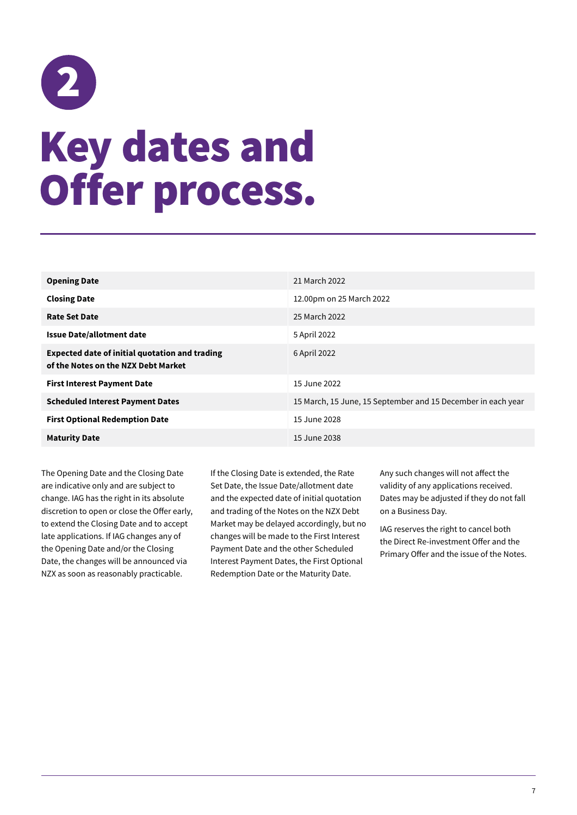## <span id="page-10-0"></span>2 Key dates and Offer process.

| <b>Opening Date</b>                                                                          | 21 March 2022                                                |
|----------------------------------------------------------------------------------------------|--------------------------------------------------------------|
| <b>Closing Date</b>                                                                          | 12.00pm on 25 March 2022                                     |
| <b>Rate Set Date</b>                                                                         | 25 March 2022                                                |
| <b>Issue Date/allotment date</b>                                                             | 5 April 2022                                                 |
| <b>Expected date of initial quotation and trading</b><br>of the Notes on the NZX Debt Market | 6 April 2022                                                 |
| <b>First Interest Payment Date</b>                                                           | 15 June 2022                                                 |
| <b>Scheduled Interest Payment Dates</b>                                                      | 15 March, 15 June, 15 September and 15 December in each year |
| <b>First Optional Redemption Date</b>                                                        | 15 June 2028                                                 |
| <b>Maturity Date</b>                                                                         | 15 June 2038                                                 |

The Opening Date and the Closing Date are indicative only and are subject to change. IAG has the right in its absolute discretion to open or close the Offer early, to extend the Closing Date and to accept late applications. If IAG changes any of the Opening Date and/or the Closing Date, the changes will be announced via NZX as soon as reasonably practicable.

If the Closing Date is extended, the Rate Set Date, the Issue Date/allotment date and the expected date of initial quotation and trading of the Notes on the NZX Debt Market may be delayed accordingly, but no changes will be made to the First Interest Payment Date and the other Scheduled Interest Payment Dates, the First Optional Redemption Date or the Maturity Date.

Any such changes will not affect the validity of any applications received. Dates may be adjusted if they do not fall on a Business Day.

IAG reserves the right to cancel both the Direct Re-investment Offer and the Primary Offer and the issue of the Notes.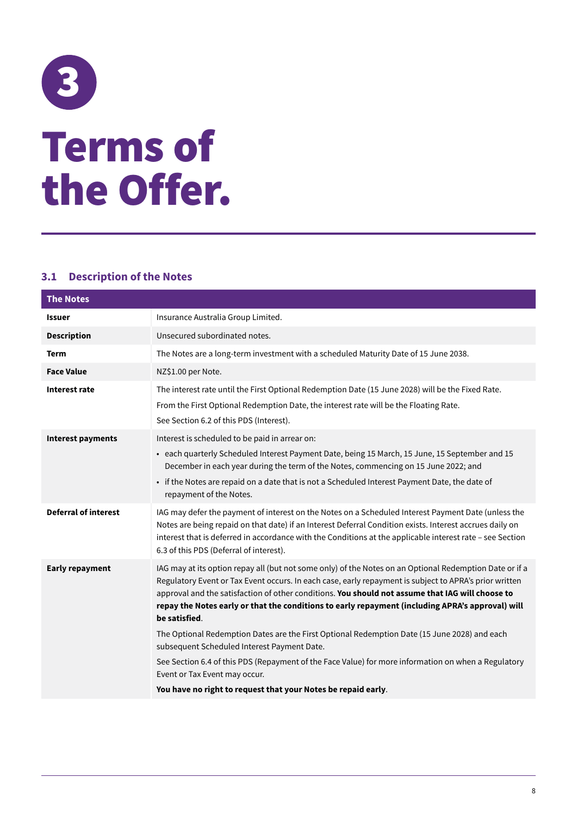## <span id="page-11-0"></span>3 Terms of the Offer.

### **3.1 Description of the Notes**

| <b>The Notes</b>            |                                                                                                                                                                                                                                                                                                                                                                                                                                                                                                                                                                                                                                                                                                                                                                                                    |
|-----------------------------|----------------------------------------------------------------------------------------------------------------------------------------------------------------------------------------------------------------------------------------------------------------------------------------------------------------------------------------------------------------------------------------------------------------------------------------------------------------------------------------------------------------------------------------------------------------------------------------------------------------------------------------------------------------------------------------------------------------------------------------------------------------------------------------------------|
| <b>Issuer</b>               | Insurance Australia Group Limited.                                                                                                                                                                                                                                                                                                                                                                                                                                                                                                                                                                                                                                                                                                                                                                 |
| <b>Description</b>          | Unsecured subordinated notes.                                                                                                                                                                                                                                                                                                                                                                                                                                                                                                                                                                                                                                                                                                                                                                      |
| <b>Term</b>                 | The Notes are a long-term investment with a scheduled Maturity Date of 15 June 2038.                                                                                                                                                                                                                                                                                                                                                                                                                                                                                                                                                                                                                                                                                                               |
| <b>Face Value</b>           | NZ\$1.00 per Note.                                                                                                                                                                                                                                                                                                                                                                                                                                                                                                                                                                                                                                                                                                                                                                                 |
| Interest rate               | The interest rate until the First Optional Redemption Date (15 June 2028) will be the Fixed Rate.<br>From the First Optional Redemption Date, the interest rate will be the Floating Rate.<br>See Section 6.2 of this PDS (Interest).                                                                                                                                                                                                                                                                                                                                                                                                                                                                                                                                                              |
| <b>Interest payments</b>    | Interest is scheduled to be paid in arrear on:<br>• each quarterly Scheduled Interest Payment Date, being 15 March, 15 June, 15 September and 15<br>December in each year during the term of the Notes, commencing on 15 June 2022; and<br>• if the Notes are repaid on a date that is not a Scheduled Interest Payment Date, the date of<br>repayment of the Notes.                                                                                                                                                                                                                                                                                                                                                                                                                               |
| <b>Deferral of interest</b> | IAG may defer the payment of interest on the Notes on a Scheduled Interest Payment Date (unless the<br>Notes are being repaid on that date) if an Interest Deferral Condition exists. Interest accrues daily on<br>interest that is deferred in accordance with the Conditions at the applicable interest rate - see Section<br>6.3 of this PDS (Deferral of interest).                                                                                                                                                                                                                                                                                                                                                                                                                            |
| <b>Early repayment</b>      | IAG may at its option repay all (but not some only) of the Notes on an Optional Redemption Date or if a<br>Regulatory Event or Tax Event occurs. In each case, early repayment is subject to APRA's prior written<br>approval and the satisfaction of other conditions. You should not assume that IAG will choose to<br>repay the Notes early or that the conditions to early repayment (including APRA's approval) will<br>be satisfied.<br>The Optional Redemption Dates are the First Optional Redemption Date (15 June 2028) and each<br>subsequent Scheduled Interest Payment Date.<br>See Section 6.4 of this PDS (Repayment of the Face Value) for more information on when a Regulatory<br>Event or Tax Event may occur.<br>You have no right to request that your Notes be repaid early. |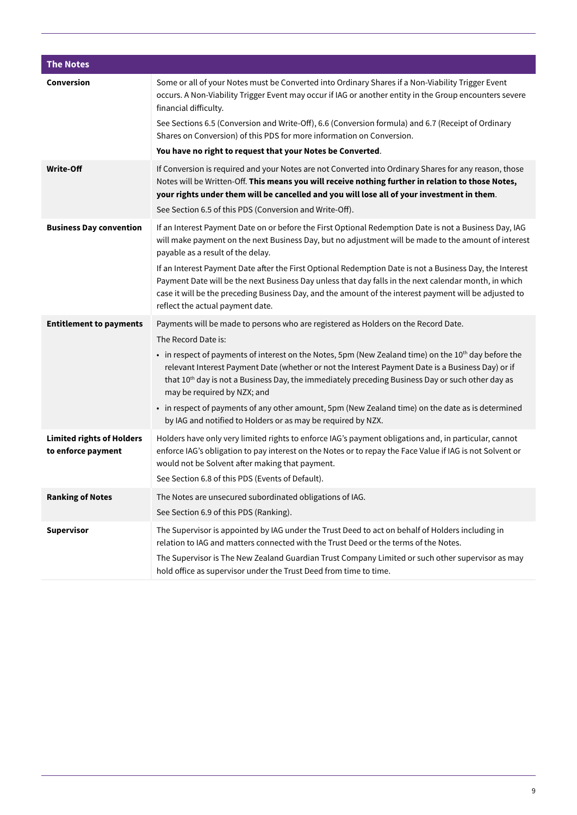| <b>The Notes</b>                                       |                                                                                                                                                                                                                                                                                                                                                                      |
|--------------------------------------------------------|----------------------------------------------------------------------------------------------------------------------------------------------------------------------------------------------------------------------------------------------------------------------------------------------------------------------------------------------------------------------|
| Conversion                                             | Some or all of your Notes must be Converted into Ordinary Shares if a Non-Viability Trigger Event<br>occurs. A Non-Viability Trigger Event may occur if IAG or another entity in the Group encounters severe<br>financial difficulty.<br>See Sections 6.5 (Conversion and Write-Off), 6.6 (Conversion formula) and 6.7 (Receipt of Ordinary                          |
|                                                        | Shares on Conversion) of this PDS for more information on Conversion.                                                                                                                                                                                                                                                                                                |
|                                                        | You have no right to request that your Notes be Converted.                                                                                                                                                                                                                                                                                                           |
| <b>Write-Off</b>                                       | If Conversion is required and your Notes are not Converted into Ordinary Shares for any reason, those<br>Notes will be Written-Off. This means you will receive nothing further in relation to those Notes,<br>your rights under them will be cancelled and you will lose all of your investment in them.                                                            |
|                                                        | See Section 6.5 of this PDS (Conversion and Write-Off).                                                                                                                                                                                                                                                                                                              |
| <b>Business Day convention</b>                         | If an Interest Payment Date on or before the First Optional Redemption Date is not a Business Day, IAG<br>will make payment on the next Business Day, but no adjustment will be made to the amount of interest<br>payable as a result of the delay.                                                                                                                  |
|                                                        | If an Interest Payment Date after the First Optional Redemption Date is not a Business Day, the Interest<br>Payment Date will be the next Business Day unless that day falls in the next calendar month, in which<br>case it will be the preceding Business Day, and the amount of the interest payment will be adjusted to<br>reflect the actual payment date.      |
| <b>Entitlement to payments</b>                         | Payments will be made to persons who are registered as Holders on the Record Date.                                                                                                                                                                                                                                                                                   |
|                                                        | The Record Date is:                                                                                                                                                                                                                                                                                                                                                  |
|                                                        | • in respect of payments of interest on the Notes, 5pm (New Zealand time) on the 10 <sup>th</sup> day before the<br>relevant Interest Payment Date (whether or not the Interest Payment Date is a Business Day) or if<br>that 10 <sup>th</sup> day is not a Business Day, the immediately preceding Business Day or such other day as<br>may be required by NZX; and |
|                                                        | • in respect of payments of any other amount, 5pm (New Zealand time) on the date as is determined<br>by IAG and notified to Holders or as may be required by NZX.                                                                                                                                                                                                    |
| <b>Limited rights of Holders</b><br>to enforce payment | Holders have only very limited rights to enforce IAG's payment obligations and, in particular, cannot<br>enforce IAG's obligation to pay interest on the Notes or to repay the Face Value if IAG is not Solvent or<br>would not be Solvent after making that payment.<br>See Section 6.8 of this PDS (Events of Default).                                            |
| <b>Ranking of Notes</b>                                | The Notes are unsecured subordinated obligations of IAG.                                                                                                                                                                                                                                                                                                             |
|                                                        | See Section 6.9 of this PDS (Ranking).                                                                                                                                                                                                                                                                                                                               |
| <b>Supervisor</b>                                      | The Supervisor is appointed by IAG under the Trust Deed to act on behalf of Holders including in<br>relation to IAG and matters connected with the Trust Deed or the terms of the Notes.                                                                                                                                                                             |
|                                                        | The Supervisor is The New Zealand Guardian Trust Company Limited or such other supervisor as may<br>hold office as supervisor under the Trust Deed from time to time.                                                                                                                                                                                                |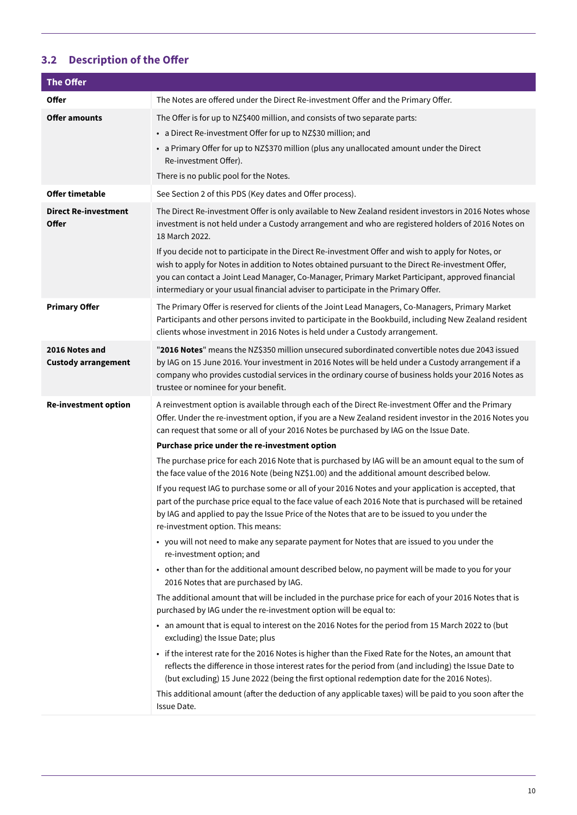### **3.2 Description of the Offer**

| <b>The Offer</b>                             |                                                                                                                                                                                                                                                                                                                                                                                                                                                                                                                                                                                                                                    |
|----------------------------------------------|------------------------------------------------------------------------------------------------------------------------------------------------------------------------------------------------------------------------------------------------------------------------------------------------------------------------------------------------------------------------------------------------------------------------------------------------------------------------------------------------------------------------------------------------------------------------------------------------------------------------------------|
| Offer                                        | The Notes are offered under the Direct Re-investment Offer and the Primary Offer.                                                                                                                                                                                                                                                                                                                                                                                                                                                                                                                                                  |
| <b>Offer amounts</b>                         | The Offer is for up to NZ\$400 million, and consists of two separate parts:<br>• a Direct Re-investment Offer for up to NZ\$30 million; and<br>• a Primary Offer for up to NZ\$370 million (plus any unallocated amount under the Direct<br>Re-investment Offer).<br>There is no public pool for the Notes.                                                                                                                                                                                                                                                                                                                        |
| <b>Offer timetable</b>                       | See Section 2 of this PDS (Key dates and Offer process).                                                                                                                                                                                                                                                                                                                                                                                                                                                                                                                                                                           |
| <b>Direct Re-investment</b><br><b>Offer</b>  | The Direct Re-investment Offer is only available to New Zealand resident investors in 2016 Notes whose<br>investment is not held under a Custody arrangement and who are registered holders of 2016 Notes on<br>18 March 2022.<br>If you decide not to participate in the Direct Re-investment Offer and wish to apply for Notes, or<br>wish to apply for Notes in addition to Notes obtained pursuant to the Direct Re-investment Offer,<br>you can contact a Joint Lead Manager, Co-Manager, Primary Market Participant, approved financial<br>intermediary or your usual financial adviser to participate in the Primary Offer. |
| <b>Primary Offer</b>                         | The Primary Offer is reserved for clients of the Joint Lead Managers, Co-Managers, Primary Market<br>Participants and other persons invited to participate in the Bookbuild, including New Zealand resident<br>clients whose investment in 2016 Notes is held under a Custody arrangement.                                                                                                                                                                                                                                                                                                                                         |
| 2016 Notes and<br><b>Custody arrangement</b> | "2016 Notes" means the NZ\$350 million unsecured subordinated convertible notes due 2043 issued<br>by IAG on 15 June 2016. Your investment in 2016 Notes will be held under a Custody arrangement if a<br>company who provides custodial services in the ordinary course of business holds your 2016 Notes as<br>trustee or nominee for your benefit.                                                                                                                                                                                                                                                                              |
| <b>Re-investment option</b>                  | A reinvestment option is available through each of the Direct Re-investment Offer and the Primary<br>Offer. Under the re-investment option, if you are a New Zealand resident investor in the 2016 Notes you<br>can request that some or all of your 2016 Notes be purchased by IAG on the Issue Date.                                                                                                                                                                                                                                                                                                                             |
|                                              | Purchase price under the re-investment option                                                                                                                                                                                                                                                                                                                                                                                                                                                                                                                                                                                      |
|                                              | The purchase price for each 2016 Note that is purchased by IAG will be an amount equal to the sum of<br>the face value of the 2016 Note (being NZ\$1.00) and the additional amount described below.                                                                                                                                                                                                                                                                                                                                                                                                                                |
|                                              | If you request IAG to purchase some or all of your 2016 Notes and your application is accepted, that<br>part of the purchase price equal to the face value of each 2016 Note that is purchased will be retained<br>by IAG and applied to pay the Issue Price of the Notes that are to be issued to you under the<br>re-investment option. This means:                                                                                                                                                                                                                                                                              |
|                                              | • you will not need to make any separate payment for Notes that are issued to you under the<br>re-investment option; and                                                                                                                                                                                                                                                                                                                                                                                                                                                                                                           |
|                                              | • other than for the additional amount described below, no payment will be made to you for your<br>2016 Notes that are purchased by IAG.                                                                                                                                                                                                                                                                                                                                                                                                                                                                                           |
|                                              | The additional amount that will be included in the purchase price for each of your 2016 Notes that is<br>purchased by IAG under the re-investment option will be equal to:                                                                                                                                                                                                                                                                                                                                                                                                                                                         |
|                                              | • an amount that is equal to interest on the 2016 Notes for the period from 15 March 2022 to (but<br>excluding) the Issue Date; plus                                                                                                                                                                                                                                                                                                                                                                                                                                                                                               |
|                                              | • if the interest rate for the 2016 Notes is higher than the Fixed Rate for the Notes, an amount that<br>reflects the difference in those interest rates for the period from (and including) the Issue Date to<br>(but excluding) 15 June 2022 (being the first optional redemption date for the 2016 Notes).                                                                                                                                                                                                                                                                                                                      |
|                                              | This additional amount (after the deduction of any applicable taxes) will be paid to you soon after the<br>Issue Date.                                                                                                                                                                                                                                                                                                                                                                                                                                                                                                             |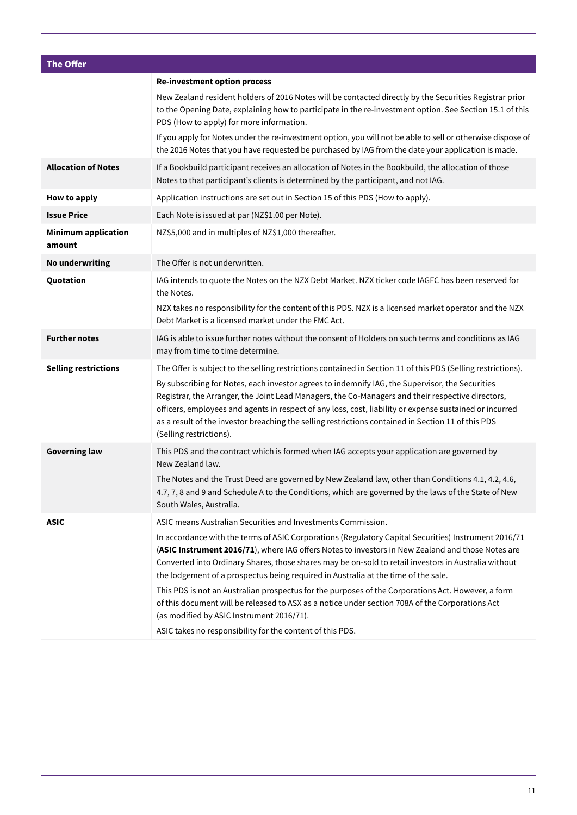| <b>The Offer</b>                     |                                                                                                                                                                                                                                                                                                                                                                                                                                                  |
|--------------------------------------|--------------------------------------------------------------------------------------------------------------------------------------------------------------------------------------------------------------------------------------------------------------------------------------------------------------------------------------------------------------------------------------------------------------------------------------------------|
|                                      | <b>Re-investment option process</b>                                                                                                                                                                                                                                                                                                                                                                                                              |
|                                      | New Zealand resident holders of 2016 Notes will be contacted directly by the Securities Registrar prior<br>to the Opening Date, explaining how to participate in the re-investment option. See Section 15.1 of this<br>PDS (How to apply) for more information.                                                                                                                                                                                  |
|                                      | If you apply for Notes under the re-investment option, you will not be able to sell or otherwise dispose of<br>the 2016 Notes that you have requested be purchased by IAG from the date your application is made.                                                                                                                                                                                                                                |
| <b>Allocation of Notes</b>           | If a Bookbuild participant receives an allocation of Notes in the Bookbuild, the allocation of those<br>Notes to that participant's clients is determined by the participant, and not IAG.                                                                                                                                                                                                                                                       |
| How to apply                         | Application instructions are set out in Section 15 of this PDS (How to apply).                                                                                                                                                                                                                                                                                                                                                                   |
| <b>Issue Price</b>                   | Each Note is issued at par (NZ\$1.00 per Note).                                                                                                                                                                                                                                                                                                                                                                                                  |
| <b>Minimum application</b><br>amount | NZ\$5,000 and in multiples of NZ\$1,000 thereafter.                                                                                                                                                                                                                                                                                                                                                                                              |
| <b>No underwriting</b>               | The Offer is not underwritten.                                                                                                                                                                                                                                                                                                                                                                                                                   |
| Quotation                            | IAG intends to quote the Notes on the NZX Debt Market. NZX ticker code IAGFC has been reserved for<br>the Notes.                                                                                                                                                                                                                                                                                                                                 |
|                                      | NZX takes no responsibility for the content of this PDS. NZX is a licensed market operator and the NZX<br>Debt Market is a licensed market under the FMC Act.                                                                                                                                                                                                                                                                                    |
| <b>Further notes</b>                 | IAG is able to issue further notes without the consent of Holders on such terms and conditions as IAG<br>may from time to time determine.                                                                                                                                                                                                                                                                                                        |
| <b>Selling restrictions</b>          | The Offer is subject to the selling restrictions contained in Section 11 of this PDS (Selling restrictions).                                                                                                                                                                                                                                                                                                                                     |
|                                      | By subscribing for Notes, each investor agrees to indemnify IAG, the Supervisor, the Securities<br>Registrar, the Arranger, the Joint Lead Managers, the Co-Managers and their respective directors,<br>officers, employees and agents in respect of any loss, cost, liability or expense sustained or incurred<br>as a result of the investor breaching the selling restrictions contained in Section 11 of this PDS<br>(Selling restrictions). |
| <b>Governing law</b>                 | This PDS and the contract which is formed when IAG accepts your application are governed by<br>New Zealand law.                                                                                                                                                                                                                                                                                                                                  |
|                                      | The Notes and the Trust Deed are governed by New Zealand law, other than Conditions 4.1, 4.2, 4.6,<br>4.7, 7, 8 and 9 and Schedule A to the Conditions, which are governed by the laws of the State of New<br>South Wales, Australia.                                                                                                                                                                                                            |
| <b>ASIC</b>                          | ASIC means Australian Securities and Investments Commission.                                                                                                                                                                                                                                                                                                                                                                                     |
|                                      | In accordance with the terms of ASIC Corporations (Regulatory Capital Securities) Instrument 2016/71<br>(ASIC Instrument 2016/71), where IAG offers Notes to investors in New Zealand and those Notes are<br>Converted into Ordinary Shares, those shares may be on-sold to retail investors in Australia without<br>the lodgement of a prospectus being required in Australia at the time of the sale.                                          |
|                                      | This PDS is not an Australian prospectus for the purposes of the Corporations Act. However, a form<br>of this document will be released to ASX as a notice under section 708A of the Corporations Act<br>(as modified by ASIC Instrument 2016/71).                                                                                                                                                                                               |
|                                      | ASIC takes no responsibility for the content of this PDS.                                                                                                                                                                                                                                                                                                                                                                                        |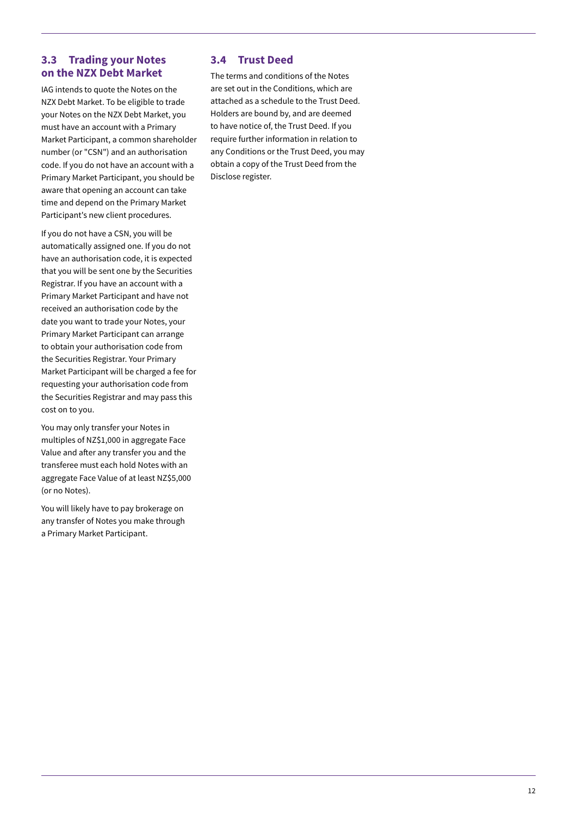### **3.3 Trading your Notes on the NZX Debt Market**

IAG intends to quote the Notes on the NZX Debt Market. To be eligible to trade your Notes on the NZX Debt Market, you must have an account with a Primary Market Participant, a common shareholder number (or "CSN") and an authorisation code. If you do not have an account with a Primary Market Participant, you should be aware that opening an account can take time and depend on the Primary Market Participant's new client procedures.

If you do not have a CSN, you will be automatically assigned one. If you do not have an authorisation code, it is expected that you will be sent one by the Securities Registrar. If you have an account with a Primary Market Participant and have not received an authorisation code by the date you want to trade your Notes, your Primary Market Participant can arrange to obtain your authorisation code from the Securities Registrar. Your Primary Market Participant will be charged a fee for requesting your authorisation code from the Securities Registrar and may pass this cost on to you.

You may only transfer your Notes in multiples of NZ\$1,000 in aggregate Face Value and after any transfer you and the transferee must each hold Notes with an aggregate Face Value of at least NZ\$5,000 (or no Notes).

You will likely have to pay brokerage on any transfer of Notes you make through a Primary Market Participant.

### **3.4 Trust Deed**

The terms and conditions of the Notes are set out in the Conditions, which are attached as a schedule to the Trust Deed. Holders are bound by, and are deemed to have notice of, the Trust Deed. If you require further information in relation to any Conditions or the Trust Deed, you may obtain a copy of the Trust Deed from the Disclose register.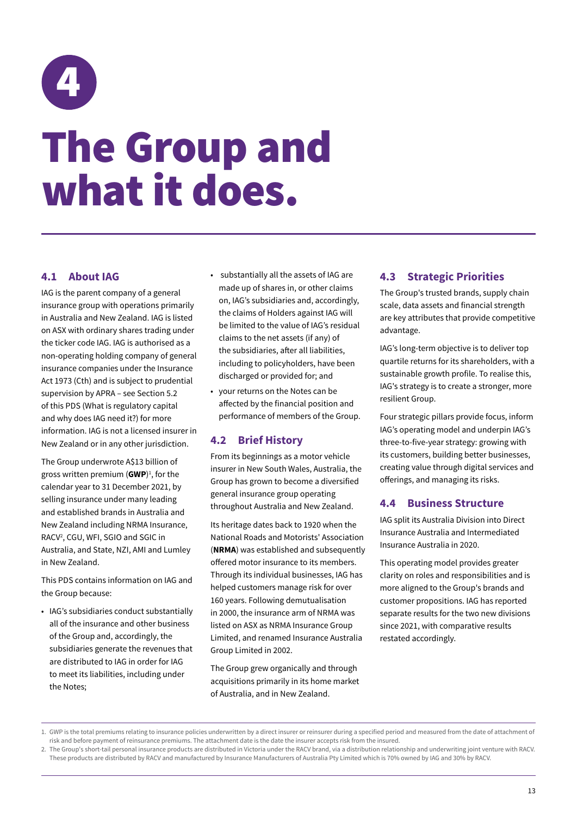<span id="page-16-0"></span>

### The Group and what it does.

### **4.1 About IAG**

IAG is the parent company of a general insurance group with operations primarily in Australia and New Zealand. IAG is listed on ASX with ordinary shares trading under the ticker code IAG. IAG is authorised as a non-operating holding company of general insurance companies under the Insurance Act 1973 (Cth) and is subject to prudential supervision by APRA – see Section 5.2 of this PDS (What is regulatory capital and why does IAG need it?) for more information. IAG is not a licensed insurer in New Zealand or in any other jurisdiction.

The Group underwrote A\$13 billion of gross written premium (**GWP**) 1 , for the calendar year to 31 December 2021, by selling insurance under many leading and established brands in Australia and New Zealand including NRMA Insurance, RACV2 , CGU, WFI, SGIO and SGIC in Australia, and State, NZI, AMI and Lumley in New Zealand.

This PDS contains information on IAG and the Group because:

• IAG's subsidiaries conduct substantially all of the insurance and other business of the Group and, accordingly, the subsidiaries generate the revenues that are distributed to IAG in order for IAG to meet its liabilities, including under the Notes;

- substantially all the assets of IAG are made up of shares in, or other claims on, IAG's subsidiaries and, accordingly, the claims of Holders against IAG will be limited to the value of IAG's residual claims to the net assets (if any) of the subsidiaries, after all liabilities, including to policyholders, have been discharged or provided for; and
- your returns on the Notes can be affected by the financial position and performance of members of the Group.

### **4.2 Brief History**

From its beginnings as a motor vehicle insurer in New South Wales, Australia, the Group has grown to become a diversified general insurance group operating throughout Australia and New Zealand.

Its heritage dates back to 1920 when the National Roads and Motorists' Association (**NRMA**) was established and subsequently offered motor insurance to its members. Through its individual businesses, IAG has helped customers manage risk for over 160 years. Following demutualisation in 2000, the insurance arm of NRMA was listed on ASX as NRMA Insurance Group Limited, and renamed Insurance Australia Group Limited in 2002.

The Group grew organically and through acquisitions primarily in its home market of Australia, and in New Zealand.

### **4.3 Strategic Priorities**

The Group's trusted brands, supply chain scale, data assets and financial strength are key attributes that provide competitive advantage.

IAG's long-term objective is to deliver top quartile returns for its shareholders, with a sustainable growth profile. To realise this, IAG's strategy is to create a stronger, more resilient Group.

Four strategic pillars provide focus, inform IAG's operating model and underpin IAG's three-to-five-year strategy: growing with its customers, building better businesses, creating value through digital services and offerings, and managing its risks.

### **4.4 Business Structure**

IAG split its Australia Division into Direct Insurance Australia and Intermediated Insurance Australia in 2020.

This operating model provides greater clarity on roles and responsibilities and is more aligned to the Group's brands and customer propositions. IAG has reported separate results for the two new divisions since 2021, with comparative results restated accordingly.

<sup>1.</sup> GWP is the total premiums relating to insurance policies underwritten by a direct insurer or reinsurer during a specified period and measured from the date of attachment of risk and before payment of reinsurance premiums. The attachment date is the date the insurer accepts risk from the insured.

<sup>2.</sup> The Group's short-tail personal insurance products are distributed in Victoria under the RACV brand, via a distribution relationship and underwriting joint venture with RACV. These products are distributed by RACV and manufactured by Insurance Manufacturers of Australia Pty Limited which is 70% owned by IAG and 30% by RACV.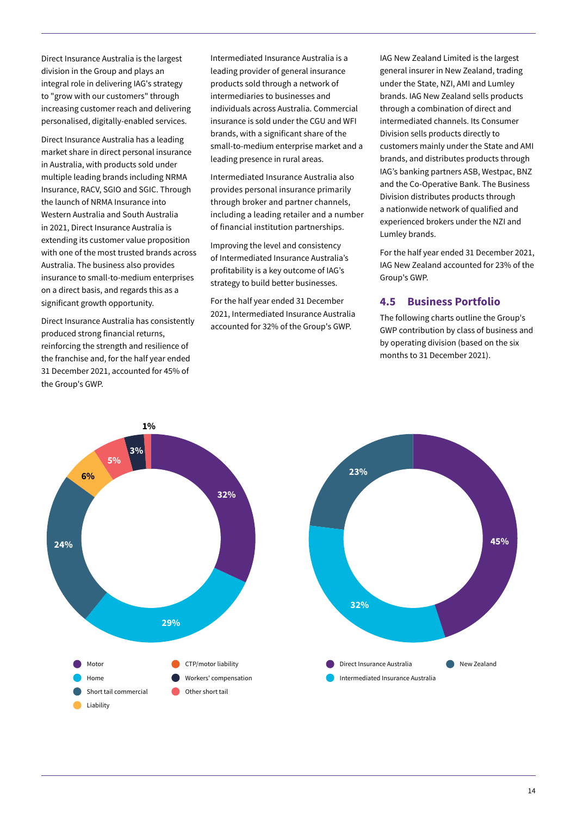Direct Insurance Australia is the largest division in the Group and plays an integral role in delivering IAG's strategy to "grow with our customers" through increasing customer reach and delivering personalised, digitally-enabled services.

Direct Insurance Australia has a leading market share in direct personal insurance in Australia, with products sold under multiple leading brands including NRMA Insurance, RACV, SGIO and SGIC. Through the launch of NRMA Insurance into Western Australia and South Australia in 2021, Direct Insurance Australia is extending its customer value proposition with one of the most trusted brands across Australia. The business also provides insurance to small-to-medium enterprises on a direct basis, and regards this as a significant growth opportunity.

Direct Insurance Australia has consistently produced strong financial returns, reinforcing the strength and resilience of the franchise and, for the half year ended 31 December 2021, accounted for 45% of the Group's GWP.

Intermediated Insurance Australia is a leading provider of general insurance products sold through a network of intermediaries to businesses and individuals across Australia. Commercial insurance is sold under the CGU and WFI brands, with a significant share of the small-to-medium enterprise market and a leading presence in rural areas.

Intermediated Insurance Australia also provides personal insurance primarily through broker and partner channels, including a leading retailer and a number of financial institution partnerships.

Improving the level and consistency of Intermediated Insurance Australia's profitability is a key outcome of IAG's strategy to build better businesses.

For the half year ended 31 December 2021, Intermediated Insurance Australia accounted for 32% of the Group's GWP.

IAG New Zealand Limited is the largest general insurer in New Zealand, trading under the State, NZI, AMI and Lumley brands. IAG New Zealand sells products through a combination of direct and intermediated channels. Its Consumer Division sells products directly to customers mainly under the State and AMI brands, and distributes products through IAG's banking partners ASB, Westpac, BNZ and the Co-Operative Bank. The Business Division distributes products through a nationwide network of qualified and experienced brokers under the NZI and Lumley brands.

For the half year ended 31 December 2021, IAG New Zealand accounted for 23% of the Group's GWP.

### **4.5 Business Portfolio**

The following charts outline the Group's GWP contribution by class of business and by operating division (based on the six months to 31 December 2021).

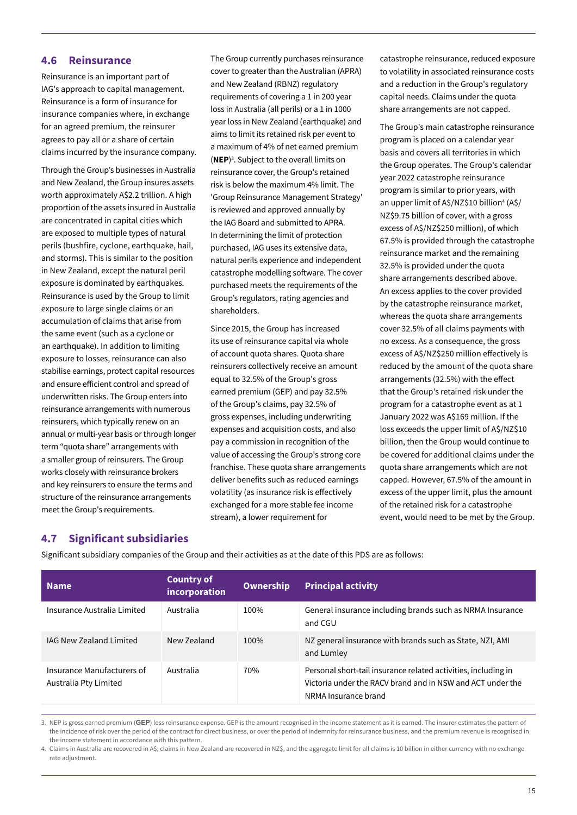### **4.6 Reinsurance**

Reinsurance is an important part of IAG's approach to capital management. Reinsurance is a form of insurance for insurance companies where, in exchange for an agreed premium, the reinsurer agrees to pay all or a share of certain claims incurred by the insurance company.

Through the Group's businesses in Australia and New Zealand, the Group insures assets worth approximately A\$2.2 trillion. A high proportion of the assets insured in Australia are concentrated in capital cities which are exposed to multiple types of natural perils (bushfire, cyclone, earthquake, hail, and storms). This is similar to the position in New Zealand, except the natural peril exposure is dominated by earthquakes. Reinsurance is used by the Group to limit exposure to large single claims or an accumulation of claims that arise from the same event (such as a cyclone or an earthquake). In addition to limiting exposure to losses, reinsurance can also stabilise earnings, protect capital resources and ensure efficient control and spread of underwritten risks. The Group enters into reinsurance arrangements with numerous reinsurers, which typically renew on an annual or multi-year basis or through longer term "quota share" arrangements with a smaller group of reinsurers. The Group works closely with reinsurance brokers and key reinsurers to ensure the terms and structure of the reinsurance arrangements meet the Group's requirements.

The Group currently purchases reinsurance cover to greater than the Australian (APRA) and New Zealand (RBNZ) regulatory requirements of covering a 1 in 200 year loss in Australia (all perils) or a 1 in 1000 year loss in New Zealand (earthquake) and aims to limit its retained risk per event to a maximum of 4% of net earned premium (**NEP**) 3 . Subject to the overall limits on reinsurance cover, the Group's retained risk is below the maximum 4% limit. The 'Group Reinsurance Management Strategy' is reviewed and approved annually by the IAG Board and submitted to APRA. In determining the limit of protection purchased, IAG uses its extensive data, natural perils experience and independent catastrophe modelling software. The cover purchased meets the requirements of the Group's regulators, rating agencies and shareholders.

Since 2015, the Group has increased its use of reinsurance capital via whole of account quota shares. Quota share reinsurers collectively receive an amount equal to 32.5% of the Group's gross earned premium (GEP) and pay 32.5% of the Group's claims, pay 32.5% of gross expenses, including underwriting expenses and acquisition costs, and also pay a commission in recognition of the value of accessing the Group's strong core franchise. These quota share arrangements deliver benefits such as reduced earnings volatility (as insurance risk is effectively exchanged for a more stable fee income stream), a lower requirement for

catastrophe reinsurance, reduced exposure to volatility in associated reinsurance costs and a reduction in the Group's regulatory capital needs. Claims under the quota share arrangements are not capped.

The Group's main catastrophe reinsurance program is placed on a calendar year basis and covers all territories in which the Group operates. The Group's calendar year 2022 catastrophe reinsurance program is similar to prior years, with an upper limit of A\$/NZ\$10 billion4 (A\$/ NZ\$9.75 billion of cover, with a gross excess of A\$/NZ\$250 million), of which 67.5% is provided through the catastrophe reinsurance market and the remaining 32.5% is provided under the quota share arrangements described above. An excess applies to the cover provided by the catastrophe reinsurance market, whereas the quota share arrangements cover 32.5% of all claims payments with no excess. As a consequence, the gross excess of A\$/NZ\$250 million effectively is reduced by the amount of the quota share arrangements (32.5%) with the effect that the Group's retained risk under the program for a catastrophe event as at 1 January 2022 was A\$169 million. If the loss exceeds the upper limit of A\$/NZ\$10 billion, then the Group would continue to be covered for additional claims under the quota share arrangements which are not capped. However, 67.5% of the amount in excess of the upper limit, plus the amount of the retained risk for a catastrophe event, would need to be met by the Group.

### **4.7 Significant subsidiaries**

Significant subsidiary companies of the Group and their activities as at the date of this PDS are as follows:

| <b>Name</b>                                         | <b>Country of</b><br>incorporation | <b>Ownership</b> | <b>Principal activity</b>                                                                                                                            |
|-----------------------------------------------------|------------------------------------|------------------|------------------------------------------------------------------------------------------------------------------------------------------------------|
| Insurance Australia Limited                         | Australia                          | 100%             | General insurance including brands such as NRMA Insurance<br>and CGU                                                                                 |
| <b>IAG New Zealand Limited</b>                      | New Zealand                        | 100%             | NZ general insurance with brands such as State, NZI, AMI<br>and Lumley                                                                               |
| Insurance Manufacturers of<br>Australia Pty Limited | Australia                          | 70%              | Personal short-tail insurance related activities, including in<br>Victoria under the RACV brand and in NSW and ACT under the<br>NRMA Insurance brand |

3. NEP is gross earned premium (**GEP**) less reinsurance expense. GEP is the amount recognised in the income statement as it is earned. The insurer estimates the pattern of the incidence of risk over the period of the contract for direct business, or over the period of indemnity for reinsurance business, and the premium revenue is recognised in the income statement in accordance with this pattern.

4. Claims in Australia are recovered in A\$; claims in New Zealand are recovered in NZ\$, and the aggregate limit for all claims is 10 billion in either currency with no exchange rate adjustment.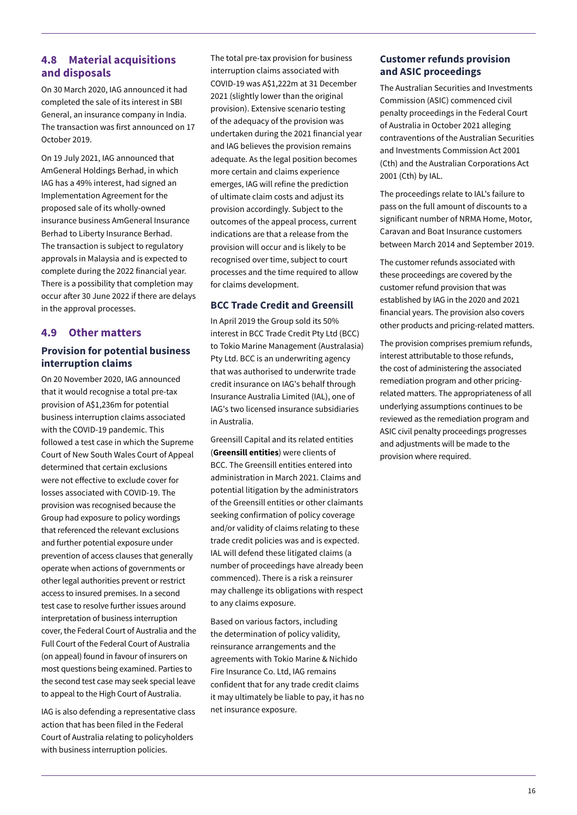### **4.8 Material acquisitions and disposals**

On 30 March 2020, IAG announced it had completed the sale of its interest in SBI General, an insurance company in India. The transaction was first announced on 17 October 2019.

On 19 July 2021, IAG announced that AmGeneral Holdings Berhad, in which IAG has a 49% interest, had signed an Implementation Agreement for the proposed sale of its wholly-owned insurance business AmGeneral Insurance Berhad to Liberty Insurance Berhad. The transaction is subject to regulatory approvals in Malaysia and is expected to complete during the 2022 financial year. There is a possibility that completion may occur after 30 June 2022 if there are delays in the approval processes.

### **4.9 Other matters**

### **Provision for potential business interruption claims**

On 20 November 2020, IAG announced that it would recognise a total pre-tax provision of A\$1,236m for potential business interruption claims associated with the COVID-19 pandemic. This followed a test case in which the Supreme Court of New South Wales Court of Appeal determined that certain exclusions were not effective to exclude cover for losses associated with COVID-19. The provision was recognised because the Group had exposure to policy wordings that referenced the relevant exclusions and further potential exposure under prevention of access clauses that generally operate when actions of governments or other legal authorities prevent or restrict access to insured premises. In a second test case to resolve further issues around interpretation of business interruption cover, the Federal Court of Australia and the Full Court of the Federal Court of Australia (on appeal) found in favour of insurers on most questions being examined. Parties to the second test case may seek special leave to appeal to the High Court of Australia.

IAG is also defending a representative class action that has been filed in the Federal Court of Australia relating to policyholders with business interruption policies.

The total pre-tax provision for business interruption claims associated with COVID-19 was A\$1,222m at 31 December 2021 (slightly lower than the original provision). Extensive scenario testing of the adequacy of the provision was undertaken during the 2021 financial year and IAG believes the provision remains adequate. As the legal position becomes more certain and claims experience emerges, IAG will refine the prediction of ultimate claim costs and adjust its provision accordingly. Subject to the outcomes of the appeal process, current indications are that a release from the provision will occur and is likely to be recognised over time, subject to court processes and the time required to allow for claims development.

### **BCC Trade Credit and Greensill**

In April 2019 the Group sold its 50% interest in BCC Trade Credit Pty Ltd (BCC) to Tokio Marine Management (Australasia) Pty Ltd. BCC is an underwriting agency that was authorised to underwrite trade credit insurance on IAG's behalf through Insurance Australia Limited (IAL), one of IAG's two licensed insurance subsidiaries in Australia.

Greensill Capital and its related entities (**Greensill entities**) were clients of BCC. The Greensill entities entered into administration in March 2021. Claims and potential litigation by the administrators of the Greensill entities or other claimants seeking confirmation of policy coverage and/or validity of claims relating to these trade credit policies was and is expected. IAL will defend these litigated claims (a number of proceedings have already been commenced). There is a risk a reinsurer may challenge its obligations with respect to any claims exposure.

Based on various factors, including the determination of policy validity, reinsurance arrangements and the agreements with Tokio Marine & Nichido Fire Insurance Co. Ltd, IAG remains confident that for any trade credit claims it may ultimately be liable to pay, it has no net insurance exposure.

### **Customer refunds provision and ASIC proceedings**

The Australian Securities and Investments Commission (ASIC) commenced civil penalty proceedings in the Federal Court of Australia in October 2021 alleging contraventions of the Australian Securities and Investments Commission Act 2001 (Cth) and the Australian Corporations Act 2001 (Cth) by IAL.

The proceedings relate to IAL's failure to pass on the full amount of discounts to a significant number of NRMA Home, Motor, Caravan and Boat Insurance customers between March 2014 and September 2019.

The customer refunds associated with these proceedings are covered by the customer refund provision that was established by IAG in the 2020 and 2021 financial years. The provision also covers other products and pricing-related matters.

The provision comprises premium refunds, interest attributable to those refunds, the cost of administering the associated remediation program and other pricingrelated matters. The appropriateness of all underlying assumptions continues to be reviewed as the remediation program and ASIC civil penalty proceedings progresses and adjustments will be made to the provision where required.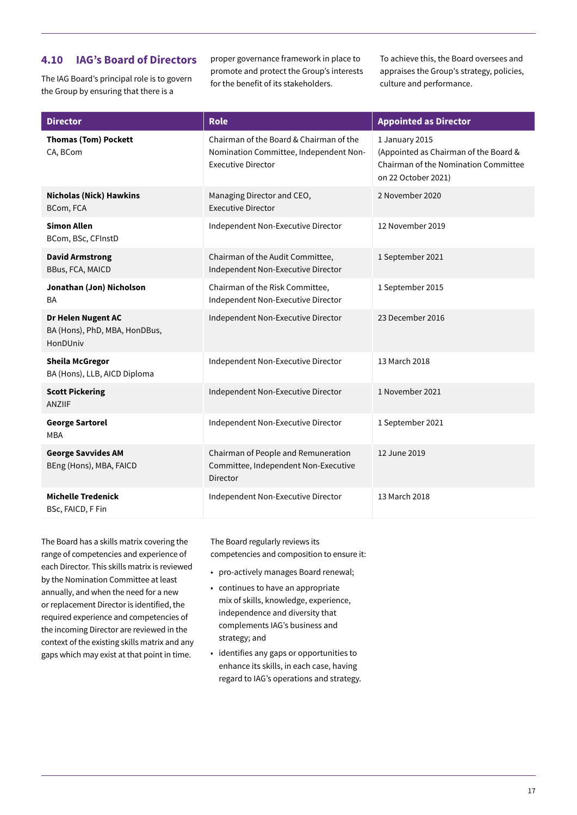### **4.10 IAG's Board of Directors**

The IAG Board's principal role is to govern the Group by ensuring that there is a

proper governance framework in place to promote and protect the Group's interests for the benefit of its stakeholders.

To achieve this, the Board oversees and appraises the Group's strategy, policies, culture and performance.

| <b>Director</b>                                                 | <b>Role</b>                                                                                                    | <b>Appointed as Director</b>                                                                                           |
|-----------------------------------------------------------------|----------------------------------------------------------------------------------------------------------------|------------------------------------------------------------------------------------------------------------------------|
| <b>Thomas (Tom) Pockett</b><br>CA, BCom                         | Chairman of the Board & Chairman of the<br>Nomination Committee, Independent Non-<br><b>Executive Director</b> | 1 January 2015<br>(Appointed as Chairman of the Board &<br>Chairman of the Nomination Committee<br>on 22 October 2021) |
| <b>Nicholas (Nick) Hawkins</b><br>BCom, FCA                     | Managing Director and CEO,<br><b>Executive Director</b>                                                        | 2 November 2020                                                                                                        |
| <b>Simon Allen</b><br>BCom, BSc, CFInstD                        | Independent Non-Executive Director                                                                             | 12 November 2019                                                                                                       |
| <b>David Armstrong</b><br>BBus, FCA, MAICD                      | Chairman of the Audit Committee,<br>Independent Non-Executive Director                                         | 1 September 2021                                                                                                       |
| Jonathan (Jon) Nicholson<br><b>BA</b>                           | Chairman of the Risk Committee,<br>Independent Non-Executive Director                                          | 1 September 2015                                                                                                       |
| Dr Helen Nugent AC<br>BA (Hons), PhD, MBA, HonDBus,<br>HonDUniv | Independent Non-Executive Director                                                                             | 23 December 2016                                                                                                       |
| <b>Sheila McGregor</b><br>BA (Hons), LLB, AICD Diploma          | Independent Non-Executive Director                                                                             | 13 March 2018                                                                                                          |
| <b>Scott Pickering</b><br><b>ANZIIF</b>                         | Independent Non-Executive Director                                                                             | 1 November 2021                                                                                                        |
| <b>George Sartorel</b><br><b>MBA</b>                            | Independent Non-Executive Director                                                                             | 1 September 2021                                                                                                       |
| <b>George Savvides AM</b><br>BEng (Hons), MBA, FAICD            | Chairman of People and Remuneration<br>Committee, Independent Non-Executive<br>Director                        | 12 June 2019                                                                                                           |
| <b>Michelle Tredenick</b><br>BSc, FAICD, F Fin                  | Independent Non-Executive Director                                                                             | 13 March 2018                                                                                                          |

The Board has a skills matrix covering the range of competencies and experience of each Director. This skills matrix is reviewed by the Nomination Committee at least annually, and when the need for a new or replacement Director is identified, the required experience and competencies of the incoming Director are reviewed in the context of the existing skills matrix and any gaps which may exist at that point in time.

The Board regularly reviews its competencies and composition to ensure it:

- pro-actively manages Board renewal;
- continues to have an appropriate mix of skills, knowledge, experience, independence and diversity that complements IAG's business and strategy; and
- identifies any gaps or opportunities to enhance its skills, in each case, having regard to IAG's operations and strategy.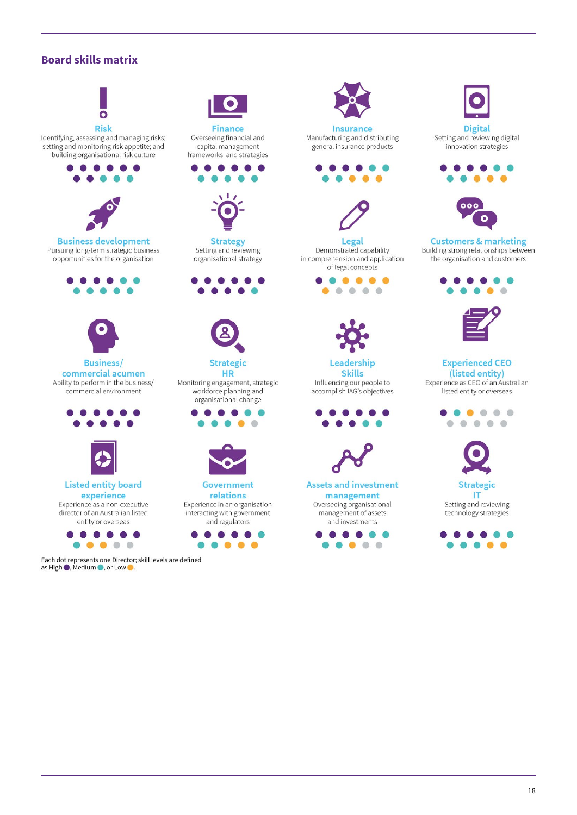### **Board skills matrix**



as High ●, Medium ●, or Low ●.

Overseeing financial and capital management frameworks and strategies





**Strategy** Setting and reviewing organisational strategy



**HR** Monitoring engagement, strategic workforce planning and organisational change





Government relations Experience in an organisation interacting with government and regulators





Insurance Manufacturing and distributing general insurance products





Legal Demonstrated capability in comprehension and application of legal concepts





Leadership **Skills** Influencing our people to accomplish IAG's objectives





**Assets and investment** management Overseeing organisational management of assets and investments





**Digital** Setting and reviewing digital innovation strategies





**Customers & marketing** Building strong relationships between the organisation and customers





**Experienced CEO** (listed entity) Experience as CEO of an Australian listed entity or overseas



IT Setting and reviewing technology strategies

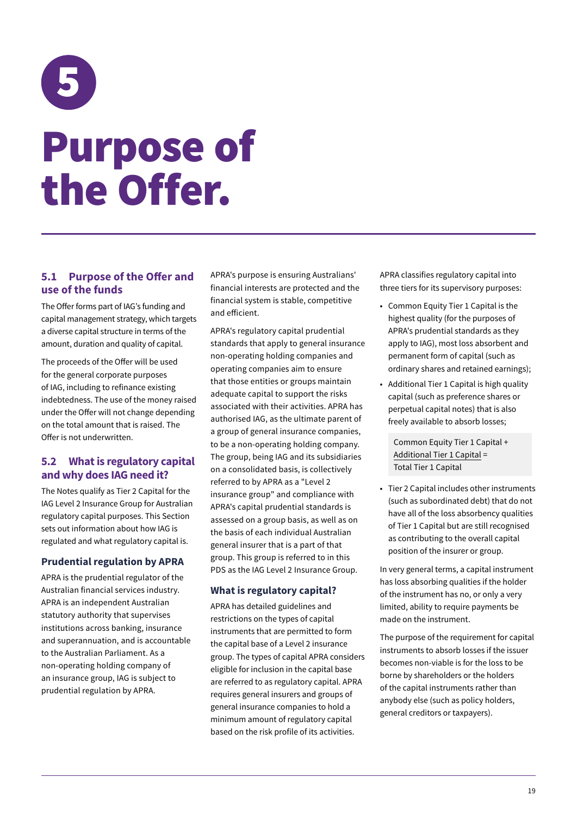## <span id="page-22-0"></span>5 Purpose of the Offer.

### **5.1 Purpose of the Offer and use of the funds**

The Offer forms part of IAG's funding and capital management strategy, which targets a diverse capital structure in terms of the amount, duration and quality of capital.

The proceeds of the Offer will be used for the general corporate purposes of IAG, including to refinance existing indebtedness. The use of the money raised under the Offer will not change depending on the total amount that is raised. The Offer is not underwritten.

### **5.2 What is regulatory capital and why does IAG need it?**

The Notes qualify as Tier 2 Capital for the IAG Level 2 Insurance Group for Australian regulatory capital purposes. This Section sets out information about how IAG is regulated and what regulatory capital is.

### **Prudential regulation by APRA**

APRA is the prudential regulator of the Australian financial services industry. APRA is an independent Australian statutory authority that supervises institutions across banking, insurance and superannuation, and is accountable to the Australian Parliament. As a non-operating holding company of an insurance group, IAG is subject to prudential regulation by APRA.

APRA's purpose is ensuring Australians' financial interests are protected and the financial system is stable, competitive and efficient.

APRA's regulatory capital prudential standards that apply to general insurance non-operating holding companies and operating companies aim to ensure that those entities or groups maintain adequate capital to support the risks associated with their activities. APRA has authorised IAG, as the ultimate parent of a group of general insurance companies, to be a non-operating holding company. The group, being IAG and its subsidiaries on a consolidated basis, is collectively referred to by APRA as a "Level 2 insurance group" and compliance with APRA's capital prudential standards is assessed on a group basis, as well as on the basis of each individual Australian general insurer that is a part of that group. This group is referred to in this PDS as the IAG Level 2 Insurance Group.

### **What is regulatory capital?**

APRA has detailed guidelines and restrictions on the types of capital instruments that are permitted to form the capital base of a Level 2 insurance group. The types of capital APRA considers eligible for inclusion in the capital base are referred to as regulatory capital. APRA requires general insurers and groups of general insurance companies to hold a minimum amount of regulatory capital based on the risk profile of its activities.

APRA classifies regulatory capital into three tiers for its supervisory purposes:

- Common Equity Tier 1 Capital is the highest quality (for the purposes of APRA's prudential standards as they apply to IAG), most loss absorbent and permanent form of capital (such as ordinary shares and retained earnings);
- Additional Tier 1 Capital is high quality capital (such as preference shares or perpetual capital notes) that is also freely available to absorb losses;

Common Equity Tier 1 Capital + Additional Tier 1 Capital = Total Tier 1 Capital

• Tier 2 Capital includes other instruments (such as subordinated debt) that do not have all of the loss absorbency qualities of Tier 1 Capital but are still recognised as contributing to the overall capital position of the insurer or group.

In very general terms, a capital instrument has loss absorbing qualities if the holder of the instrument has no, or only a very limited, ability to require payments be made on the instrument.

The purpose of the requirement for capital instruments to absorb losses if the issuer becomes non-viable is for the loss to be borne by shareholders or the holders of the capital instruments rather than anybody else (such as policy holders, general creditors or taxpayers).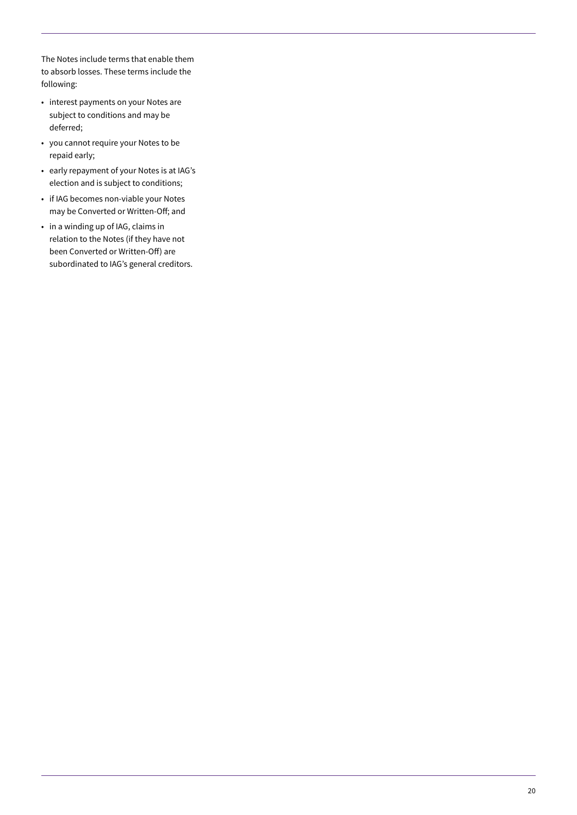The Notes include terms that enable them to absorb losses. These terms include the following:

- interest payments on your Notes are subject to conditions and may be deferred;
- you cannot require your Notes to be repaid early;
- early repayment of your Notes is at IAG's election and is subject to conditions;
- if IAG becomes non-viable your Notes may be Converted or Written-Off; and
- in a winding up of IAG, claims in relation to the Notes (if they have not been Converted or Written-Off) are subordinated to IAG's general creditors.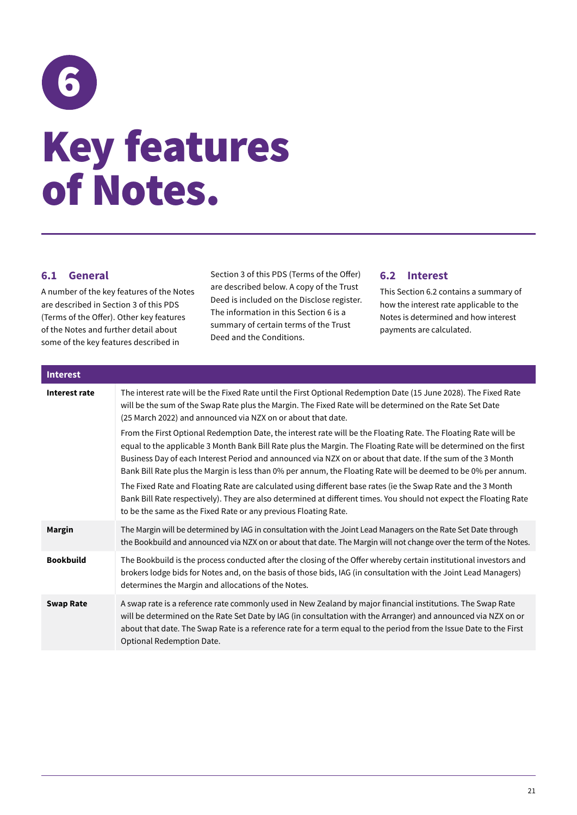<span id="page-24-0"></span>

### **6.1 General**

A number of the key features of the Notes are described in Section 3 of this PDS (Terms of the Offer). Other key features of the Notes and further detail about some of the key features described in

Section 3 of this PDS (Terms of the Offer) are described below. A copy of the Trust Deed is included on the Disclose register. The information in this Section 6 is a summary of certain terms of the Trust Deed and the Conditions.

### **6.2 Interest**

This Section 6.2 contains a summary of how the interest rate applicable to the Notes is determined and how interest payments are calculated.

| <b>Interest</b>  |                                                                                                                                                                                                                                                                                                                                                                                                                                                                       |
|------------------|-----------------------------------------------------------------------------------------------------------------------------------------------------------------------------------------------------------------------------------------------------------------------------------------------------------------------------------------------------------------------------------------------------------------------------------------------------------------------|
| Interest rate    | The interest rate will be the Fixed Rate until the First Optional Redemption Date (15 June 2028). The Fixed Rate<br>will be the sum of the Swap Rate plus the Margin. The Fixed Rate will be determined on the Rate Set Date<br>(25 March 2022) and announced via NZX on or about that date.                                                                                                                                                                          |
|                  | From the First Optional Redemption Date, the interest rate will be the Floating Rate. The Floating Rate will be<br>equal to the applicable 3 Month Bank Bill Rate plus the Margin. The Floating Rate will be determined on the first<br>Business Day of each Interest Period and announced via NZX on or about that date. If the sum of the 3 Month<br>Bank Bill Rate plus the Margin is less than 0% per annum, the Floating Rate will be deemed to be 0% per annum. |
|                  | The Fixed Rate and Floating Rate are calculated using different base rates (ie the Swap Rate and the 3 Month<br>Bank Bill Rate respectively). They are also determined at different times. You should not expect the Floating Rate<br>to be the same as the Fixed Rate or any previous Floating Rate.                                                                                                                                                                 |
| <b>Margin</b>    | The Margin will be determined by IAG in consultation with the Joint Lead Managers on the Rate Set Date through<br>the Bookbuild and announced via NZX on or about that date. The Margin will not change over the term of the Notes.                                                                                                                                                                                                                                   |
| <b>Bookbuild</b> | The Bookbuild is the process conducted after the closing of the Offer whereby certain institutional investors and<br>brokers lodge bids for Notes and, on the basis of those bids, IAG (in consultation with the Joint Lead Managers)<br>determines the Margin and allocations of the Notes.                                                                                                                                                                          |
| <b>Swap Rate</b> | A swap rate is a reference rate commonly used in New Zealand by major financial institutions. The Swap Rate<br>will be determined on the Rate Set Date by IAG (in consultation with the Arranger) and announced via NZX on or<br>about that date. The Swap Rate is a reference rate for a term equal to the period from the Issue Date to the First<br>Optional Redemption Date.                                                                                      |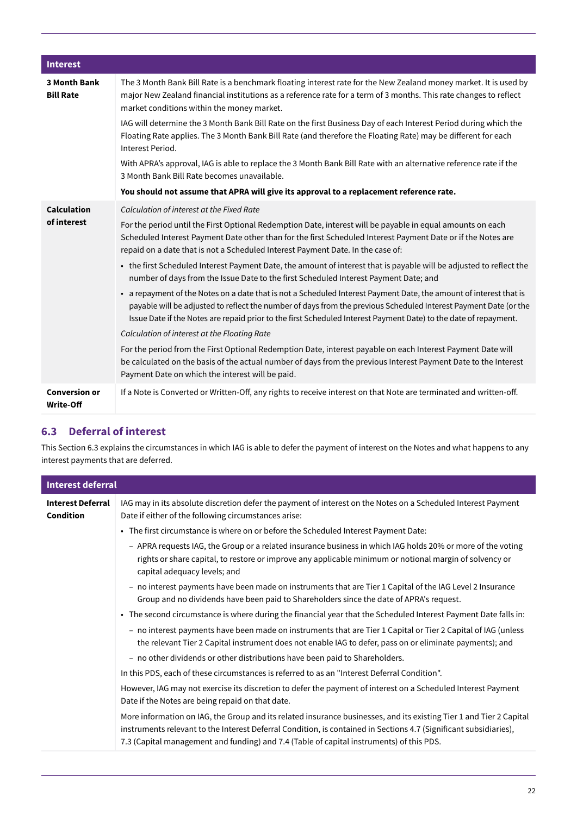| <b>Interest</b>                         |                                                                                                                                                                                                                                                                                                                                                            |
|-----------------------------------------|------------------------------------------------------------------------------------------------------------------------------------------------------------------------------------------------------------------------------------------------------------------------------------------------------------------------------------------------------------|
| <b>3 Month Bank</b><br><b>Bill Rate</b> | The 3 Month Bank Bill Rate is a benchmark floating interest rate for the New Zealand money market. It is used by<br>major New Zealand financial institutions as a reference rate for a term of 3 months. This rate changes to reflect<br>market conditions within the money market.                                                                        |
|                                         | IAG will determine the 3 Month Bank Bill Rate on the first Business Day of each Interest Period during which the<br>Floating Rate applies. The 3 Month Bank Bill Rate (and therefore the Floating Rate) may be different for each<br>Interest Period.                                                                                                      |
|                                         | With APRA's approval, IAG is able to replace the 3 Month Bank Bill Rate with an alternative reference rate if the<br>3 Month Bank Bill Rate becomes unavailable.                                                                                                                                                                                           |
|                                         | You should not assume that APRA will give its approval to a replacement reference rate.                                                                                                                                                                                                                                                                    |
| <b>Calculation</b>                      | Calculation of interest at the Fixed Rate                                                                                                                                                                                                                                                                                                                  |
| of interest                             | For the period until the First Optional Redemption Date, interest will be payable in equal amounts on each<br>Scheduled Interest Payment Date other than for the first Scheduled Interest Payment Date or if the Notes are<br>repaid on a date that is not a Scheduled Interest Payment Date. In the case of:                                              |
|                                         | • the first Scheduled Interest Payment Date, the amount of interest that is payable will be adjusted to reflect the<br>number of days from the Issue Date to the first Scheduled Interest Payment Date; and                                                                                                                                                |
|                                         | • a repayment of the Notes on a date that is not a Scheduled Interest Payment Date, the amount of interest that is<br>payable will be adjusted to reflect the number of days from the previous Scheduled Interest Payment Date (or the<br>Issue Date if the Notes are repaid prior to the first Scheduled Interest Payment Date) to the date of repayment. |
|                                         | Calculation of interest at the Floating Rate                                                                                                                                                                                                                                                                                                               |
|                                         | For the period from the First Optional Redemption Date, interest payable on each Interest Payment Date will<br>be calculated on the basis of the actual number of days from the previous Interest Payment Date to the Interest<br>Payment Date on which the interest will be paid.                                                                         |
| <b>Conversion or</b><br>Write-Off       | If a Note is Converted or Written-Off, any rights to receive interest on that Note are terminated and written-off.                                                                                                                                                                                                                                         |

### **6.3 Deferral of interest**

This Section 6.3 explains the circumstances in which IAG is able to defer the payment of interest on the Notes and what happens to any interest payments that are deferred.

| <b>Interest deferral</b>              |                                                                                                                                                                                                                                                                                                                                      |  |
|---------------------------------------|--------------------------------------------------------------------------------------------------------------------------------------------------------------------------------------------------------------------------------------------------------------------------------------------------------------------------------------|--|
| <b>Interest Deferral</b><br>Condition | IAG may in its absolute discretion defer the payment of interest on the Notes on a Scheduled Interest Payment<br>Date if either of the following circumstances arise:                                                                                                                                                                |  |
|                                       | • The first circumstance is where on or before the Scheduled Interest Payment Date:                                                                                                                                                                                                                                                  |  |
|                                       | - APRA requests IAG, the Group or a related insurance business in which IAG holds 20% or more of the voting<br>rights or share capital, to restore or improve any applicable minimum or notional margin of solvency or<br>capital adequacy levels; and                                                                               |  |
|                                       | - no interest payments have been made on instruments that are Tier 1 Capital of the IAG Level 2 Insurance<br>Group and no dividends have been paid to Shareholders since the date of APRA's request.                                                                                                                                 |  |
|                                       | • The second circumstance is where during the financial year that the Scheduled Interest Payment Date falls in:                                                                                                                                                                                                                      |  |
|                                       | - no interest payments have been made on instruments that are Tier 1 Capital or Tier 2 Capital of IAG (unless<br>the relevant Tier 2 Capital instrument does not enable IAG to defer, pass on or eliminate payments); and                                                                                                            |  |
|                                       | - no other dividends or other distributions have been paid to Shareholders.                                                                                                                                                                                                                                                          |  |
|                                       | In this PDS, each of these circumstances is referred to as an "Interest Deferral Condition".                                                                                                                                                                                                                                         |  |
|                                       | However, IAG may not exercise its discretion to defer the payment of interest on a Scheduled Interest Payment<br>Date if the Notes are being repaid on that date.                                                                                                                                                                    |  |
|                                       | More information on IAG, the Group and its related insurance businesses, and its existing Tier 1 and Tier 2 Capital<br>instruments relevant to the Interest Deferral Condition, is contained in Sections 4.7 (Significant subsidiaries),<br>7.3 (Capital management and funding) and 7.4 (Table of capital instruments) of this PDS. |  |
|                                       |                                                                                                                                                                                                                                                                                                                                      |  |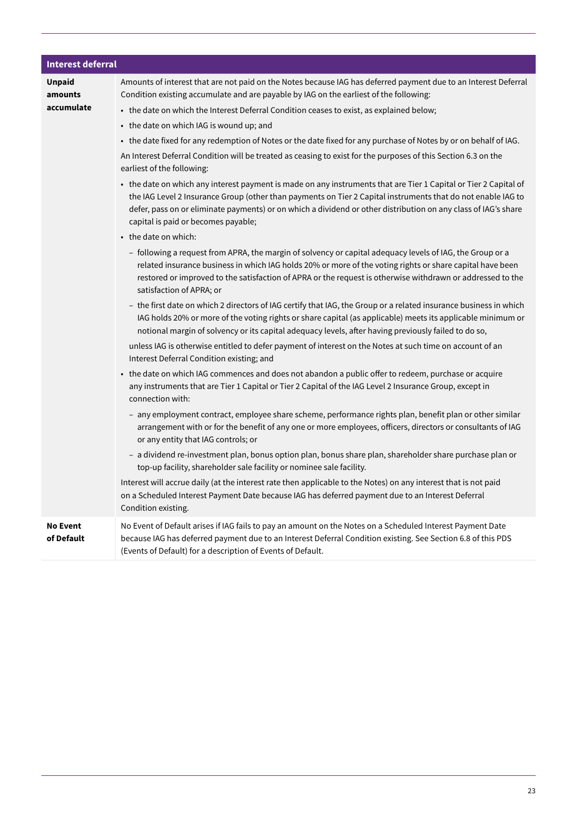| <b>Interest deferral</b>      |                                                                                                                                                                                                                                                                                                                                                                                           |  |  |  |  |  |
|-------------------------------|-------------------------------------------------------------------------------------------------------------------------------------------------------------------------------------------------------------------------------------------------------------------------------------------------------------------------------------------------------------------------------------------|--|--|--|--|--|
| <b>Unpaid</b><br>amounts      | Amounts of interest that are not paid on the Notes because IAG has deferred payment due to an Interest Deferral<br>Condition existing accumulate and are payable by IAG on the earliest of the following:                                                                                                                                                                                 |  |  |  |  |  |
| accumulate                    | • the date on which the Interest Deferral Condition ceases to exist, as explained below;                                                                                                                                                                                                                                                                                                  |  |  |  |  |  |
|                               | • the date on which IAG is wound up; and                                                                                                                                                                                                                                                                                                                                                  |  |  |  |  |  |
|                               | • the date fixed for any redemption of Notes or the date fixed for any purchase of Notes by or on behalf of IAG.                                                                                                                                                                                                                                                                          |  |  |  |  |  |
|                               | An Interest Deferral Condition will be treated as ceasing to exist for the purposes of this Section 6.3 on the<br>earliest of the following:                                                                                                                                                                                                                                              |  |  |  |  |  |
|                               | • the date on which any interest payment is made on any instruments that are Tier 1 Capital or Tier 2 Capital of<br>the IAG Level 2 Insurance Group (other than payments on Tier 2 Capital instruments that do not enable IAG to<br>defer, pass on or eliminate payments) or on which a dividend or other distribution on any class of IAG's share<br>capital is paid or becomes payable; |  |  |  |  |  |
|                               | • the date on which:                                                                                                                                                                                                                                                                                                                                                                      |  |  |  |  |  |
|                               | - following a request from APRA, the margin of solvency or capital adequacy levels of IAG, the Group or a<br>related insurance business in which IAG holds 20% or more of the voting rights or share capital have been<br>restored or improved to the satisfaction of APRA or the request is otherwise withdrawn or addressed to the<br>satisfaction of APRA; or                          |  |  |  |  |  |
|                               | - the first date on which 2 directors of IAG certify that IAG, the Group or a related insurance business in which<br>IAG holds 20% or more of the voting rights or share capital (as applicable) meets its applicable minimum or<br>notional margin of solvency or its capital adequacy levels, after having previously failed to do so,                                                  |  |  |  |  |  |
|                               | unless IAG is otherwise entitled to defer payment of interest on the Notes at such time on account of an<br>Interest Deferral Condition existing; and                                                                                                                                                                                                                                     |  |  |  |  |  |
|                               | • the date on which IAG commences and does not abandon a public offer to redeem, purchase or acquire<br>any instruments that are Tier 1 Capital or Tier 2 Capital of the IAG Level 2 Insurance Group, except in<br>connection with:                                                                                                                                                       |  |  |  |  |  |
|                               | - any employment contract, employee share scheme, performance rights plan, benefit plan or other similar<br>arrangement with or for the benefit of any one or more employees, officers, directors or consultants of IAG<br>or any entity that IAG controls; or                                                                                                                            |  |  |  |  |  |
|                               | - a dividend re-investment plan, bonus option plan, bonus share plan, shareholder share purchase plan or<br>top-up facility, shareholder sale facility or nominee sale facility.                                                                                                                                                                                                          |  |  |  |  |  |
|                               | Interest will accrue daily (at the interest rate then applicable to the Notes) on any interest that is not paid<br>on a Scheduled Interest Payment Date because IAG has deferred payment due to an Interest Deferral<br>Condition existing.                                                                                                                                               |  |  |  |  |  |
| <b>No Event</b><br>of Default | No Event of Default arises if IAG fails to pay an amount on the Notes on a Scheduled Interest Payment Date<br>because IAG has deferred payment due to an Interest Deferral Condition existing. See Section 6.8 of this PDS<br>(Events of Default) for a description of Events of Default.                                                                                                 |  |  |  |  |  |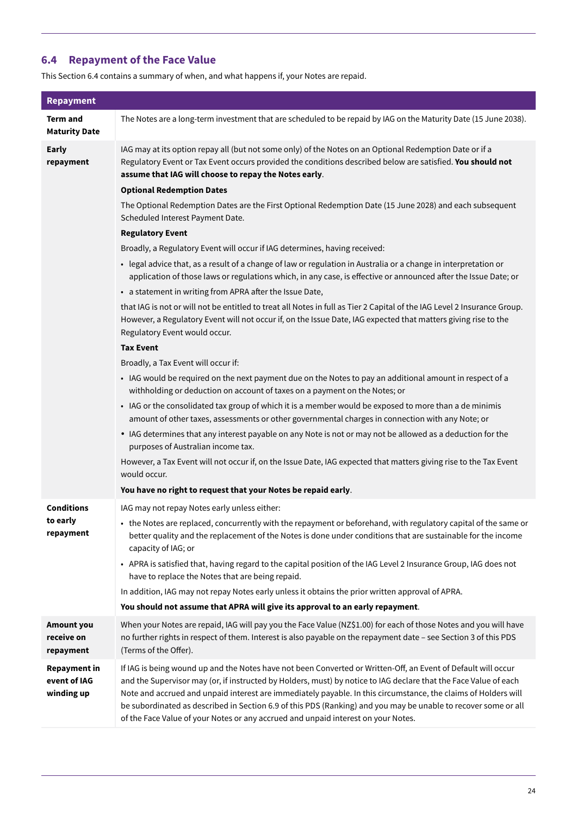### **6.4 Repayment of the Face Value**

This Section 6.4 contains a summary of when, and what happens if, your Notes are repaid.

| <b>Repayment</b>                                  |                                                                                                                                                                                                                                                                                                                                                                                                                                                                                                                                                            |  |  |  |  |
|---------------------------------------------------|------------------------------------------------------------------------------------------------------------------------------------------------------------------------------------------------------------------------------------------------------------------------------------------------------------------------------------------------------------------------------------------------------------------------------------------------------------------------------------------------------------------------------------------------------------|--|--|--|--|
| <b>Term and</b><br><b>Maturity Date</b>           | The Notes are a long-term investment that are scheduled to be repaid by IAG on the Maturity Date (15 June 2038).                                                                                                                                                                                                                                                                                                                                                                                                                                           |  |  |  |  |
| <b>Early</b><br>repayment                         | IAG may at its option repay all (but not some only) of the Notes on an Optional Redemption Date or if a<br>Regulatory Event or Tax Event occurs provided the conditions described below are satisfied. You should not<br>assume that IAG will choose to repay the Notes early.                                                                                                                                                                                                                                                                             |  |  |  |  |
|                                                   | <b>Optional Redemption Dates</b>                                                                                                                                                                                                                                                                                                                                                                                                                                                                                                                           |  |  |  |  |
|                                                   | The Optional Redemption Dates are the First Optional Redemption Date (15 June 2028) and each subsequent<br>Scheduled Interest Payment Date.                                                                                                                                                                                                                                                                                                                                                                                                                |  |  |  |  |
|                                                   | <b>Regulatory Event</b>                                                                                                                                                                                                                                                                                                                                                                                                                                                                                                                                    |  |  |  |  |
|                                                   | Broadly, a Regulatory Event will occur if IAG determines, having received:                                                                                                                                                                                                                                                                                                                                                                                                                                                                                 |  |  |  |  |
|                                                   | • legal advice that, as a result of a change of law or regulation in Australia or a change in interpretation or<br>application of those laws or regulations which, in any case, is effective or announced after the Issue Date; or                                                                                                                                                                                                                                                                                                                         |  |  |  |  |
|                                                   | • a statement in writing from APRA after the Issue Date,                                                                                                                                                                                                                                                                                                                                                                                                                                                                                                   |  |  |  |  |
|                                                   | that IAG is not or will not be entitled to treat all Notes in full as Tier 2 Capital of the IAG Level 2 Insurance Group.<br>However, a Regulatory Event will not occur if, on the Issue Date, IAG expected that matters giving rise to the<br>Regulatory Event would occur.                                                                                                                                                                                                                                                                                |  |  |  |  |
|                                                   | <b>Tax Event</b>                                                                                                                                                                                                                                                                                                                                                                                                                                                                                                                                           |  |  |  |  |
|                                                   | Broadly, a Tax Event will occur if:                                                                                                                                                                                                                                                                                                                                                                                                                                                                                                                        |  |  |  |  |
|                                                   | • IAG would be required on the next payment due on the Notes to pay an additional amount in respect of a<br>withholding or deduction on account of taxes on a payment on the Notes; or                                                                                                                                                                                                                                                                                                                                                                     |  |  |  |  |
|                                                   | • IAG or the consolidated tax group of which it is a member would be exposed to more than a de minimis<br>amount of other taxes, assessments or other governmental charges in connection with any Note; or                                                                                                                                                                                                                                                                                                                                                 |  |  |  |  |
|                                                   | • IAG determines that any interest payable on any Note is not or may not be allowed as a deduction for the<br>purposes of Australian income tax.                                                                                                                                                                                                                                                                                                                                                                                                           |  |  |  |  |
|                                                   | However, a Tax Event will not occur if, on the Issue Date, IAG expected that matters giving rise to the Tax Event<br>would occur.                                                                                                                                                                                                                                                                                                                                                                                                                          |  |  |  |  |
|                                                   | You have no right to request that your Notes be repaid early.                                                                                                                                                                                                                                                                                                                                                                                                                                                                                              |  |  |  |  |
| <b>Conditions</b>                                 | IAG may not repay Notes early unless either:                                                                                                                                                                                                                                                                                                                                                                                                                                                                                                               |  |  |  |  |
| to early<br>repayment                             | • the Notes are replaced, concurrently with the repayment or beforehand, with regulatory capital of the same or<br>better quality and the replacement of the Notes is done under conditions that are sustainable for the income<br>capacity of IAG; or                                                                                                                                                                                                                                                                                                     |  |  |  |  |
|                                                   | • APRA is satisfied that, having regard to the capital position of the IAG Level 2 Insurance Group, IAG does not<br>have to replace the Notes that are being repaid.                                                                                                                                                                                                                                                                                                                                                                                       |  |  |  |  |
|                                                   | In addition, IAG may not repay Notes early unless it obtains the prior written approval of APRA.                                                                                                                                                                                                                                                                                                                                                                                                                                                           |  |  |  |  |
|                                                   | You should not assume that APRA will give its approval to an early repayment.                                                                                                                                                                                                                                                                                                                                                                                                                                                                              |  |  |  |  |
| <b>Amount you</b><br>receive on<br>repayment      | When your Notes are repaid, IAG will pay you the Face Value (NZ\$1.00) for each of those Notes and you will have<br>no further rights in respect of them. Interest is also payable on the repayment date - see Section 3 of this PDS<br>(Terms of the Offer).                                                                                                                                                                                                                                                                                              |  |  |  |  |
| <b>Repayment in</b><br>event of IAG<br>winding up | If IAG is being wound up and the Notes have not been Converted or Written-Off, an Event of Default will occur<br>and the Supervisor may (or, if instructed by Holders, must) by notice to IAG declare that the Face Value of each<br>Note and accrued and unpaid interest are immediately payable. In this circumstance, the claims of Holders will<br>be subordinated as described in Section 6.9 of this PDS (Ranking) and you may be unable to recover some or all<br>of the Face Value of your Notes or any accrued and unpaid interest on your Notes. |  |  |  |  |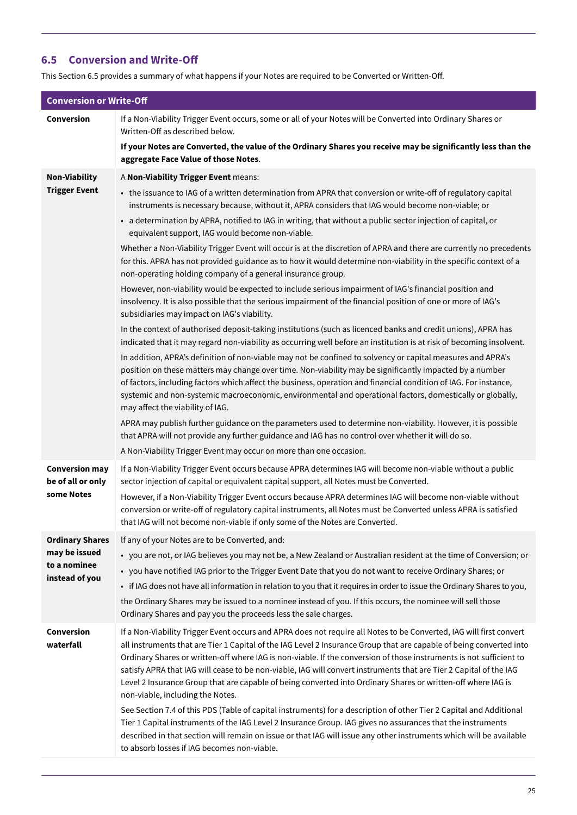### **6.5 Conversion and Write-Off**

This Section 6.5 provides a summary of what happens if your Notes are required to be Converted or Written-Off.

| <b>Conversion or Write-Off</b>                                            |                                                                                                                                                                                                                                                                                                                                                                                                                                                                                                                                                                                                                                                                                                                                                                                                                                                                                                                                                                                                                                                                                                                                                                                                                                                                                                                                                                                                                                                                                                                                                                                                                                                                                                                                                                                                                                                                                                                                                                                                                                                        |
|---------------------------------------------------------------------------|--------------------------------------------------------------------------------------------------------------------------------------------------------------------------------------------------------------------------------------------------------------------------------------------------------------------------------------------------------------------------------------------------------------------------------------------------------------------------------------------------------------------------------------------------------------------------------------------------------------------------------------------------------------------------------------------------------------------------------------------------------------------------------------------------------------------------------------------------------------------------------------------------------------------------------------------------------------------------------------------------------------------------------------------------------------------------------------------------------------------------------------------------------------------------------------------------------------------------------------------------------------------------------------------------------------------------------------------------------------------------------------------------------------------------------------------------------------------------------------------------------------------------------------------------------------------------------------------------------------------------------------------------------------------------------------------------------------------------------------------------------------------------------------------------------------------------------------------------------------------------------------------------------------------------------------------------------------------------------------------------------------------------------------------------------|
| Conversion                                                                | If a Non-Viability Trigger Event occurs, some or all of your Notes will be Converted into Ordinary Shares or<br>Written-Off as described below.                                                                                                                                                                                                                                                                                                                                                                                                                                                                                                                                                                                                                                                                                                                                                                                                                                                                                                                                                                                                                                                                                                                                                                                                                                                                                                                                                                                                                                                                                                                                                                                                                                                                                                                                                                                                                                                                                                        |
|                                                                           | If your Notes are Converted, the value of the Ordinary Shares you receive may be significantly less than the<br>aggregate Face Value of those Notes.                                                                                                                                                                                                                                                                                                                                                                                                                                                                                                                                                                                                                                                                                                                                                                                                                                                                                                                                                                                                                                                                                                                                                                                                                                                                                                                                                                                                                                                                                                                                                                                                                                                                                                                                                                                                                                                                                                   |
| <b>Non-Viability</b><br><b>Trigger Event</b>                              | A Non-Viability Trigger Event means:<br>• the issuance to IAG of a written determination from APRA that conversion or write-off of regulatory capital<br>instruments is necessary because, without it, APRA considers that IAG would become non-viable; or<br>• a determination by APRA, notified to IAG in writing, that without a public sector injection of capital, or<br>equivalent support, IAG would become non-viable.<br>Whether a Non-Viability Trigger Event will occur is at the discretion of APRA and there are currently no precedents<br>for this. APRA has not provided guidance as to how it would determine non-viability in the specific context of a<br>non-operating holding company of a general insurance group.<br>However, non-viability would be expected to include serious impairment of IAG's financial position and<br>insolvency. It is also possible that the serious impairment of the financial position of one or more of IAG's<br>subsidiaries may impact on IAG's viability.<br>In the context of authorised deposit-taking institutions (such as licenced banks and credit unions), APRA has<br>indicated that it may regard non-viability as occurring well before an institution is at risk of becoming insolvent.<br>In addition, APRA's definition of non-viable may not be confined to solvency or capital measures and APRA's<br>position on these matters may change over time. Non-viability may be significantly impacted by a number<br>of factors, including factors which affect the business, operation and financial condition of IAG. For instance,<br>systemic and non-systemic macroeconomic, environmental and operational factors, domestically or globally,<br>may affect the viability of IAG.<br>APRA may publish further guidance on the parameters used to determine non-viability. However, it is possible<br>that APRA will not provide any further guidance and IAG has no control over whether it will do so.<br>A Non-Viability Trigger Event may occur on more than one occasion. |
| <b>Conversion may</b><br>be of all or only<br>some Notes                  | If a Non-Viability Trigger Event occurs because APRA determines IAG will become non-viable without a public<br>sector injection of capital or equivalent capital support, all Notes must be Converted.<br>However, if a Non-Viability Trigger Event occurs because APRA determines IAG will become non-viable without<br>conversion or write-off of regulatory capital instruments, all Notes must be Converted unless APRA is satisfied<br>that IAG will not become non-viable if only some of the Notes are Converted.                                                                                                                                                                                                                                                                                                                                                                                                                                                                                                                                                                                                                                                                                                                                                                                                                                                                                                                                                                                                                                                                                                                                                                                                                                                                                                                                                                                                                                                                                                                               |
| <b>Ordinary Shares</b><br>may be issued<br>to a nominee<br>instead of you | If any of your Notes are to be Converted, and:<br>• you are not, or IAG believes you may not be, a New Zealand or Australian resident at the time of Conversion; or<br>• you have notified IAG prior to the Trigger Event Date that you do not want to receive Ordinary Shares; or<br>• if IAG does not have all information in relation to you that it requires in order to issue the Ordinary Shares to you,<br>the Ordinary Shares may be issued to a nominee instead of you. If this occurs, the nominee will sell those<br>Ordinary Shares and pay you the proceeds less the sale charges.                                                                                                                                                                                                                                                                                                                                                                                                                                                                                                                                                                                                                                                                                                                                                                                                                                                                                                                                                                                                                                                                                                                                                                                                                                                                                                                                                                                                                                                        |
| Conversion<br>waterfall                                                   | If a Non-Viability Trigger Event occurs and APRA does not require all Notes to be Converted, IAG will first convert<br>all instruments that are Tier 1 Capital of the IAG Level 2 Insurance Group that are capable of being converted into<br>Ordinary Shares or written-off where IAG is non-viable. If the conversion of those instruments is not sufficient to<br>satisfy APRA that IAG will cease to be non-viable, IAG will convert instruments that are Tier 2 Capital of the IAG<br>Level 2 Insurance Group that are capable of being converted into Ordinary Shares or written-off where IAG is<br>non-viable, including the Notes.<br>See Section 7.4 of this PDS (Table of capital instruments) for a description of other Tier 2 Capital and Additional<br>Tier 1 Capital instruments of the IAG Level 2 Insurance Group. IAG gives no assurances that the instruments<br>described in that section will remain on issue or that IAG will issue any other instruments which will be available<br>to absorb losses if IAG becomes non-viable.                                                                                                                                                                                                                                                                                                                                                                                                                                                                                                                                                                                                                                                                                                                                                                                                                                                                                                                                                                                                |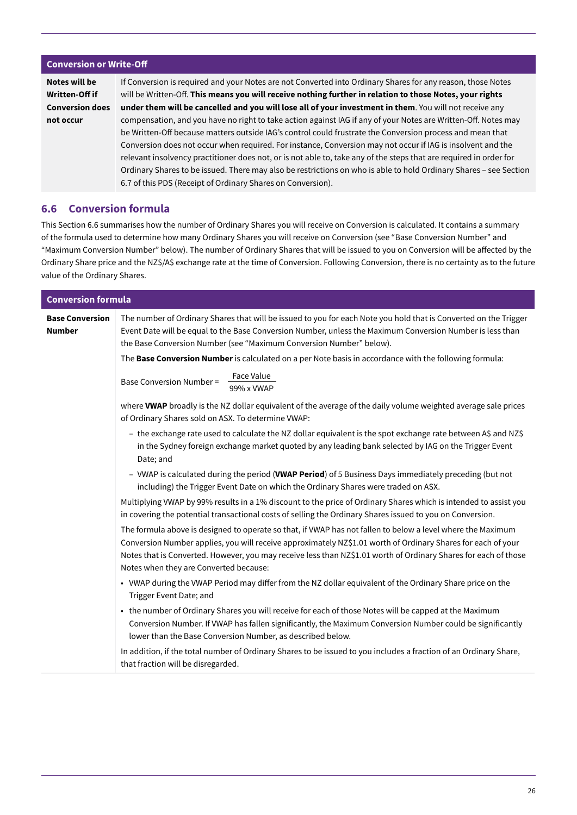#### **Conversion or Write-Off**

**Notes will be Written-Off if Conversion does not occur** If Conversion is required and your Notes are not Converted into Ordinary Shares for any reason, those Notes will be Written-Off. **This means you will receive nothing further in relation to those Notes, your rights under them will be cancelled and you will lose all of your investment in them**. You will not receive any compensation, and you have no right to take action against IAG if any of your Notes are Written-Off. Notes may be Written-Off because matters outside IAG's control could frustrate the Conversion process and mean that Conversion does not occur when required. For instance, Conversion may not occur if IAG is insolvent and the relevant insolvency practitioner does not, or is not able to, take any of the steps that are required in order for Ordinary Shares to be issued. There may also be restrictions on who is able to hold Ordinary Shares – see Section 6.7 of this PDS (Receipt of Ordinary Shares on Conversion).

### **6.6 Conversion formula**

This Section 6.6 summarises how the number of Ordinary Shares you will receive on Conversion is calculated. It contains a summary of the formula used to determine how many Ordinary Shares you will receive on Conversion (see "Base Conversion Number" and "Maximum Conversion Number" below). The number of Ordinary Shares that will be issued to you on Conversion will be affected by the Ordinary Share price and the NZ\$/A\$ exchange rate at the time of Conversion. Following Conversion, there is no certainty as to the future value of the Ordinary Shares.

| <b>Conversion formula</b>               |                                                                                                                                                                                                                                                                                                                                                                                          |  |  |  |  |  |
|-----------------------------------------|------------------------------------------------------------------------------------------------------------------------------------------------------------------------------------------------------------------------------------------------------------------------------------------------------------------------------------------------------------------------------------------|--|--|--|--|--|
| <b>Base Conversion</b><br><b>Number</b> | The number of Ordinary Shares that will be issued to you for each Note you hold that is Converted on the Trigger<br>Event Date will be equal to the Base Conversion Number, unless the Maximum Conversion Number is less than<br>the Base Conversion Number (see "Maximum Conversion Number" below).                                                                                     |  |  |  |  |  |
|                                         | The Base Conversion Number is calculated on a per Note basis in accordance with the following formula:                                                                                                                                                                                                                                                                                   |  |  |  |  |  |
|                                         | Face Value<br><b>Base Conversion Number =</b><br>99% x VWAP                                                                                                                                                                                                                                                                                                                              |  |  |  |  |  |
|                                         | where VWAP broadly is the NZ dollar equivalent of the average of the daily volume weighted average sale prices<br>of Ordinary Shares sold on ASX. To determine VWAP:                                                                                                                                                                                                                     |  |  |  |  |  |
|                                         | - the exchange rate used to calculate the NZ dollar equivalent is the spot exchange rate between A\$ and NZ\$<br>in the Sydney foreign exchange market quoted by any leading bank selected by IAG on the Trigger Event<br>Date; and                                                                                                                                                      |  |  |  |  |  |
|                                         | - VWAP is calculated during the period (VWAP Period) of 5 Business Days immediately preceding (but not<br>including) the Trigger Event Date on which the Ordinary Shares were traded on ASX.                                                                                                                                                                                             |  |  |  |  |  |
|                                         | Multiplying VWAP by 99% results in a 1% discount to the price of Ordinary Shares which is intended to assist you<br>in covering the potential transactional costs of selling the Ordinary Shares issued to you on Conversion.                                                                                                                                                            |  |  |  |  |  |
|                                         | The formula above is designed to operate so that, if VWAP has not fallen to below a level where the Maximum<br>Conversion Number applies, you will receive approximately NZ\$1.01 worth of Ordinary Shares for each of your<br>Notes that is Converted. However, you may receive less than NZ\$1.01 worth of Ordinary Shares for each of those<br>Notes when they are Converted because: |  |  |  |  |  |
|                                         | • VWAP during the VWAP Period may differ from the NZ dollar equivalent of the Ordinary Share price on the<br>Trigger Event Date; and                                                                                                                                                                                                                                                     |  |  |  |  |  |
|                                         | • the number of Ordinary Shares you will receive for each of those Notes will be capped at the Maximum<br>Conversion Number. If VWAP has fallen significantly, the Maximum Conversion Number could be significantly<br>lower than the Base Conversion Number, as described below.                                                                                                        |  |  |  |  |  |
|                                         | In addition, if the total number of Ordinary Shares to be issued to you includes a fraction of an Ordinary Share,<br>that fraction will be disregarded.                                                                                                                                                                                                                                  |  |  |  |  |  |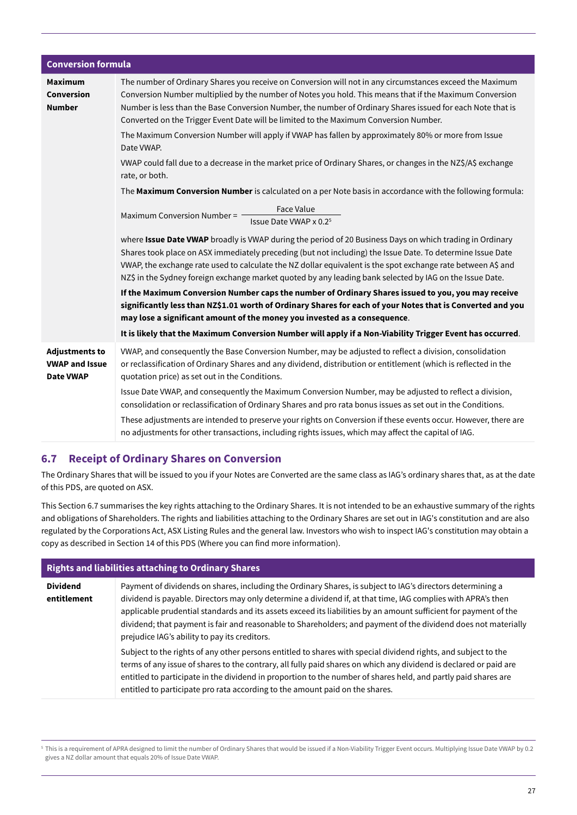| <b>Conversion formula</b>                                          |                                                                                                                                                                                                                                                                                                                                                                                                                                                    |
|--------------------------------------------------------------------|----------------------------------------------------------------------------------------------------------------------------------------------------------------------------------------------------------------------------------------------------------------------------------------------------------------------------------------------------------------------------------------------------------------------------------------------------|
| <b>Maximum</b><br>Conversion<br><b>Number</b>                      | The number of Ordinary Shares you receive on Conversion will not in any circumstances exceed the Maximum<br>Conversion Number multiplied by the number of Notes you hold. This means that if the Maximum Conversion<br>Number is less than the Base Conversion Number, the number of Ordinary Shares issued for each Note that is<br>Converted on the Trigger Event Date will be limited to the Maximum Conversion Number.                         |
|                                                                    | The Maximum Conversion Number will apply if VWAP has fallen by approximately 80% or more from Issue<br>Date VWAP.                                                                                                                                                                                                                                                                                                                                  |
|                                                                    | VWAP could fall due to a decrease in the market price of Ordinary Shares, or changes in the NZ\$/A\$ exchange<br>rate, or both.                                                                                                                                                                                                                                                                                                                    |
|                                                                    | The Maximum Conversion Number is calculated on a per Note basis in accordance with the following formula:                                                                                                                                                                                                                                                                                                                                          |
|                                                                    | <b>Face Value</b><br>Maximum Conversion Number = -<br>Issue Date VWAP x 0.2 <sup>5</sup>                                                                                                                                                                                                                                                                                                                                                           |
|                                                                    | where Issue Date VWAP broadly is VWAP during the period of 20 Business Days on which trading in Ordinary<br>Shares took place on ASX immediately preceding (but not including) the Issue Date. To determine Issue Date<br>VWAP, the exchange rate used to calculate the NZ dollar equivalent is the spot exchange rate between A\$ and<br>NZ\$ in the Sydney foreign exchange market quoted by any leading bank selected by IAG on the Issue Date. |
|                                                                    | If the Maximum Conversion Number caps the number of Ordinary Shares issued to you, you may receive<br>significantly less than NZ\$1.01 worth of Ordinary Shares for each of your Notes that is Converted and you<br>may lose a significant amount of the money you invested as a consequence.                                                                                                                                                      |
|                                                                    | It is likely that the Maximum Conversion Number will apply if a Non-Viability Trigger Event has occurred.                                                                                                                                                                                                                                                                                                                                          |
| <b>Adjustments to</b><br><b>VWAP and Issue</b><br><b>Date VWAP</b> | VWAP, and consequently the Base Conversion Number, may be adjusted to reflect a division, consolidation<br>or reclassification of Ordinary Shares and any dividend, distribution or entitlement (which is reflected in the<br>quotation price) as set out in the Conditions.                                                                                                                                                                       |
|                                                                    | Issue Date VWAP, and consequently the Maximum Conversion Number, may be adjusted to reflect a division,<br>consolidation or reclassification of Ordinary Shares and pro rata bonus issues as set out in the Conditions.                                                                                                                                                                                                                            |
|                                                                    | These adjustments are intended to preserve your rights on Conversion if these events occur. However, there are<br>no adjustments for other transactions, including rights issues, which may affect the capital of IAG.                                                                                                                                                                                                                             |

### **6.7 Receipt of Ordinary Shares on Conversion**

The Ordinary Shares that will be issued to you if your Notes are Converted are the same class as IAG's ordinary shares that, as at the date of this PDS, are quoted on ASX.

This Section 6.7 summarises the key rights attaching to the Ordinary Shares. It is not intended to be an exhaustive summary of the rights and obligations of Shareholders. The rights and liabilities attaching to the Ordinary Shares are set out in IAG's constitution and are also regulated by the Corporations Act, ASX Listing Rules and the general law. Investors who wish to inspect IAG's constitution may obtain a copy as described in Section 14 of this PDS (Where you can find more information).

### **Rights and liabilities attaching to Ordinary Shares**

| <b>Dividend</b> | Payment of dividends on shares, including the Ordinary Shares, is subject to IAG's directors determining a                                                                                                                                                                                                                                                                                                                            |
|-----------------|---------------------------------------------------------------------------------------------------------------------------------------------------------------------------------------------------------------------------------------------------------------------------------------------------------------------------------------------------------------------------------------------------------------------------------------|
| entitlement     | dividend is payable. Directors may only determine a dividend if, at that time, IAG complies with APRA's then<br>applicable prudential standards and its assets exceed its liabilities by an amount sufficient for payment of the<br>dividend; that payment is fair and reasonable to Shareholders; and payment of the dividend does not materially<br>prejudice IAG's ability to pay its creditors.                                   |
|                 | Subject to the rights of any other persons entitled to shares with special dividend rights, and subject to the<br>terms of any issue of shares to the contrary, all fully paid shares on which any dividend is declared or paid are<br>entitled to participate in the dividend in proportion to the number of shares held, and partly paid shares are<br>entitled to participate pro rata according to the amount paid on the shares. |

5 This is a requirement of APRA designed to limit the number of Ordinary Shares that would be issued if a Non-Viability Trigger Event occurs. Multiplying Issue Date VWAP by 0.2 gives a NZ dollar amount that equals 20% of Issue Date VWAP.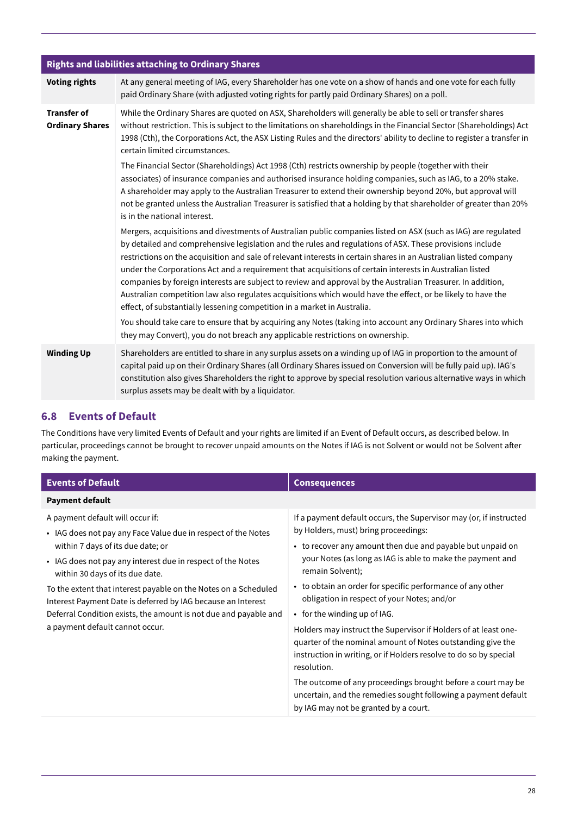| <b>Rights and liabilities attaching to Ordinary Shares</b> |                                                                                                                                                                                                                                                                                                                                                                                                                                                                                                                                                                                                                                                                                                                                                                       |  |  |  |
|------------------------------------------------------------|-----------------------------------------------------------------------------------------------------------------------------------------------------------------------------------------------------------------------------------------------------------------------------------------------------------------------------------------------------------------------------------------------------------------------------------------------------------------------------------------------------------------------------------------------------------------------------------------------------------------------------------------------------------------------------------------------------------------------------------------------------------------------|--|--|--|
| <b>Voting rights</b>                                       | At any general meeting of IAG, every Shareholder has one vote on a show of hands and one vote for each fully<br>paid Ordinary Share (with adjusted voting rights for partly paid Ordinary Shares) on a poll.                                                                                                                                                                                                                                                                                                                                                                                                                                                                                                                                                          |  |  |  |
| <b>Transfer of</b><br><b>Ordinary Shares</b>               | While the Ordinary Shares are quoted on ASX, Shareholders will generally be able to sell or transfer shares<br>without restriction. This is subject to the limitations on shareholdings in the Financial Sector (Shareholdings) Act<br>1998 (Cth), the Corporations Act, the ASX Listing Rules and the directors' ability to decline to register a transfer in<br>certain limited circumstances.                                                                                                                                                                                                                                                                                                                                                                      |  |  |  |
|                                                            | The Financial Sector (Shareholdings) Act 1998 (Cth) restricts ownership by people (together with their<br>associates) of insurance companies and authorised insurance holding companies, such as IAG, to a 20% stake.<br>A shareholder may apply to the Australian Treasurer to extend their ownership beyond 20%, but approval will<br>not be granted unless the Australian Treasurer is satisfied that a holding by that shareholder of greater than 20%<br>is in the national interest.                                                                                                                                                                                                                                                                            |  |  |  |
|                                                            | Mergers, acquisitions and divestments of Australian public companies listed on ASX (such as IAG) are regulated<br>by detailed and comprehensive legislation and the rules and regulations of ASX. These provisions include<br>restrictions on the acquisition and sale of relevant interests in certain shares in an Australian listed company<br>under the Corporations Act and a requirement that acquisitions of certain interests in Australian listed<br>companies by foreign interests are subject to review and approval by the Australian Treasurer. In addition,<br>Australian competition law also regulates acquisitions which would have the effect, or be likely to have the<br>effect, of substantially lessening competition in a market in Australia. |  |  |  |
|                                                            | You should take care to ensure that by acquiring any Notes (taking into account any Ordinary Shares into which<br>they may Convert), you do not breach any applicable restrictions on ownership.                                                                                                                                                                                                                                                                                                                                                                                                                                                                                                                                                                      |  |  |  |
| <b>Winding Up</b>                                          | Shareholders are entitled to share in any surplus assets on a winding up of IAG in proportion to the amount of<br>capital paid up on their Ordinary Shares (all Ordinary Shares issued on Conversion will be fully paid up). IAG's<br>constitution also gives Shareholders the right to approve by special resolution various alternative ways in which<br>surplus assets may be dealt with by a liquidator.                                                                                                                                                                                                                                                                                                                                                          |  |  |  |

### **6.8 Events of Default**

The Conditions have very limited Events of Default and your rights are limited if an Event of Default occurs, as described below. In particular, proceedings cannot be brought to recover unpaid amounts on the Notes if IAG is not Solvent or would not be Solvent after making the payment.

| <b>Events of Default</b>                                                                                                                                                                                                                 | <b>Consequences</b>                                                                                                                                                                                                                                                                                                                                                                                                                       |  |  |
|------------------------------------------------------------------------------------------------------------------------------------------------------------------------------------------------------------------------------------------|-------------------------------------------------------------------------------------------------------------------------------------------------------------------------------------------------------------------------------------------------------------------------------------------------------------------------------------------------------------------------------------------------------------------------------------------|--|--|
| <b>Payment default</b>                                                                                                                                                                                                                   |                                                                                                                                                                                                                                                                                                                                                                                                                                           |  |  |
| A payment default will occur if:<br>• IAG does not pay any Face Value due in respect of the Notes<br>within 7 days of its due date; or<br>• IAG does not pay any interest due in respect of the Notes<br>within 30 days of its due date. | If a payment default occurs, the Supervisor may (or, if instructed<br>by Holders, must) bring proceedings:<br>• to recover any amount then due and payable but unpaid on<br>your Notes (as long as IAG is able to make the payment and<br>remain Solvent);<br>• to obtain an order for specific performance of any other                                                                                                                  |  |  |
| To the extent that interest payable on the Notes on a Scheduled<br>Interest Payment Date is deferred by IAG because an Interest<br>Deferral Condition exists, the amount is not due and payable and<br>a payment default cannot occur.   | obligation in respect of your Notes; and/or<br>$\cdot$ for the winding up of IAG.<br>Holders may instruct the Supervisor if Holders of at least one-<br>quarter of the nominal amount of Notes outstanding give the<br>instruction in writing, or if Holders resolve to do so by special<br>resolution.<br>The outcome of any proceedings brought before a court may be<br>uncertain, and the remedies sought following a payment default |  |  |
|                                                                                                                                                                                                                                          | by IAG may not be granted by a court.                                                                                                                                                                                                                                                                                                                                                                                                     |  |  |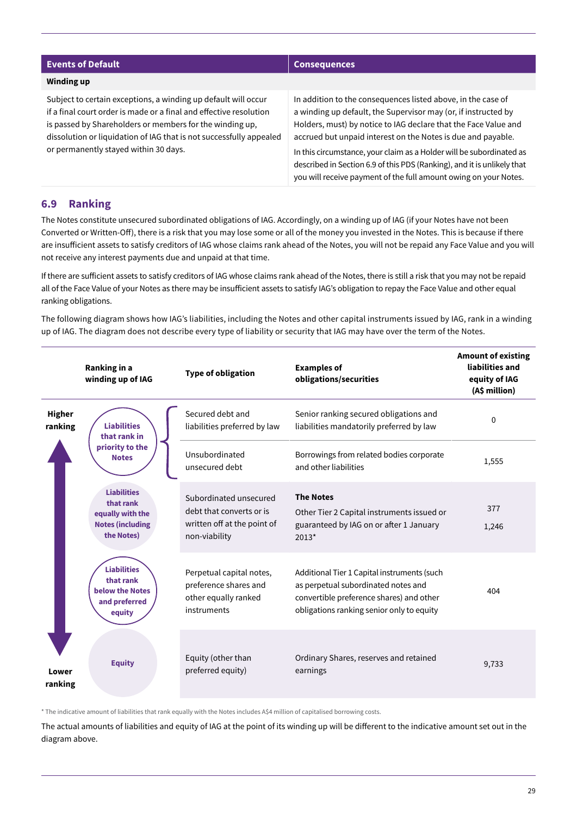| <b>Events of Default</b>                                                                                                                                                                                                                                                                                         | <b>Consequences</b>                                                                                                                                                                                                                                                                                                                                                                                                                                                                      |  |  |
|------------------------------------------------------------------------------------------------------------------------------------------------------------------------------------------------------------------------------------------------------------------------------------------------------------------|------------------------------------------------------------------------------------------------------------------------------------------------------------------------------------------------------------------------------------------------------------------------------------------------------------------------------------------------------------------------------------------------------------------------------------------------------------------------------------------|--|--|
| Winding up                                                                                                                                                                                                                                                                                                       |                                                                                                                                                                                                                                                                                                                                                                                                                                                                                          |  |  |
| Subject to certain exceptions, a winding up default will occur<br>if a final court order is made or a final and effective resolution<br>is passed by Shareholders or members for the winding up,<br>dissolution or liquidation of IAG that is not successfully appealed<br>or permanently stayed within 30 days. | In addition to the consequences listed above, in the case of<br>a winding up default, the Supervisor may (or, if instructed by<br>Holders, must) by notice to IAG declare that the Face Value and<br>accrued but unpaid interest on the Notes is due and payable.<br>In this circumstance, your claim as a Holder will be subordinated as<br>described in Section 6.9 of this PDS (Ranking), and it is unlikely that<br>you will receive payment of the full amount owing on your Notes. |  |  |

### **6.9 Ranking**

The Notes constitute unsecured subordinated obligations of IAG. Accordingly, on a winding up of IAG (if your Notes have not been Converted or Written-Off), there is a risk that you may lose some or all of the money you invested in the Notes. This is because if there are insufficient assets to satisfy creditors of IAG whose claims rank ahead of the Notes, you will not be repaid any Face Value and you will not receive any interest payments due and unpaid at that time.

If there are sufficient assets to satisfy creditors of IAG whose claims rank ahead of the Notes, there is still a risk that you may not be repaid all of the Face Value of your Notes as there may be insufficient assets to satisfy IAG's obligation to repay the Face Value and other equal ranking obligations.

The following diagram shows how IAG's liabilities, including the Notes and other capital instruments issued by IAG, rank in a winding up of IAG. The diagram does not describe every type of liability or security that IAG may have over the term of the Notes.

|                          | Ranking in a<br>winding up of IAG                                                                                               | <b>Type of obligation</b>                                                                          | <b>Examples of</b><br>obligations/securities                                                                                                                                | <b>Amount of existing</b><br>liabilities and<br>equity of IAG<br>(A\$ million) |
|--------------------------|---------------------------------------------------------------------------------------------------------------------------------|----------------------------------------------------------------------------------------------------|-----------------------------------------------------------------------------------------------------------------------------------------------------------------------------|--------------------------------------------------------------------------------|
| <b>Higher</b><br>ranking | <b>Liabilities</b><br>that rank in                                                                                              | Secured debt and<br>liabilities preferred by law                                                   | Senior ranking secured obligations and<br>liabilities mandatorily preferred by law                                                                                          | 0                                                                              |
|                          | priority to the<br><b>Notes</b><br><b>Liabilities</b><br>that rank<br>equally with the<br><b>Notes (including</b><br>the Notes) | Unsubordinated<br>unsecured debt                                                                   | Borrowings from related bodies corporate<br>and other liabilities                                                                                                           | 1,555                                                                          |
|                          |                                                                                                                                 | Subordinated unsecured<br>debt that converts or is<br>written off at the point of<br>non-viability | <b>The Notes</b><br>Other Tier 2 Capital instruments issued or<br>guaranteed by IAG on or after 1 January<br>$2013*$                                                        | 377<br>1,246                                                                   |
|                          | <b>Liabilities</b><br>that rank<br>below the Notes<br>and preferred<br>equity                                                   | Perpetual capital notes,<br>preference shares and<br>other equally ranked<br>instruments           | Additional Tier 1 Capital instruments (such<br>as perpetual subordinated notes and<br>convertible preference shares) and other<br>obligations ranking senior only to equity | 404                                                                            |
| Lower<br>ranking         | <b>Equity</b>                                                                                                                   | Equity (other than<br>preferred equity)                                                            | Ordinary Shares, reserves and retained<br>earnings                                                                                                                          | 9,733                                                                          |

\* The indicative amount of liabilities that rank equally with the Notes includes A\$4 million of capitalised borrowing costs.

The actual amounts of liabilities and equity of IAG at the point of its winding up will be different to the indicative amount set out in the diagram above.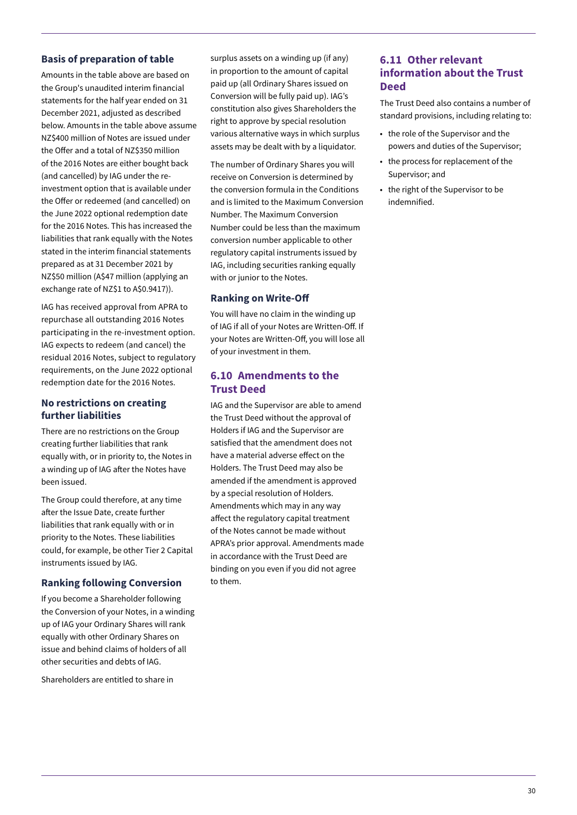### **Basis of preparation of table**

Amounts in the table above are based on the Group's unaudited interim financial statements for the half year ended on 31 December 2021, adjusted as described below. Amounts in the table above assume NZ\$400 million of Notes are issued under the Offer and a total of NZ\$350 million of the 2016 Notes are either bought back (and cancelled) by IAG under the reinvestment option that is available under the Offer or redeemed (and cancelled) on the June 2022 optional redemption date for the 2016 Notes. This has increased the liabilities that rank equally with the Notes stated in the interim financial statements prepared as at 31 December 2021 by NZ\$50 million (A\$47 million (applying an exchange rate of NZ\$1 to A\$0.9417)).

IAG has received approval from APRA to repurchase all outstanding 2016 Notes participating in the re-investment option. IAG expects to redeem (and cancel) the residual 2016 Notes, subject to regulatory requirements, on the June 2022 optional redemption date for the 2016 Notes.

### **No restrictions on creating further liabilities**

There are no restrictions on the Group creating further liabilities that rank equally with, or in priority to, the Notes in a winding up of IAG after the Notes have been issued.

The Group could therefore, at any time after the Issue Date, create further liabilities that rank equally with or in priority to the Notes. These liabilities could, for example, be other Tier 2 Capital instruments issued by IAG.

### **Ranking following Conversion**

If you become a Shareholder following the Conversion of your Notes, in a winding up of IAG your Ordinary Shares will rank equally with other Ordinary Shares on issue and behind claims of holders of all other securities and debts of IAG.

Shareholders are entitled to share in

surplus assets on a winding up (if any) in proportion to the amount of capital paid up (all Ordinary Shares issued on Conversion will be fully paid up). IAG's constitution also gives Shareholders the right to approve by special resolution various alternative ways in which surplus assets may be dealt with by a liquidator.

The number of Ordinary Shares you will receive on Conversion is determined by the conversion formula in the Conditions and is limited to the Maximum Conversion Number. The Maximum Conversion Number could be less than the maximum conversion number applicable to other regulatory capital instruments issued by IAG, including securities ranking equally with or junior to the Notes.

### **Ranking on Write-Off**

You will have no claim in the winding up of IAG if all of your Notes are Written-Off. If your Notes are Written-Off, you will lose all of your investment in them.

### **6.10 Amendments to the Trust Deed**

IAG and the Supervisor are able to amend the Trust Deed without the approval of Holders if IAG and the Supervisor are satisfied that the amendment does not have a material adverse effect on the Holders. The Trust Deed may also be amended if the amendment is approved by a special resolution of Holders. Amendments which may in any way affect the regulatory capital treatment of the Notes cannot be made without APRA's prior approval. Amendments made in accordance with the Trust Deed are binding on you even if you did not agree to them.

### **6.11 Other relevant information about the Trust Deed**

The Trust Deed also contains a number of standard provisions, including relating to:

- the role of the Supervisor and the powers and duties of the Supervisor;
- the process for replacement of the Supervisor; and
- the right of the Supervisor to be indemnified.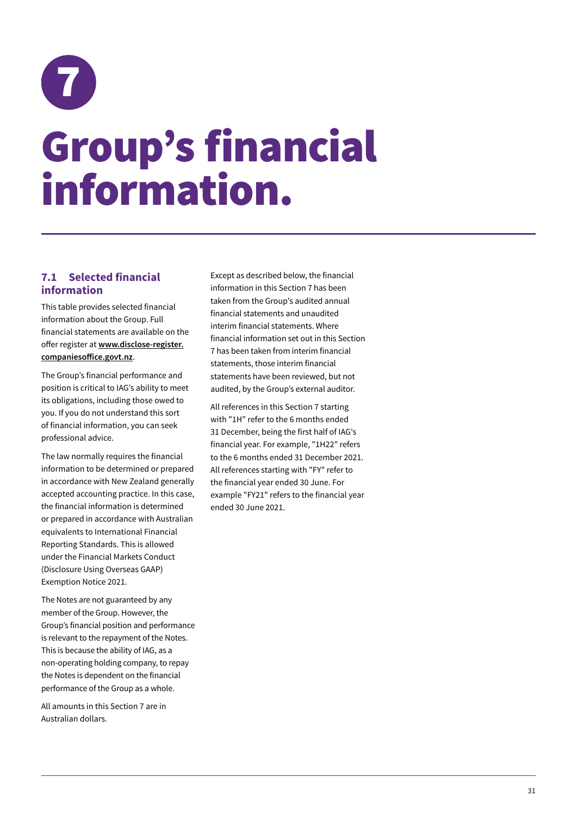<span id="page-34-0"></span>

### Group's financial information.

### **7.1 Selected financial information**

This table provides selected financial information about the Group. Full financial statements are available on the offer register at **www.disclose-register. companiesoffice.govt.nz**.

The Group's financial performance and position is critical to IAG's ability to meet its obligations, including those owed to you. If you do not understand this sort of financial information, you can seek professional advice.

The law normally requires the financial information to be determined or prepared in accordance with New Zealand generally accepted accounting practice. In this case, the financial information is determined or prepared in accordance with Australian equivalents to International Financial Reporting Standards. This is allowed under the Financial Markets Conduct (Disclosure Using Overseas GAAP) Exemption Notice 2021.

The Notes are not guaranteed by any member of the Group. However, the Group's financial position and performance is relevant to the repayment of the Notes. This is because the ability of IAG, as a non-operating holding company, to repay the Notes is dependent on the financial performance of the Group as a whole.

All amounts in this Section 7 are in Australian dollars.

Except as described below, the financial information in this Section 7 has been taken from the Group's audited annual financial statements and unaudited interim financial statements. Where financial information set out in this Section 7 has been taken from interim financial statements, those interim financial statements have been reviewed, but not audited, by the Group's external auditor.

All references in this Section 7 starting with "1H" refer to the 6 months ended 31 December, being the first half of IAG's financial year. For example, "1H22" refers to the 6 months ended 31 December 2021. All references starting with "FY" refer to the financial year ended 30 June. For example "FY21" refers to the financial year ended 30 June 2021.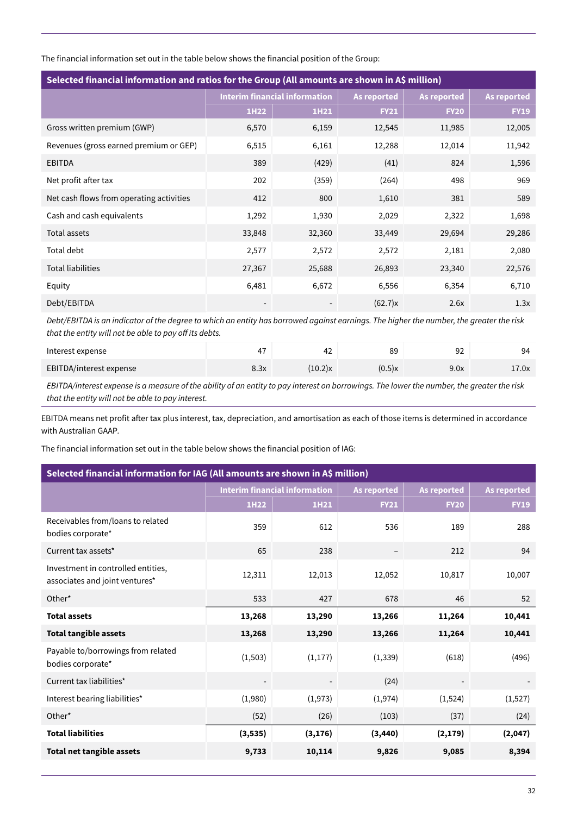The financial information set out in the table below shows the financial position of the Group:

| Selected financial information and ratios for the Group (All amounts are shown in A\$ million) |                                      |        |                    |                    |                    |
|------------------------------------------------------------------------------------------------|--------------------------------------|--------|--------------------|--------------------|--------------------|
|                                                                                                | <b>Interim financial information</b> |        | <b>As reported</b> | <b>As reported</b> | <b>As reported</b> |
|                                                                                                | 1H22                                 | 1H21   | <b>FY21</b>        | <b>FY20</b>        | <b>FY19</b>        |
| Gross written premium (GWP)                                                                    | 6,570                                | 6,159  | 12,545             | 11,985             | 12,005             |
| Revenues (gross earned premium or GEP)                                                         | 6,515                                | 6,161  | 12,288             | 12,014             | 11,942             |
| <b>EBITDA</b>                                                                                  | 389                                  | (429)  | (41)               | 824                | 1,596              |
| Net profit after tax                                                                           | 202                                  | (359)  | (264)              | 498                | 969                |
| Net cash flows from operating activities                                                       | 412                                  | 800    | 1,610              | 381                | 589                |
| Cash and cash equivalents                                                                      | 1,292                                | 1,930  | 2,029              | 2,322              | 1,698              |
| Total assets                                                                                   | 33,848                               | 32,360 | 33,449             | 29,694             | 29,286             |
| <b>Total debt</b>                                                                              | 2,577                                | 2,572  | 2,572              | 2,181              | 2,080              |
| <b>Total liabilities</b>                                                                       | 27,367                               | 25,688 | 26,893             | 23,340             | 22,576             |
| Equity                                                                                         | 6,481                                | 6,672  | 6,556              | 6,354              | 6,710              |
| Debt/EBITDA                                                                                    |                                      |        | (62.7)x            | 2.6x               | 1.3x               |

*Debt/EBITDA is an indicator of the degree to which an entity has borrowed against earnings. The higher the number, the greater the risk that the entity will not be able to pay off its debts.*

| Interest expense        |      | ے 4     | 89        | 92<br>ັ້ | 94    |
|-------------------------|------|---------|-----------|----------|-------|
| EBITDA/interest expense | 8.3x | (10.2)x | $(0.5)$ x | 9.0x     | 17.0x |

*EBITDA/interest expense is a measure of the ability of an entity to pay interest on borrowings. The lower the number, the greater the risk that the entity will not be able to pay interest.* 

EBITDA means net profit after tax plus interest, tax, depreciation, and amortisation as each of those items is determined in accordance with Australian GAAP*.*

The financial information set out in the table below shows the financial position of IAG:

| Selected financial information for IAG (All amounts are shown in A\$ million) |                                      |          |                    |                    |                    |
|-------------------------------------------------------------------------------|--------------------------------------|----------|--------------------|--------------------|--------------------|
|                                                                               | <b>Interim financial information</b> |          | <b>As reported</b> | <b>As reported</b> | <b>As reported</b> |
|                                                                               | 1H22                                 | 1H21     | <b>FY21</b>        | <b>FY20</b>        | <b>FY19</b>        |
| Receivables from/loans to related<br>bodies corporate*                        | 359                                  | 612      | 536                | 189                | 288                |
| Current tax assets*                                                           | 65                                   | 238      | $\qquad \qquad -$  | 212                | 94                 |
| Investment in controlled entities,<br>associates and joint ventures*          | 12,311                               | 12,013   | 12,052             | 10,817             | 10,007             |
| Other*                                                                        | 533                                  | 427      | 678                | 46                 | 52                 |
| <b>Total assets</b>                                                           | 13,268                               | 13,290   | 13,266             | 11,264             | 10,441             |
| <b>Total tangible assets</b>                                                  | 13,268                               | 13,290   | 13,266             | 11,264             | 10,441             |
| Payable to/borrowings from related<br>bodies corporate*                       | (1, 503)                             | (1, 177) | (1, 339)           | (618)              | (496)              |
| Current tax liabilities*                                                      | $\overline{\phantom{a}}$             |          | (24)               |                    |                    |
| Interest bearing liabilities*                                                 | (1,980)                              | (1,973)  | (1, 974)           | (1,524)            | (1,527)            |
| Other*                                                                        | (52)                                 | (26)     | (103)              | (37)               | (24)               |
| <b>Total liabilities</b>                                                      | (3, 535)                             | (3, 176) | (3, 440)           | (2, 179)           | (2,047)            |
| <b>Total net tangible assets</b>                                              | 9,733                                | 10,114   | 9,826              | 9,085              | 8,394              |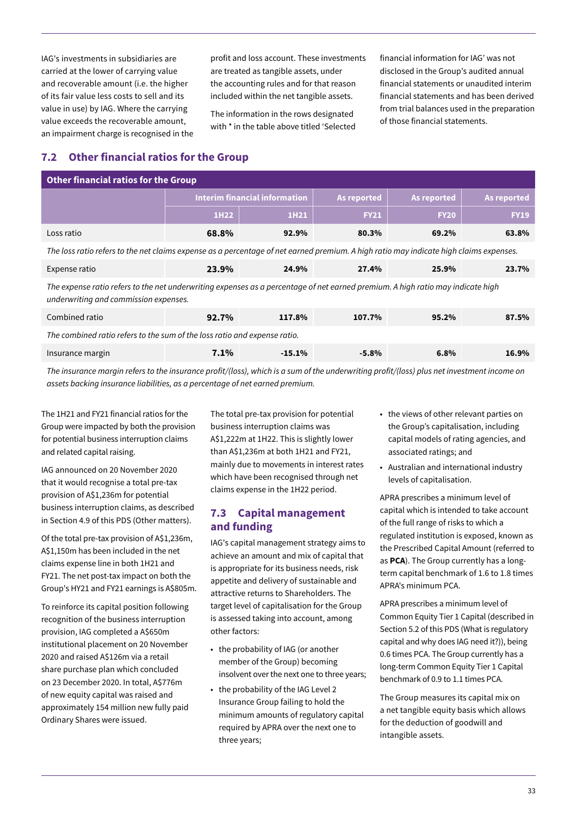IAG's investments in subsidiaries are carried at the lower of carrying value and recoverable amount (i.e. the higher of its fair value less costs to sell and its value in use) by IAG. Where the carrying value exceeds the recoverable amount, an impairment charge is recognised in the

profit and loss account. These investments are treated as tangible assets, under the accounting rules and for that reason included within the net tangible assets.

The information in the rows designated with \* in the table above titled 'Selected financial information for IAG' was not disclosed in the Group's audited annual financial statements or unaudited interim financial statements and has been derived from trial balances used in the preparation of those financial statements.

### **7.2 Other financial ratios for the Group**

| <b>Other financial ratios for the Group</b>                                                                                                                              |                                      |           |             |             |             |
|--------------------------------------------------------------------------------------------------------------------------------------------------------------------------|--------------------------------------|-----------|-------------|-------------|-------------|
|                                                                                                                                                                          | <b>Interim financial information</b> |           | As reported | As reported | As reported |
|                                                                                                                                                                          | 1H22                                 | 1H21      | <b>FY21</b> | <b>FY20</b> | <b>FY19</b> |
| Loss ratio                                                                                                                                                               | 68.8%                                | 92.9%     | 80.3%       | 69.2%       | 63.8%       |
| The loss ratio refers to the net claims expense as a percentage of net earned premium. A high ratio may indicate high claims expenses.                                   |                                      |           |             |             |             |
| Expense ratio                                                                                                                                                            | 23.9%                                | 24.9%     | 27.4%       | 25.9%       | 23.7%       |
| The expense ratio refers to the net underwriting expenses as a percentage of net earned premium. A high ratio may indicate high<br>underwriting and commission expenses. |                                      |           |             |             |             |
| Combined ratio                                                                                                                                                           | 92.7%                                | 117.8%    | 107.7%      | 95.2%       | 87.5%       |
| The combined ratio refers to the sum of the loss ratio and expense ratio.                                                                                                |                                      |           |             |             |             |
| Insurance margin                                                                                                                                                         | $7.1\%$                              | $-15.1\%$ | $-5.8\%$    | 6.8%        | 16.9%       |

*The insurance margin refers to the insurance profit/(loss), which is a sum of the underwriting profit/(loss) plus net investment income on assets backing insurance liabilities, as a percentage of net earned premium.*

The 1H21 and FY21 financial ratios for the Group were impacted by both the provision for potential business interruption claims and related capital raising.

IAG announced on 20 November 2020 that it would recognise a total pre-tax provision of A\$1,236m for potential business interruption claims, as described in Section 4.9 of this PDS (Other matters).

Of the total pre-tax provision of A\$1,236m, A\$1,150m has been included in the net claims expense line in both 1H21 and FY21. The net post-tax impact on both the Group's HY21 and FY21 earnings is A\$805m.

To reinforce its capital position following recognition of the business interruption provision, IAG completed a A\$650m institutional placement on 20 November 2020 and raised A\$126m via a retail share purchase plan which concluded on 23 December 2020. In total, A\$776m of new equity capital was raised and approximately 154 million new fully paid Ordinary Shares were issued.

The total pre-tax provision for potential business interruption claims was A\$1,222m at 1H22. This is slightly lower than A\$1,236m at both 1H21 and FY21, mainly due to movements in interest rates which have been recognised through net claims expense in the 1H22 period.

### **7.3 Capital management and funding**

IAG's capital management strategy aims to achieve an amount and mix of capital that is appropriate for its business needs, risk appetite and delivery of sustainable and attractive returns to Shareholders. The target level of capitalisation for the Group is assessed taking into account, among other factors:

- the probability of IAG (or another member of the Group) becoming insolvent over the next one to three years;
- the probability of the IAG Level 2 Insurance Group failing to hold the minimum amounts of regulatory capital required by APRA over the next one to three years;
- the views of other relevant parties on the Group's capitalisation, including capital models of rating agencies, and associated ratings; and
- Australian and international industry levels of capitalisation.

APRA prescribes a minimum level of capital which is intended to take account of the full range of risks to which a regulated institution is exposed, known as the Prescribed Capital Amount (referred to as **PCA**). The Group currently has a longterm capital benchmark of 1.6 to 1.8 times APRA's minimum PCA.

APRA prescribes a minimum level of Common Equity Tier 1 Capital (described in Section 5.2 of this PDS (What is regulatory capital and why does IAG need it?)), being 0.6 times PCA. The Group currently has a long-term Common Equity Tier 1 Capital benchmark of 0.9 to 1.1 times PCA.

The Group measures its capital mix on a net tangible equity basis which allows for the deduction of goodwill and intangible assets.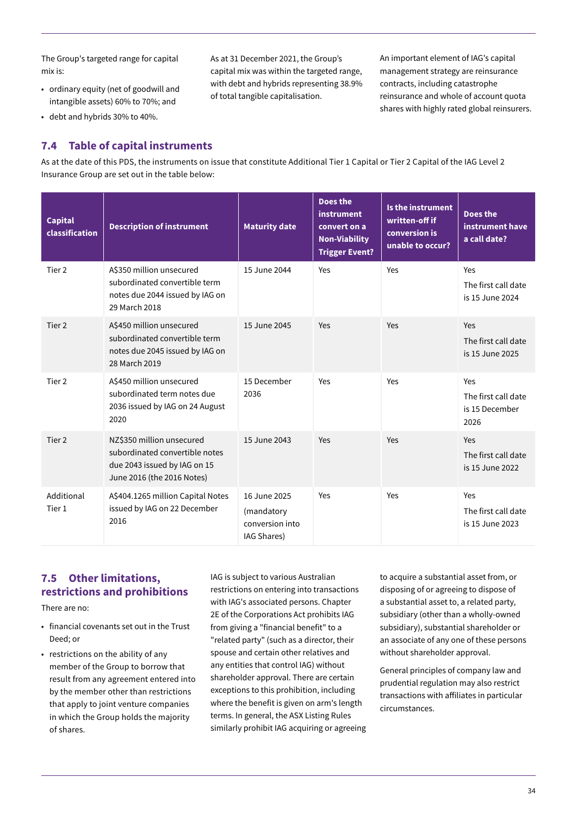The Group's targeted range for capital mix is:

• ordinary equity (net of goodwill and intangible assets) 60% to 70%; and

As at 31 December 2021, the Group's capital mix was within the targeted range, with debt and hybrids representing 38.9% of total tangible capitalisation.

An important element of IAG's capital management strategy are reinsurance contracts, including catastrophe reinsurance and whole of account quota shares with highly rated global reinsurers.

• debt and hybrids 30% to 40%.

### **7.4 Table of capital instruments**

As at the date of this PDS, the instruments on issue that constitute Additional Tier 1 Capital or Tier 2 Capital of the IAG Level 2 Insurance Group are set out in the table below:

| <b>Capital</b><br>classification | <b>Description of instrument</b>                                                                                          | <b>Maturity date</b>                                         | <b>Does the</b><br>instrument<br>convert on a<br><b>Non-Viability</b><br><b>Trigger Event?</b> | Is the instrument<br>written-off if<br>conversion is<br>unable to occur? | <b>Does the</b><br>instrument have<br>a call date?   |
|----------------------------------|---------------------------------------------------------------------------------------------------------------------------|--------------------------------------------------------------|------------------------------------------------------------------------------------------------|--------------------------------------------------------------------------|------------------------------------------------------|
| Tier <sub>2</sub>                | A\$350 million unsecured<br>subordinated convertible term<br>notes due 2044 issued by IAG on<br>29 March 2018             | 15 June 2044                                                 | Yes                                                                                            | Yes                                                                      | Yes<br>The first call date<br>is 15 June 2024        |
| Tier 2                           | A\$450 million unsecured<br>subordinated convertible term<br>notes due 2045 issued by IAG on<br>28 March 2019             | 15 June 2045                                                 | Yes                                                                                            | Yes                                                                      | Yes<br>The first call date<br>is 15 June 2025        |
| Tier 2                           | A\$450 million unsecured<br>subordinated term notes due<br>2036 issued by IAG on 24 August<br>2020                        | 15 December<br>2036                                          | Yes                                                                                            | Yes                                                                      | Yes<br>The first call date<br>is 15 December<br>2026 |
| Tier 2                           | NZ\$350 million unsecured<br>subordinated convertible notes<br>due 2043 issued by IAG on 15<br>June 2016 (the 2016 Notes) | 15 June 2043                                                 | Yes                                                                                            | Yes                                                                      | Yes<br>The first call date<br>is 15 June 2022        |
| Additional<br>Tier 1             | A\$404.1265 million Capital Notes<br>issued by IAG on 22 December<br>2016                                                 | 16 June 2025<br>(mandatory<br>conversion into<br>IAG Shares) | Yes                                                                                            | Yes                                                                      | Yes<br>The first call date<br>is 15 June 2023        |

### **7.5 Other limitations, restrictions and prohibitions**

There are no:

- financial covenants set out in the Trust Deed; or
- restrictions on the ability of any member of the Group to borrow that result from any agreement entered into by the member other than restrictions that apply to joint venture companies in which the Group holds the majority of shares.

IAG is subject to various Australian restrictions on entering into transactions with IAG's associated persons. Chapter 2E of the Corporations Act prohibits IAG from giving a "financial benefit" to a "related party" (such as a director, their spouse and certain other relatives and any entities that control IAG) without shareholder approval. There are certain exceptions to this prohibition, including where the benefit is given on arm's length terms. In general, the ASX Listing Rules similarly prohibit IAG acquiring or agreeing to acquire a substantial asset from, or disposing of or agreeing to dispose of a substantial asset to, a related party, subsidiary (other than a wholly-owned subsidiary), substantial shareholder or an associate of any one of these persons without shareholder approval.

General principles of company law and prudential regulation may also restrict transactions with affiliates in particular circumstances.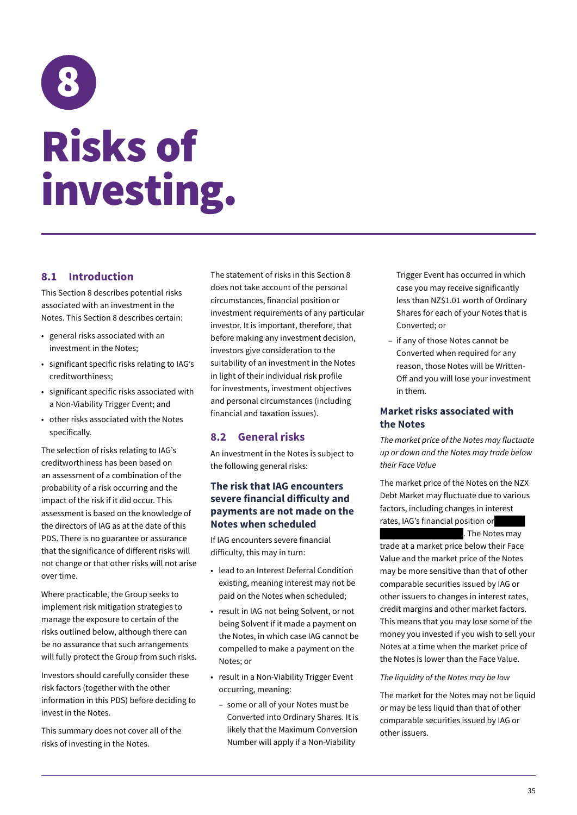## <span id="page-38-0"></span>8 Risks of investing.

### **8.1 Introduction**

This Section 8 describes potential risks associated with an investment in the Notes. This Section 8 describes certain:

- general risks associated with an investment in the Notes;
- significant specific risks relating to IAG's creditworthiness;
- significant specific risks associated with a Non-Viability Trigger Event; and
- other risks associated with the Notes specifically.

The selection of risks relating to IAG's creditworthiness has been based on an assessment of a combination of the probability of a risk occurring and the impact of the risk if it did occur. This assessment is based on the knowledge of the directors of IAG as at the date of this PDS. There is no guarantee or assurance that the significance of different risks will not change or that other risks will not arise over time.

Where practicable, the Group seeks to implement risk mitigation strategies to manage the exposure to certain of the risks outlined below, although there can be no assurance that such arrangements will fully protect the Group from such risks.

Investors should carefully consider these risk factors (together with the other information in this PDS) before deciding to invest in the Notes.

This summary does not cover all of the risks of investing in the Notes.

The statement of risks in this Section 8 does not take account of the personal circumstances, financial position or investment requirements of any particular investor. It is important, therefore, that before making any investment decision, investors give consideration to the suitability of an investment in the Notes in light of their individual risk profile for investments, investment objectives and personal circumstances (including financial and taxation issues).

### **8.2 General risks**

An investment in the Notes is subject to the following general risks:

### **The risk that IAG encounters severe financial difficulty and payments are not made on the Notes when scheduled**

If IAG encounters severe financial difficulty, this may in turn:

- lead to an Interest Deferral Condition existing, meaning interest may not be paid on the Notes when scheduled;
- result in IAG not being Solvent, or not being Solvent if it made a payment on the Notes, in which case IAG cannot be compelled to make a payment on the Notes; or
- result in a Non-Viability Trigger Event occurring, meaning:
	- some or all of your Notes must be Converted into Ordinary Shares. It is likely that the Maximum Conversion Number will apply if a Non-Viability

Trigger Event has occurred in which case you may receive significantly less than NZ\$1.01 worth of Ordinary Shares for each of your Notes that is Converted; or

– if any of those Notes cannot be Converted when required for any reason, those Notes will be Written-Off and you will lose your investment in them.

### **Market risks associated with the Notes**

*The market price of the Notes may fluctuate up or down and the Notes may trade below their Face Value*

The market price of the Notes on the NZX Debt Market may fluctuate due to various factors, including changes in interest rates, IAG's financial position or

. The Notes may

trade at a market price below their Face Value and the market price of the Notes may be more sensitive than that of other comparable securities issued by IAG or other issuers to changes in interest rates, credit margins and other market factors. This means that you may lose some of the money you invested if you wish to sell your Notes at a time when the market price of the Notes is lower than the Face Value.

#### *The liquidity of the Notes may be low*

The market for the Notes may not be liquid or may be less liquid than that of other comparable securities issued by IAG or other issuers.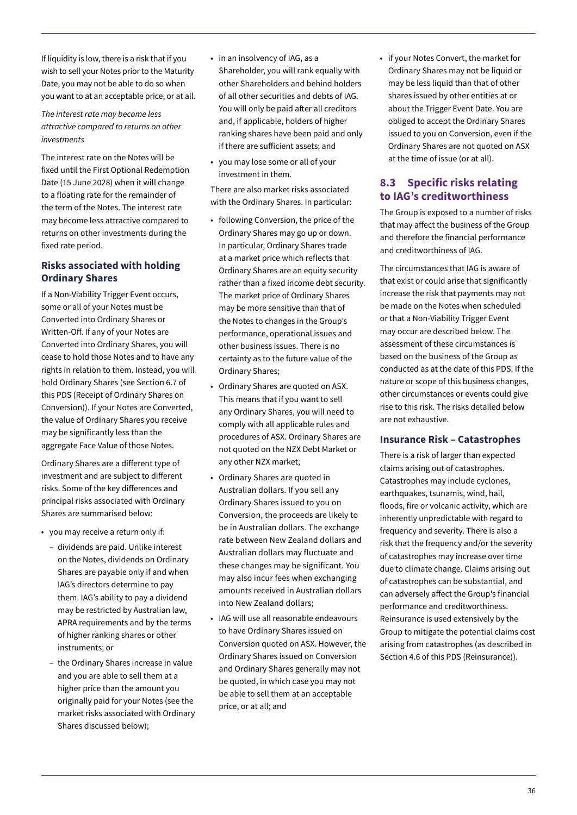If liquidity is low, there is a risk that if you wish to sell your Notes prior to the Maturity Date, you may not be able to do so when you want to at an acceptable price, or at all.

*The interest rate may become less attractive compared to returns on other investments*

The interest rate on the Notes will be fixed until the First Optional Redemption Date (15 June 2028) when it will change to a floating rate for the remainder of the term of the Notes. The interest rate may become less attractive compared to returns on other investments during the fixed rate period.

### **Risks associated with holding Ordinary Shares**

If a Non-Viability Trigger Event occurs, some or all of your Notes must be Converted into Ordinary Shares or Written-Off. If any of your Notes are Converted into Ordinary Shares, you will cease to hold those Notes and to have any rights in relation to them. Instead, you will hold Ordinary Shares (see Section 6.7 of this PDS (Receipt of Ordinary Shares on Conversion)). If your Notes are Converted, the value of Ordinary Shares you receive may be significantly less than the aggregate Face Value of those Notes.

Ordinary Shares are a different type of investment and are subject to different risks. Some of the key differences and principal risks associated with Ordinary Shares are summarised below:

- you may receive a return only if:
	- dividends are paid. Unlike interest on the Notes, dividends on Ordinary Shares are payable only if and when IAG's directors determine to pay them. IAG's ability to pay a dividend may be restricted by Australian law, APRA requirements and by the terms of higher ranking shares or other instruments; or
	- the Ordinary Shares increase in value and you are able to sell them at a higher price than the amount you originally paid for your Notes (see the market risks associated with Ordinary Shares discussed below);
- in an insolvency of IAG, as a Shareholder, you will rank equally with other Shareholders and behind holders of all other securities and debts of IAG. You will only be paid after all creditors and, if applicable, holders of higher ranking shares have been paid and only if there are sufficient assets; and
- you may lose some or all of your investment in them.

There are also market risks associated with the Ordinary Shares. In particular:

- following Conversion, the price of the Ordinary Shares may go up or down. In particular, Ordinary Shares trade at a market price which reflects that Ordinary Shares are an equity security rather than a fixed income debt security. The market price of Ordinary Shares may be more sensitive than that of the Notes to changes in the Group's performance, operational issues and other business issues. There is no certainty as to the future value of the Ordinary Shares;
- Ordinary Shares are quoted on ASX. This means that if you want to sell any Ordinary Shares, you will need to comply with all applicable rules and procedures of ASX. Ordinary Shares are not quoted on the NZX Debt Market or any other NZX market;
- Ordinary Shares are quoted in Australian dollars. If you sell any Ordinary Shares issued to you on Conversion, the proceeds are likely to be in Australian dollars. The exchange rate between New Zealand dollars and Australian dollars may fluctuate and these changes may be significant. You may also incur fees when exchanging amounts received in Australian dollars into New Zealand dollars;
- IAG will use all reasonable endeavours to have Ordinary Shares issued on Conversion quoted on ASX. However, the Ordinary Shares issued on Conversion and Ordinary Shares generally may not be quoted, in which case you may not be able to sell them at an acceptable price, or at all; and

• if your Notes Convert, the market for Ordinary Shares may not be liquid or may be less liquid than that of other shares issued by other entities at or about the Trigger Event Date. You are obliged to accept the Ordinary Shares issued to you on Conversion, even if the Ordinary Shares are not quoted on ASX at the time of issue (or at all).

### **8.3 Specific risks relating to IAG's creditworthiness**

The Group is exposed to a number of risks that may affect the business of the Group and therefore the financial performance and creditworthiness of IAG.

The circumstances that IAG is aware of that exist or could arise that significantly increase the risk that payments may not be made on the Notes when scheduled or that a Non-Viability Trigger Event may occur are described below. The assessment of these circumstances is based on the business of the Group as conducted as at the date of this PDS. If the nature or scope of this business changes, other circumstances or events could give rise to this risk. The risks detailed below are not exhaustive.

### **Insurance Risk – Catastrophes**

There is a risk of larger than expected claims arising out of catastrophes. Catastrophes may include cyclones, earthquakes, tsunamis, wind, hail, floods, fire or volcanic activity, which are inherently unpredictable with regard to frequency and severity. There is also a risk that the frequency and/or the severity of catastrophes may increase over time due to climate change. Claims arising out of catastrophes can be substantial, and can adversely affect the Group's financial performance and creditworthiness. Reinsurance is used extensively by the Group to mitigate the potential claims cost arising from catastrophes (as described in Section 4.6 of this PDS (Reinsurance)).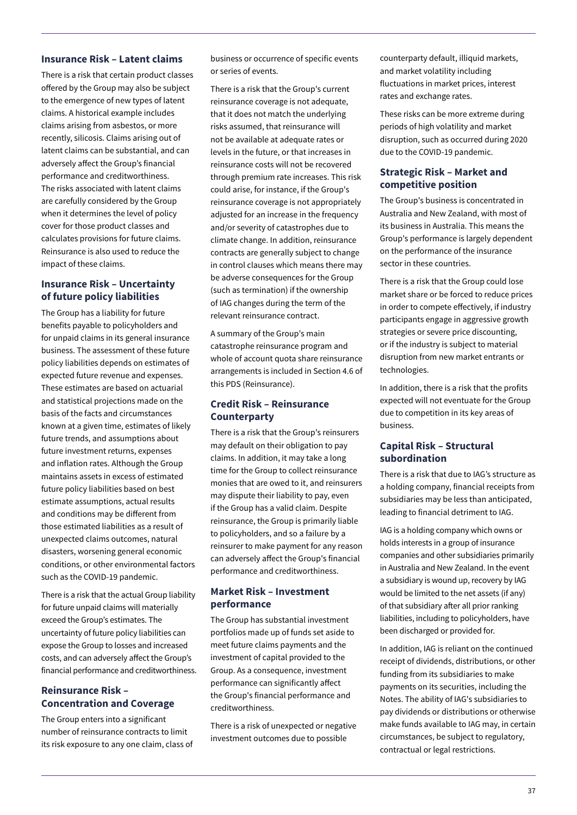### **Insurance Risk – Latent claims**

There is a risk that certain product classes offered by the Group may also be subject to the emergence of new types of latent claims. A historical example includes claims arising from asbestos, or more recently, silicosis. Claims arising out of latent claims can be substantial, and can adversely affect the Group's financial performance and creditworthiness. The risks associated with latent claims are carefully considered by the Group when it determines the level of policy cover for those product classes and calculates provisions for future claims. Reinsurance is also used to reduce the impact of these claims.

### **Insurance Risk – Uncertainty of future policy liabilities**

The Group has a liability for future benefits payable to policyholders and for unpaid claims in its general insurance business. The assessment of these future policy liabilities depends on estimates of expected future revenue and expenses. These estimates are based on actuarial and statistical projections made on the basis of the facts and circumstances known at a given time, estimates of likely future trends, and assumptions about future investment returns, expenses and inflation rates. Although the Group maintains assets in excess of estimated future policy liabilities based on best estimate assumptions, actual results and conditions may be different from those estimated liabilities as a result of unexpected claims outcomes, natural disasters, worsening general economic conditions, or other environmental factors such as the COVID-19 pandemic.

There is a risk that the actual Group liability for future unpaid claims will materially exceed the Group's estimates. The uncertainty of future policy liabilities can expose the Group to losses and increased costs, and can adversely affect the Group's financial performance and creditworthiness.

### **Reinsurance Risk – Concentration and Coverage**

The Group enters into a significant number of reinsurance contracts to limit its risk exposure to any one claim, class of business or occurrence of specific events or series of events.

There is a risk that the Group's current reinsurance coverage is not adequate, that it does not match the underlying risks assumed, that reinsurance will not be available at adequate rates or levels in the future, or that increases in reinsurance costs will not be recovered through premium rate increases. This risk could arise, for instance, if the Group's reinsurance coverage is not appropriately adjusted for an increase in the frequency and/or severity of catastrophes due to climate change. In addition, reinsurance contracts are generally subject to change in control clauses which means there may be adverse consequences for the Group (such as termination) if the ownership of IAG changes during the term of the relevant reinsurance contract.

A summary of the Group's main catastrophe reinsurance program and whole of account quota share reinsurance arrangements is included in Section 4.6 of this PDS (Reinsurance).

### **Credit Risk – Reinsurance Counterparty**

There is a risk that the Group's reinsurers may default on their obligation to pay claims. In addition, it may take a long time for the Group to collect reinsurance monies that are owed to it, and reinsurers may dispute their liability to pay, even if the Group has a valid claim. Despite reinsurance, the Group is primarily liable to policyholders, and so a failure by a reinsurer to make payment for any reason can adversely affect the Group's financial performance and creditworthiness.

### **Market Risk – Investment performance**

The Group has substantial investment portfolios made up of funds set aside to meet future claims payments and the investment of capital provided to the Group. As a consequence, investment performance can significantly affect the Group's financial performance and creditworthiness.

There is a risk of unexpected or negative investment outcomes due to possible

counterparty default, illiquid markets, and market volatility including fluctuations in market prices, interest rates and exchange rates.

These risks can be more extreme during periods of high volatility and market disruption, such as occurred during 2020 due to the COVID-19 pandemic.

### **Strategic Risk – Market and competitive position**

The Group's business is concentrated in Australia and New Zealand, with most of its business in Australia. This means the Group's performance is largely dependent on the performance of the insurance sector in these countries.

There is a risk that the Group could lose market share or be forced to reduce prices in order to compete effectively, if industry participants engage in aggressive growth strategies or severe price discounting, or if the industry is subject to material disruption from new market entrants or technologies.

In addition, there is a risk that the profits expected will not eventuate for the Group due to competition in its key areas of business.

### **Capital Risk – Structural subordination**

There is a risk that due to IAG's structure as a holding company, financial receipts from subsidiaries may be less than anticipated, leading to financial detriment to IAG.

IAG is a holding company which owns or holds interests in a group of insurance companies and other subsidiaries primarily in Australia and New Zealand. In the event a subsidiary is wound up, recovery by IAG would be limited to the net assets (if any) of that subsidiary after all prior ranking liabilities, including to policyholders, have been discharged or provided for.

In addition, IAG is reliant on the continued receipt of dividends, distributions, or other funding from its subsidiaries to make payments on its securities, including the Notes. The ability of IAG's subsidiaries to pay dividends or distributions or otherwise make funds available to IAG may, in certain circumstances, be subject to regulatory, contractual or legal restrictions.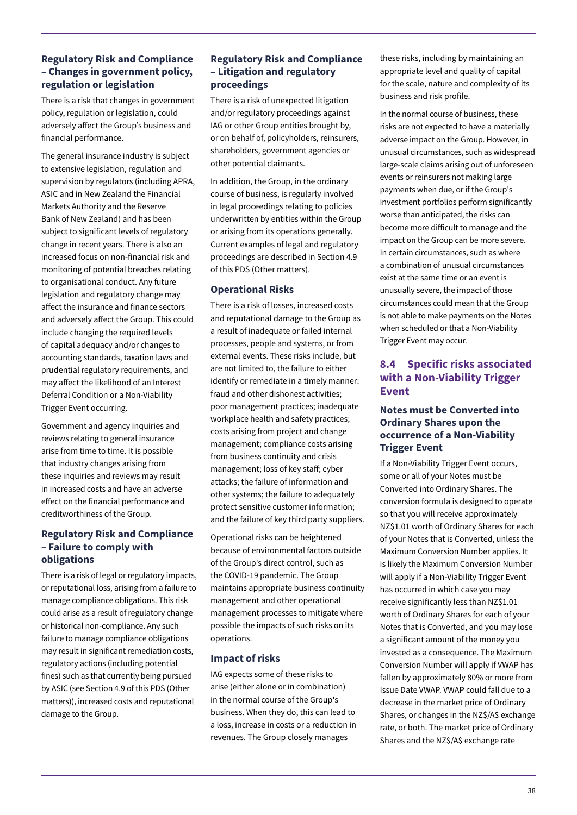### **Regulatory Risk and Compliance – Changes in government policy, regulation or legislation**

There is a risk that changes in government policy, regulation or legislation, could adversely affect the Group's business and financial performance.

The general insurance industry is subject to extensive legislation, regulation and supervision by regulators (including APRA, ASIC and in New Zealand the Financial Markets Authority and the Reserve Bank of New Zealand) and has been subject to significant levels of regulatory change in recent years. There is also an increased focus on non-financial risk and monitoring of potential breaches relating to organisational conduct. Any future legislation and regulatory change may affect the insurance and finance sectors and adversely affect the Group. This could include changing the required levels of capital adequacy and/or changes to accounting standards, taxation laws and prudential regulatory requirements, and may affect the likelihood of an Interest Deferral Condition or a Non-Viability Trigger Event occurring.

Government and agency inquiries and reviews relating to general insurance arise from time to time. It is possible that industry changes arising from these inquiries and reviews may result in increased costs and have an adverse effect on the financial performance and creditworthiness of the Group.

### **Regulatory Risk and Compliance – Failure to comply with obligations**

There is a risk of legal or regulatory impacts, or reputational loss, arising from a failure to manage compliance obligations. This risk could arise as a result of regulatory change or historical non-compliance. Any such failure to manage compliance obligations may result in significant remediation costs, regulatory actions (including potential fines) such as that currently being pursued by ASIC (see Section 4.9 of this PDS (Other matters)), increased costs and reputational damage to the Group.

### **Regulatory Risk and Compliance – Litigation and regulatory proceedings**

There is a risk of unexpected litigation and/or regulatory proceedings against IAG or other Group entities brought by, or on behalf of, policyholders, reinsurers, shareholders, government agencies or other potential claimants.

In addition, the Group, in the ordinary course of business, is regularly involved in legal proceedings relating to policies underwritten by entities within the Group or arising from its operations generally. Current examples of legal and regulatory proceedings are described in Section 4.9 of this PDS (Other matters).

### **Operational Risks**

There is a risk of losses, increased costs and reputational damage to the Group as a result of inadequate or failed internal processes, people and systems, or from external events. These risks include, but are not limited to, the failure to either identify or remediate in a timely manner: fraud and other dishonest activities; poor management practices; inadequate workplace health and safety practices; costs arising from project and change management; compliance costs arising from business continuity and crisis management; loss of key staff; cyber attacks; the failure of information and other systems; the failure to adequately protect sensitive customer information; and the failure of key third party suppliers.

Operational risks can be heightened because of environmental factors outside of the Group's direct control, such as the COVID-19 pandemic. The Group maintains appropriate business continuity management and other operational management processes to mitigate where possible the impacts of such risks on its operations.

### **Impact of risks**

IAG expects some of these risks to arise (either alone or in combination) in the normal course of the Group's business. When they do, this can lead to a loss, increase in costs or a reduction in revenues. The Group closely manages

these risks, including by maintaining an appropriate level and quality of capital for the scale, nature and complexity of its business and risk profile.

In the normal course of business, these risks are not expected to have a materially adverse impact on the Group. However, in unusual circumstances, such as widespread large-scale claims arising out of unforeseen events or reinsurers not making large payments when due, or if the Group's investment portfolios perform significantly worse than anticipated, the risks can become more difficult to manage and the impact on the Group can be more severe. In certain circumstances, such as where a combination of unusual circumstances exist at the same time or an event is unusually severe, the impact of those circumstances could mean that the Group is not able to make payments on the Notes when scheduled or that a Non-Viability Trigger Event may occur.

### **8.4 Specific risks associated with a Non-Viability Trigger Event**

### **Notes must be Converted into Ordinary Shares upon the occurrence of a Non-Viability Trigger Event**

If a Non-Viability Trigger Event occurs, some or all of your Notes must be Converted into Ordinary Shares. The conversion formula is designed to operate so that you will receive approximately NZ\$1.01 worth of Ordinary Shares for each of your Notes that is Converted, unless the Maximum Conversion Number applies. It is likely the Maximum Conversion Number will apply if a Non-Viability Trigger Event has occurred in which case you may receive significantly less than NZ\$1.01 worth of Ordinary Shares for each of your Notes that is Converted, and you may lose a significant amount of the money you invested as a consequence. The Maximum Conversion Number will apply if VWAP has fallen by approximately 80% or more from Issue Date VWAP. VWAP could fall due to a decrease in the market price of Ordinary Shares, or changes in the NZ\$/A\$ exchange rate, or both. The market price of Ordinary Shares and the NZ\$/A\$ exchange rate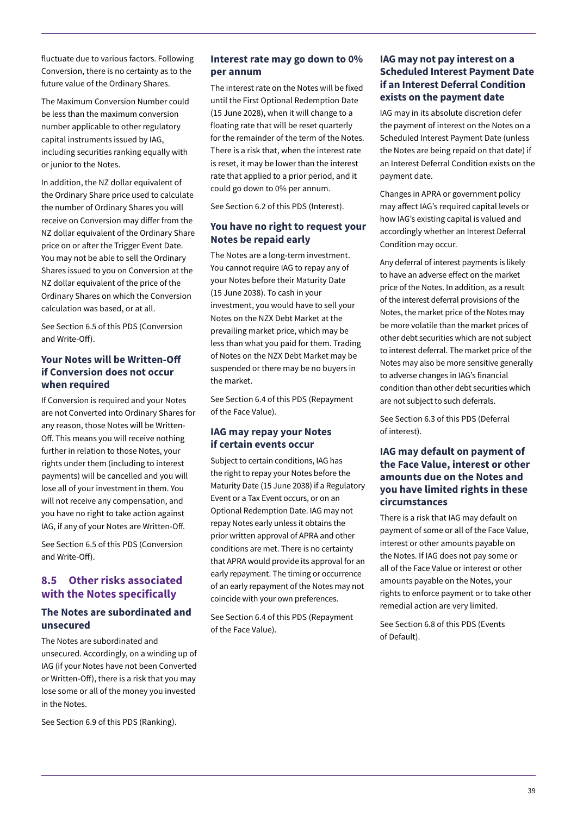fluctuate due to various factors. Following Conversion, there is no certainty as to the future value of the Ordinary Shares.

The Maximum Conversion Number could be less than the maximum conversion number applicable to other regulatory capital instruments issued by IAG, including securities ranking equally with or junior to the Notes.

In addition, the NZ dollar equivalent of the Ordinary Share price used to calculate the number of Ordinary Shares you will receive on Conversion may differ from the NZ dollar equivalent of the Ordinary Share price on or after the Trigger Event Date. You may not be able to sell the Ordinary Shares issued to you on Conversion at the NZ dollar equivalent of the price of the Ordinary Shares on which the Conversion calculation was based, or at all.

See Section 6.5 of this PDS (Conversion and Write-Off).

### **Your Notes will be Written-Off if Conversion does not occur when required**

If Conversion is required and your Notes are not Converted into Ordinary Shares for any reason, those Notes will be Written-Off. This means you will receive nothing further in relation to those Notes, your rights under them (including to interest payments) will be cancelled and you will lose all of your investment in them. You will not receive any compensation, and you have no right to take action against IAG, if any of your Notes are Written-Off.

See Section 6.5 of this PDS (Conversion and Write-Off).

### **8.5 Other risks associated with the Notes specifically**

### **The Notes are subordinated and unsecured**

The Notes are subordinated and unsecured. Accordingly, on a winding up of IAG (if your Notes have not been Converted or Written-Off), there is a risk that you may lose some or all of the money you invested in the Notes.

See Section 6.9 of this PDS (Ranking).

### **Interest rate may go down to 0% per annum**

The interest rate on the Notes will be fixed until the First Optional Redemption Date (15 June 2028), when it will change to a floating rate that will be reset quarterly for the remainder of the term of the Notes. There is a risk that, when the interest rate is reset, it may be lower than the interest rate that applied to a prior period, and it could go down to 0% per annum.

See Section 6.2 of this PDS (Interest).

### **You have no right to request your Notes be repaid early**

The Notes are a long-term investment. You cannot require IAG to repay any of your Notes before their Maturity Date (15 June 2038). To cash in your investment, you would have to sell your Notes on the NZX Debt Market at the prevailing market price, which may be less than what you paid for them. Trading of Notes on the NZX Debt Market may be suspended or there may be no buyers in the market.

See Section 6.4 of this PDS (Repayment of the Face Value).

### **IAG may repay your Notes if certain events occur**

Subject to certain conditions, IAG has the right to repay your Notes before the Maturity Date (15 June 2038) if a Regulatory Event or a Tax Event occurs, or on an Optional Redemption Date. IAG may not repay Notes early unless it obtains the prior written approval of APRA and other conditions are met. There is no certainty that APRA would provide its approval for an early repayment. The timing or occurrence of an early repayment of the Notes may not coincide with your own preferences.

See Section 6.4 of this PDS (Repayment of the Face Value).

### **IAG may not pay interest on a Scheduled Interest Payment Date if an Interest Deferral Condition exists on the payment date**

IAG may in its absolute discretion defer the payment of interest on the Notes on a Scheduled Interest Payment Date (unless the Notes are being repaid on that date) if an Interest Deferral Condition exists on the payment date.

Changes in APRA or government policy may affect IAG's required capital levels or how IAG's existing capital is valued and accordingly whether an Interest Deferral Condition may occur.

Any deferral of interest payments is likely to have an adverse effect on the market price of the Notes. In addition, as a result of the interest deferral provisions of the Notes, the market price of the Notes may be more volatile than the market prices of other debt securities which are not subject to interest deferral. The market price of the Notes may also be more sensitive generally to adverse changes in IAG's financial condition than other debt securities which are not subject to such deferrals.

See Section 6.3 of this PDS (Deferral of interest).

### **IAG may default on payment of the Face Value, interest or other amounts due on the Notes and you have limited rights in these circumstances**

There is a risk that IAG may default on payment of some or all of the Face Value, interest or other amounts payable on the Notes. If IAG does not pay some or all of the Face Value or interest or other amounts payable on the Notes, your rights to enforce payment or to take other remedial action are very limited.

See Section 6.8 of this PDS (Events of Default).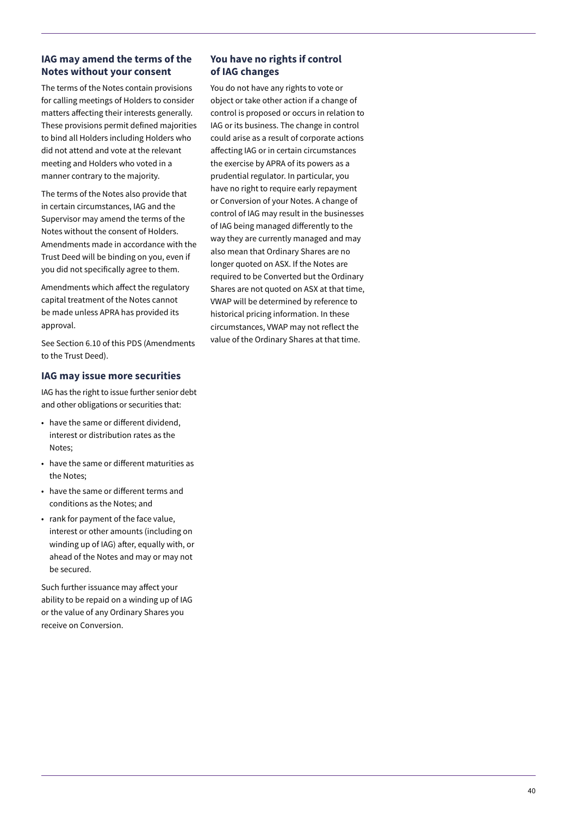### **IAG may amend the terms of the Notes without your consent**

The terms of the Notes contain provisions for calling meetings of Holders to consider matters affecting their interests generally. These provisions permit defined majorities to bind all Holders including Holders who did not attend and vote at the relevant meeting and Holders who voted in a manner contrary to the majority.

The terms of the Notes also provide that in certain circumstances, IAG and the Supervisor may amend the terms of the Notes without the consent of Holders. Amendments made in accordance with the Trust Deed will be binding on you, even if you did not specifically agree to them.

Amendments which affect the regulatory capital treatment of the Notes cannot be made unless APRA has provided its approval.

See Section 6.10 of this PDS (Amendments to the Trust Deed).

### **IAG may issue more securities**

IAG has the right to issue further senior debt and other obligations or securities that:

- have the same or different dividend, interest or distribution rates as the Notes;
- have the same or different maturities as the Notes;
- have the same or different terms and conditions as the Notes; and
- rank for payment of the face value, interest or other amounts (including on winding up of IAG) after, equally with, or ahead of the Notes and may or may not be secured.

Such further issuance may affect your ability to be repaid on a winding up of IAG or the value of any Ordinary Shares you receive on Conversion.

### **You have no rights if control of IAG changes**

You do not have any rights to vote or object or take other action if a change of control is proposed or occurs in relation to IAG or its business. The change in control could arise as a result of corporate actions affecting IAG or in certain circumstances the exercise by APRA of its powers as a prudential regulator. In particular, you have no right to require early repayment or Conversion of your Notes. A change of control of IAG may result in the businesses of IAG being managed differently to the way they are currently managed and may also mean that Ordinary Shares are no longer quoted on ASX. If the Notes are required to be Converted but the Ordinary Shares are not quoted on ASX at that time, VWAP will be determined by reference to historical pricing information. In these circumstances, VWAP may not reflect the value of the Ordinary Shares at that time.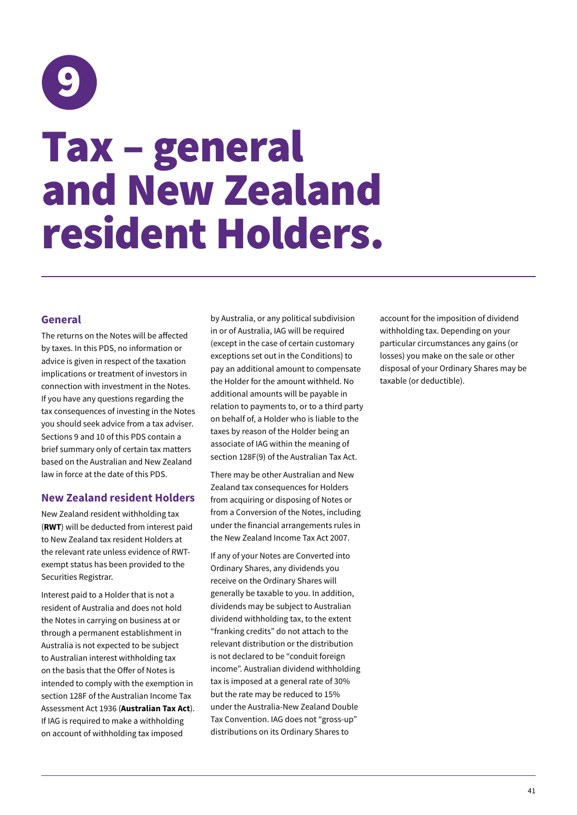<span id="page-44-0"></span>

### **General**

The returns on the Notes will be affected by taxes. In this PDS, no information or advice is given in respect of the taxation implications or treatment of investors in connection with investment in the Notes. If you have any questions regarding the tax consequences of investing in the Notes you should seek advice from a tax adviser. Sections 9 and 10 of this PDS contain a brief summary only of certain tax matters based on the Australian and New Zealand law in force at the date of this PDS.

### **New Zealand resident Holders**

New Zealand resident withholding tax (**RWT**) will be deducted from interest paid to New Zealand tax resident Holders at the relevant rate unless evidence of RWTexempt status has been provided to the Securities Registrar.

Interest paid to a Holder that is not a resident of Australia and does not hold the Notes in carrying on business at or through a permanent establishment in Australia is not expected to be subject to Australian interest withholding tax on the basis that the Offer of Notes is intended to comply with the exemption in section 128F of the Australian Income Tax Assessment Act 1936 (**Australian Tax Act**). If IAG is required to make a withholding on account of withholding tax imposed

by Australia, or any political subdivision in or of Australia, IAG will be required (except in the case of certain customary exceptions set out in the Conditions) to pay an additional amount to compensate the Holder for the amount withheld. No additional amounts will be payable in relation to payments to, or to a third party on behalf of, a Holder who is liable to the taxes by reason of the Holder being an associate of IAG within the meaning of section 128F(9) of the Australian Tax Act.

There may be other Australian and New Zealand tax consequences for Holders from acquiring or disposing of Notes or from a Conversion of the Notes, including under the financial arrangements rules in the New Zealand Income Tax Act 2007.

If any of your Notes are Converted into Ordinary Shares, any dividends you receive on the Ordinary Shares will generally be taxable to you. In addition, dividends may be subject to Australian dividend withholding tax, to the extent "franking credits" do not attach to the relevant distribution or the distribution is not declared to be "conduit foreign income". Australian dividend withholding tax is imposed at a general rate of 30% but the rate may be reduced to 15% under the Australia-New Zealand Double Tax Convention. IAG does not "gross-up" distributions on its Ordinary Shares to

account for the imposition of dividend withholding tax. Depending on your particular circumstances any gains (or losses) you make on the sale or other disposal of your Ordinary Shares may be taxable (or deductible).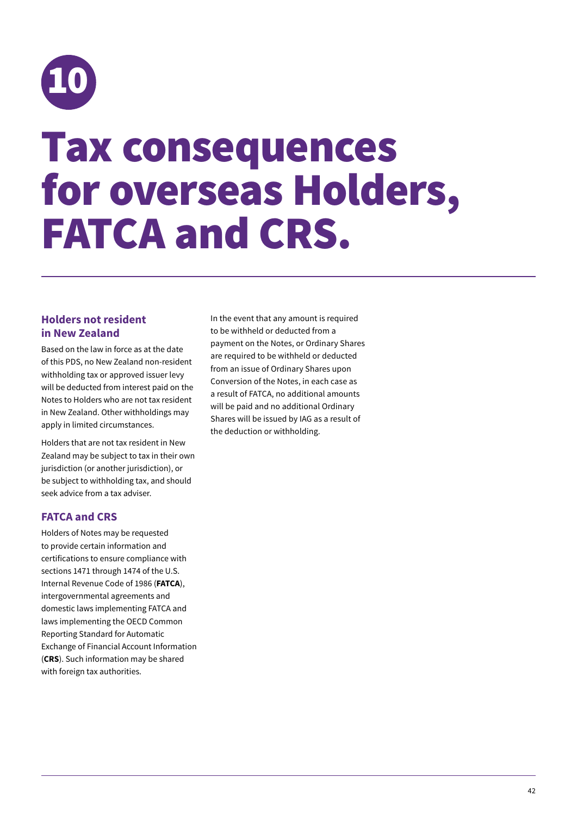<span id="page-45-0"></span>

### Tax consequences for overseas Holders, FATCA and CRS.

### **Holders not resident in New Zealand**

Based on the law in force as at the date of this PDS, no New Zealand non-resident withholding tax or approved issuer levy will be deducted from interest paid on the Notes to Holders who are not tax resident in New Zealand. Other withholdings may apply in limited circumstances.

Holders that are not tax resident in New Zealand may be subject to tax in their own jurisdiction (or another jurisdiction), or be subject to withholding tax, and should seek advice from a tax adviser.

### **FATCA and CRS**

Holders of Notes may be requested to provide certain information and certifications to ensure compliance with sections 1471 through 1474 of the U.S. Internal Revenue Code of 1986 (**FATCA**), intergovernmental agreements and domestic laws implementing FATCA and laws implementing the OECD Common Reporting Standard for Automatic Exchange of Financial Account Information (**CRS**). Such information may be shared with foreign tax authorities.

In the event that any amount is required to be withheld or deducted from a payment on the Notes, or Ordinary Shares are required to be withheld or deducted from an issue of Ordinary Shares upon Conversion of the Notes, in each case as a result of FATCA, no additional amounts will be paid and no additional Ordinary Shares will be issued by IAG as a result of the deduction or withholding.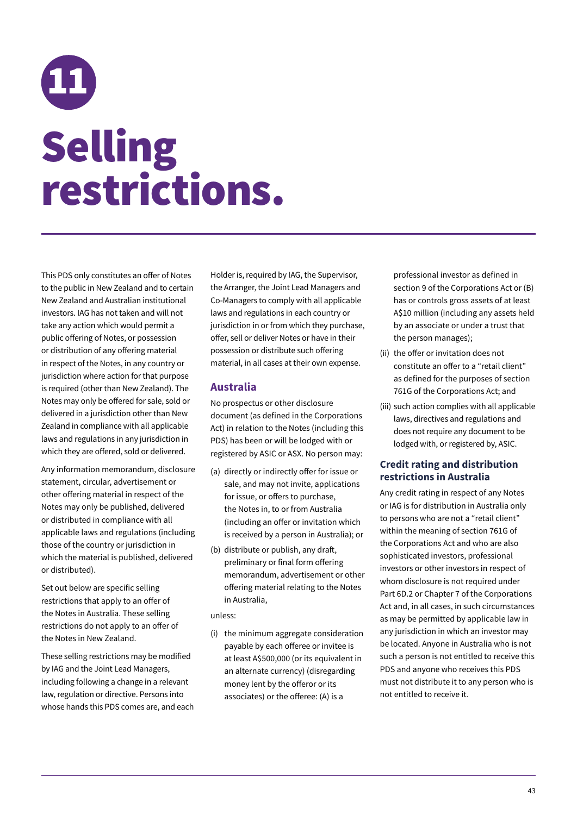## <span id="page-46-0"></span>11 Selling restrictions.

This PDS only constitutes an offer of Notes to the public in New Zealand and to certain New Zealand and Australian institutional investors. IAG has not taken and will not take any action which would permit a public offering of Notes, or possession or distribution of any offering material in respect of the Notes, in any country or jurisdiction where action for that purpose is required (other than New Zealand). The Notes may only be offered for sale, sold or delivered in a jurisdiction other than New Zealand in compliance with all applicable laws and regulations in any jurisdiction in which they are offered, sold or delivered.

Any information memorandum, disclosure statement, circular, advertisement or other offering material in respect of the Notes may only be published, delivered or distributed in compliance with all applicable laws and regulations (including those of the country or jurisdiction in which the material is published, delivered or distributed).

Set out below are specific selling restrictions that apply to an offer of the Notes in Australia. These selling restrictions do not apply to an offer of the Notes in New Zealand.

These selling restrictions may be modified by IAG and the Joint Lead Managers, including following a change in a relevant law, regulation or directive. Persons into whose hands this PDS comes are, and each Holder is, required by IAG, the Supervisor, the Arranger, the Joint Lead Managers and Co-Managers to comply with all applicable laws and regulations in each country or jurisdiction in or from which they purchase, offer, sell or deliver Notes or have in their possession or distribute such offering material, in all cases at their own expense.

### **Australia**

No prospectus or other disclosure document (as defined in the Corporations Act) in relation to the Notes (including this PDS) has been or will be lodged with or registered by ASIC or ASX. No person may:

- (a) directly or indirectly offer for issue or sale, and may not invite, applications for issue, or offers to purchase, the Notes in, to or from Australia (including an offer or invitation which is received by a person in Australia); or
- (b) distribute or publish, any draft, preliminary or final form offering memorandum, advertisement or other offering material relating to the Notes in Australia,

unless:

(i) the minimum aggregate consideration payable by each offeree or invitee is at least A\$500,000 (or its equivalent in an alternate currency) (disregarding money lent by the offeror or its associates) or the offeree: (A) is a

professional investor as defined in section 9 of the Corporations Act or (B) has or controls gross assets of at least A\$10 million (including any assets held by an associate or under a trust that the person manages);

- (ii) the offer or invitation does not constitute an offer to a "retail client" as defined for the purposes of section 761G of the Corporations Act; and
- (iii) such action complies with all applicable laws, directives and regulations and does not require any document to be lodged with, or registered by, ASIC.

### **Credit rating and distribution restrictions in Australia**

Any credit rating in respect of any Notes or IAG is for distribution in Australia only to persons who are not a "retail client" within the meaning of section 761G of the Corporations Act and who are also sophisticated investors, professional investors or other investors in respect of whom disclosure is not required under Part 6D.2 or Chapter 7 of the Corporations Act and, in all cases, in such circumstances as may be permitted by applicable law in any jurisdiction in which an investor may be located. Anyone in Australia who is not such a person is not entitled to receive this PDS and anyone who receives this PDS must not distribute it to any person who is not entitled to receive it.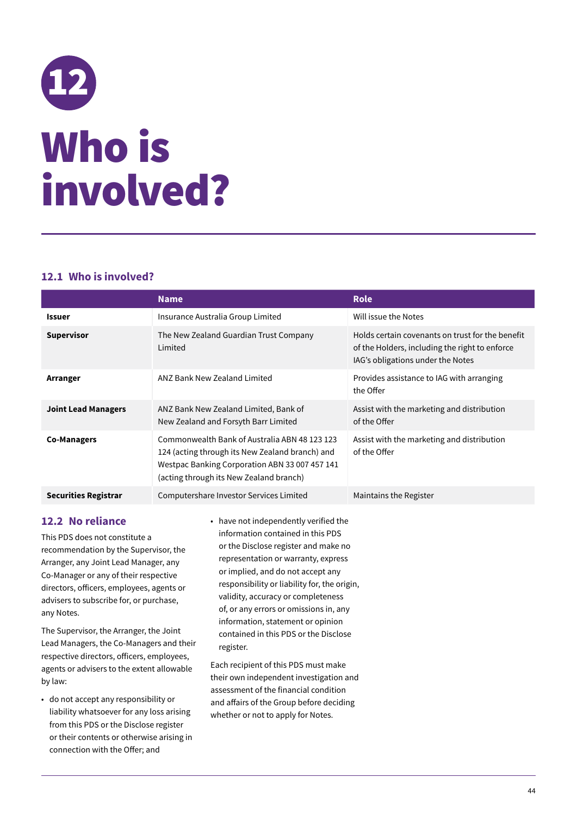## <span id="page-47-0"></span>12 Who is involved?

### **12.1 Who is involved?**

|                             | <b>Name</b>                                                                                                                                                                                   | <b>Role</b>                                                                                                                             |
|-----------------------------|-----------------------------------------------------------------------------------------------------------------------------------------------------------------------------------------------|-----------------------------------------------------------------------------------------------------------------------------------------|
| <b>Issuer</b>               | Insurance Australia Group Limited                                                                                                                                                             | Will issue the Notes                                                                                                                    |
| <b>Supervisor</b>           | The New Zealand Guardian Trust Company<br>Limited                                                                                                                                             | Holds certain covenants on trust for the benefit<br>of the Holders, including the right to enforce<br>IAG's obligations under the Notes |
| Arranger                    | ANZ Bank New Zealand Limited                                                                                                                                                                  | Provides assistance to IAG with arranging<br>the Offer                                                                                  |
| <b>Joint Lead Managers</b>  | ANZ Bank New Zealand Limited, Bank of<br>New Zealand and Forsyth Barr Limited                                                                                                                 | Assist with the marketing and distribution<br>of the Offer                                                                              |
| <b>Co-Managers</b>          | Commonwealth Bank of Australia ABN 48 123 123<br>124 (acting through its New Zealand branch) and<br>Westpac Banking Corporation ABN 33 007 457 141<br>(acting through its New Zealand branch) | Assist with the marketing and distribution<br>of the Offer                                                                              |
| <b>Securities Registrar</b> | Computershare Investor Services Limited                                                                                                                                                       | Maintains the Register                                                                                                                  |

### **12.2 No reliance**

This PDS does not constitute a recommendation by the Supervisor, the Arranger, any Joint Lead Manager, any Co-Manager or any of their respective directors, officers, employees, agents or advisers to subscribe for, or purchase, any Notes.

The Supervisor, the Arranger, the Joint Lead Managers, the Co-Managers and their respective directors, officers, employees, agents or advisers to the extent allowable by law:

- do not accept any responsibility or liability whatsoever for any loss arising from this PDS or the Disclose register or their contents or otherwise arising in connection with the Offer; and
- have not independently verified the information contained in this PDS or the Disclose register and make no representation or warranty, express or implied, and do not accept any responsibility or liability for, the origin, validity, accuracy or completeness of, or any errors or omissions in, any information, statement or opinion contained in this PDS or the Disclose register.

Each recipient of this PDS must make their own independent investigation and assessment of the financial condition and affairs of the Group before deciding whether or not to apply for Notes.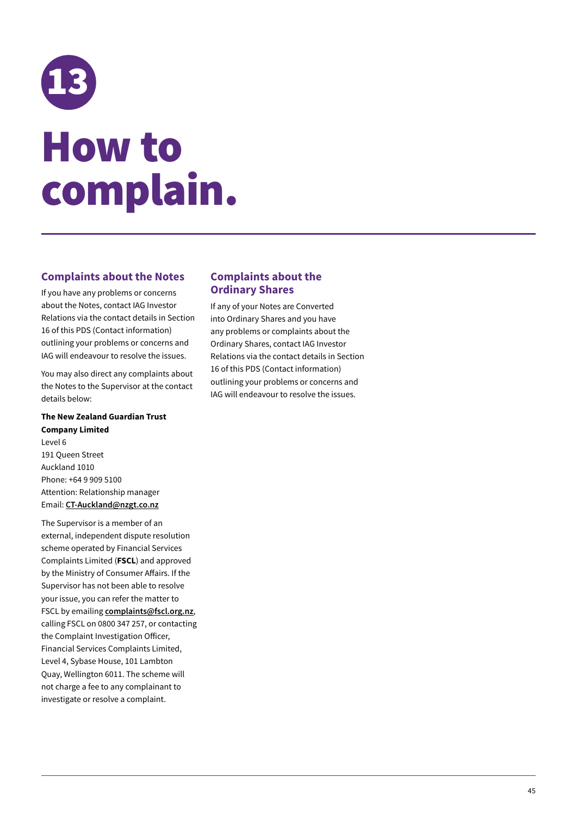## <span id="page-48-0"></span>13 How to complain.

### **Complaints about the Notes**

If you have any problems or concerns about the Notes, contact IAG Investor Relations via the contact details in Section 16 of this PDS (Contact information) outlining your problems or concerns and IAG will endeavour to resolve the issues.

You may also direct any complaints about the Notes to the Supervisor at the contact details below:

**The New Zealand Guardian Trust Company Limited**  Level 6

191 Queen Street Auckland 1010 Phone: +64 9 909 5100 Attention: Relationship manager Email: **[CT-Auckland@nzgt.co.nz](mailto:CT-Auckland@nzgt.co.nz)**

The Supervisor is a member of an external, independent dispute resolution scheme operated by Financial Services Complaints Limited (**FSCL**) and approved by the Ministry of Consumer Affairs. If the Supervisor has not been able to resolve your issue, you can refer the matter to FSCL by emailing **[complaints@fscl.org.nz](mailto:complaints@fscl.org.nz)**, calling FSCL on 0800 347 257, or contacting the Complaint Investigation Officer, Financial Services Complaints Limited, Level 4, Sybase House, 101 Lambton Quay, Wellington 6011. The scheme will not charge a fee to any complainant to investigate or resolve a complaint.

### **Complaints about the Ordinary Shares**

If any of your Notes are Converted into Ordinary Shares and you have any problems or complaints about the Ordinary Shares, contact IAG Investor Relations via the contact details in Section 16 of this PDS (Contact information) outlining your problems or concerns and IAG will endeavour to resolve the issues.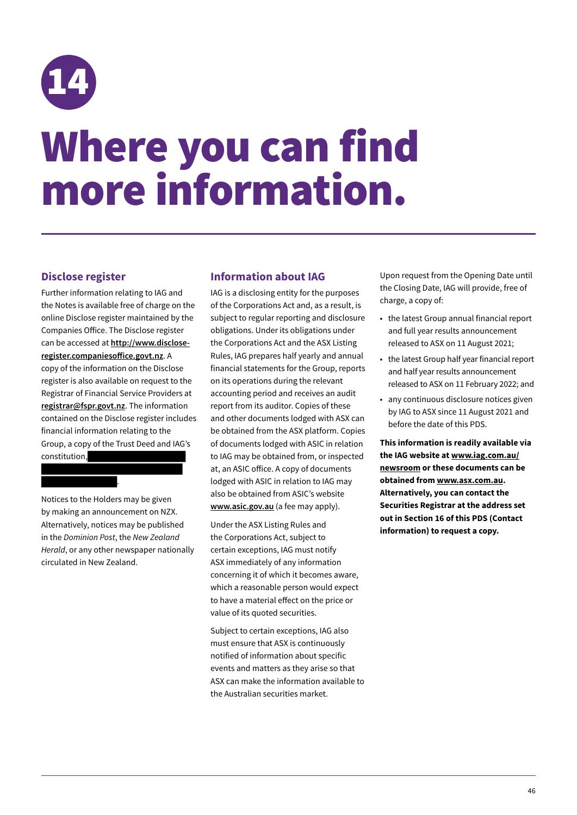<span id="page-49-0"></span>

### Where you can find more information.

### **Disclose register**

Further information relating to IAG and the Notes is available free of charge on the online Disclose register maintained by the Companies Office. The Disclose register can be accessed at **http://www.discloseregister.companiesoffice.govt.nz**. A copy of the information on the Disclose register is also available on request to the Registrar of Financial Service Providers at **[registrar@fspr.govt.nz](mailto:registrar@fspr.govt.nz)**. The information contained on the Disclose register includes financial information relating to the Group, a copy of the Trust Deed and IAG's constitution,

Notices to the Holders may be given by making an announcement on NZX. Alternatively, notices may be published in the *Dominion Post*, the *New Zealand Herald*, or any other newspaper nationally circulated in New Zealand.

.

### **Information about IAG**

IAG is a disclosing entity for the purposes of the Corporations Act and, as a result, is subject to regular reporting and disclosure obligations. Under its obligations under the Corporations Act and the ASX Listing Rules, IAG prepares half yearly and annual financial statements for the Group, reports on its operations during the relevant accounting period and receives an audit report from its auditor. Copies of these and other documents lodged with ASX can be obtained from the ASX platform. Copies of documents lodged with ASIC in relation to IAG may be obtained from, or inspected at, an ASIC office. A copy of documents lodged with ASIC in relation to IAG may also be obtained from ASIC's website **www.asic.gov.au** (a fee may apply).

Under the ASX Listing Rules and the Corporations Act, subject to certain exceptions, IAG must notify ASX immediately of any information concerning it of which it becomes aware, which a reasonable person would expect to have a material effect on the price or value of its quoted securities.

Subject to certain exceptions, IAG also must ensure that ASX is continuously notified of information about specific events and matters as they arise so that ASX can make the information available to the Australian securities market.

Upon request from the Opening Date until the Closing Date, IAG will provide, free of charge, a copy of:

- the latest Group annual financial report and full year results announcement released to ASX on 11 August 2021;
- the latest Group half year financial report and half year results announcement released to ASX on 11 February 2022; and
- any continuous disclosure notices given by IAG to ASX since 11 August 2021 and before the date of this PDS.

**This information is readily available via the IAG website at [www.iag.com.au/](http://www.iag.com.au/newsroom) [newsroom](http://www.iag.com.au/newsroom) or these documents can be obtained from [www.asx.com.au](http://www.asx.com.au). Alternatively, you can contact the Securities Registrar at the address set out in Section 16 of this PDS (Contact information) to request a copy.**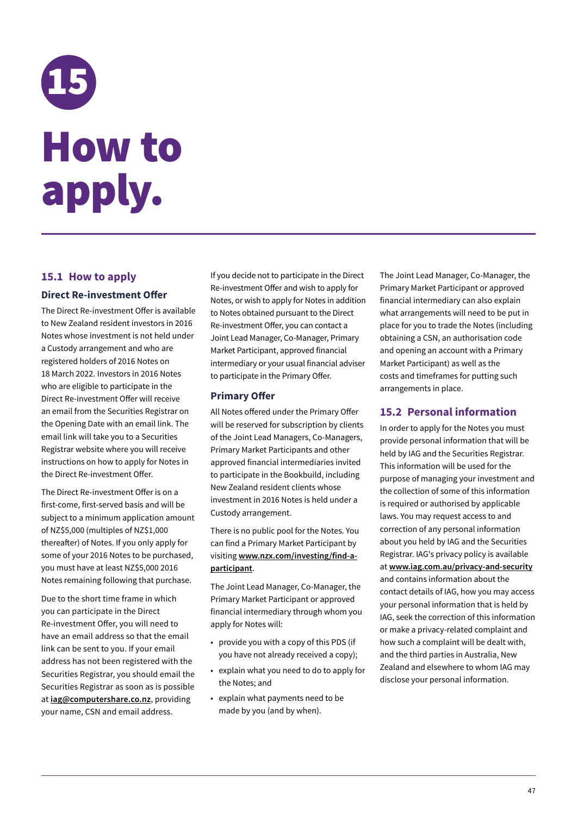## <span id="page-50-0"></span>15 How to apply.

### **15.1 How to apply**

### **Direct Re-investment Offer**

The Direct Re-investment Offer is available to New Zealand resident investors in 2016 Notes whose investment is not held under a Custody arrangement and who are registered holders of 2016 Notes on 18 March 2022. Investors in 2016 Notes who are eligible to participate in the Direct Re-investment Offer will receive an email from the Securities Registrar on the Opening Date with an email link. The email link will take you to a Securities Registrar website where you will receive instructions on how to apply for Notes in the Direct Re-investment Offer.

The Direct Re-investment Offer is on a first-come, first-served basis and will be subject to a minimum application amount of NZ\$5,000 (multiples of NZ\$1,000 thereafter) of Notes. If you only apply for some of your 2016 Notes to be purchased, you must have at least NZ\$5,000 2016 Notes remaining following that purchase.

Due to the short time frame in which you can participate in the Direct Re-investment Offer, you will need to have an email address so that the email link can be sent to you. If your email address has not been registered with the Securities Registrar, you should email the Securities Registrar as soon as is possible at **iag@computershare.co.nz**, providing your name, CSN and email address.

If you decide not to participate in the Direct Re-investment Offer and wish to apply for Notes, or wish to apply for Notes in addition to Notes obtained pursuant to the Direct Re-investment Offer, you can contact a Joint Lead Manager, Co-Manager, Primary Market Participant, approved financial intermediary or your usual financial adviser to participate in the Primary Offer.

### **Primary Offer**

All Notes offered under the Primary Offer will be reserved for subscription by clients of the Joint Lead Managers, Co-Managers, Primary Market Participants and other approved financial intermediaries invited to participate in the Bookbuild, including New Zealand resident clients whose investment in 2016 Notes is held under a Custody arrangement.

There is no public pool for the Notes. You can find a Primary Market Participant by visiting **[www.nzx.com/investing/find-a](http://www.nzx.com/investing/find-a-participant)[participant](http://www.nzx.com/investing/find-a-participant)**.

The Joint Lead Manager, Co-Manager, the Primary Market Participant or approved financial intermediary through whom you apply for Notes will:

- provide you with a copy of this PDS (if you have not already received a copy);
- explain what you need to do to apply for the Notes; and
- explain what payments need to be made by you (and by when).

The Joint Lead Manager, Co-Manager, the Primary Market Participant or approved financial intermediary can also explain what arrangements will need to be put in place for you to trade the Notes (including obtaining a CSN, an authorisation code and opening an account with a Primary Market Participant) as well as the costs and timeframes for putting such arrangements in place.

### **15.2 Personal information**

In order to apply for the Notes you must provide personal information that will be held by IAG and the Securities Registrar. This information will be used for the purpose of managing your investment and the collection of some of this information is required or authorised by applicable laws. You may request access to and correction of any personal information about you held by IAG and the Securities Registrar. IAG's privacy policy is available at **www.iag.com.au/privacy-and-security** and contains information about the contact details of IAG, how you may access your personal information that is held by IAG, seek the correction of this information or make a privacy-related complaint and how such a complaint will be dealt with, and the third parties in Australia, New Zealand and elsewhere to whom IAG may disclose your personal information.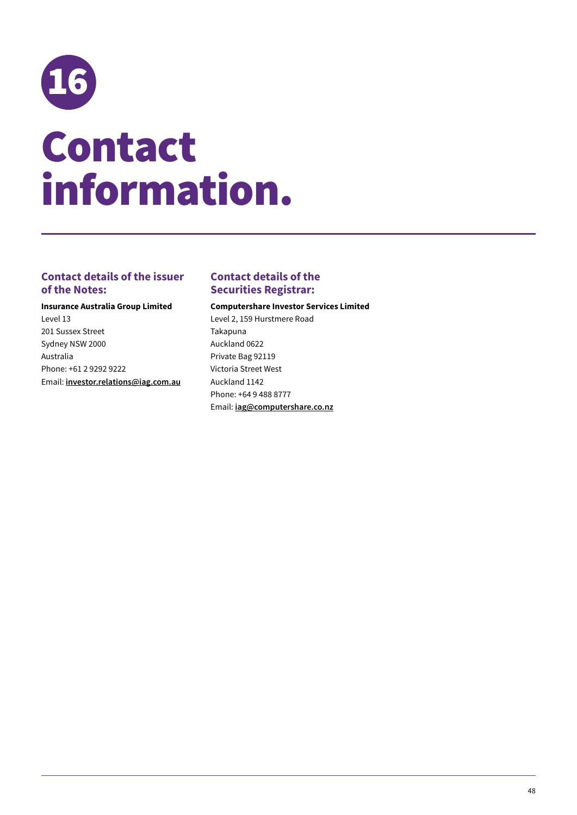<span id="page-51-0"></span>

### **Contact details of the issuer of the Notes:**

**Insurance Australia Group Limited**  Level 13 201 Sussex Street Sydney NSW 2000 Australia Phone: +61 2 9292 9222 Email: **investor.relations@iag.com.au**

### **Contact details of the Securities Registrar:**

#### **Computershare Investor Services Limited**

Level 2, 159 Hurstmere Road Takapuna Auckland 0622 Private Bag 92119 Victoria Street West Auckland 1142 Phone: +64 9 488 8777 Email: **iag@computershare.co.nz**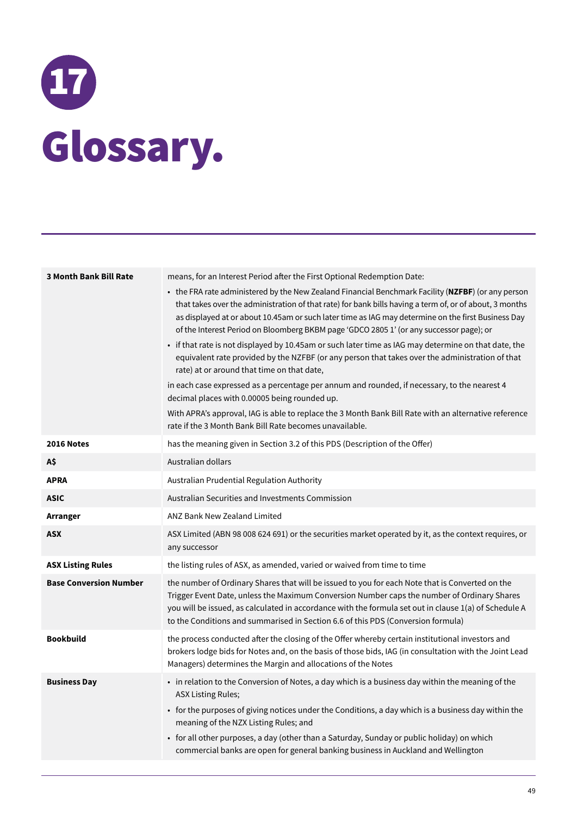# <span id="page-52-0"></span>17 Glossary.

| <b>3 Month Bank Bill Rate</b> | means, for an Interest Period after the First Optional Redemption Date:<br>• the FRA rate administered by the New Zealand Financial Benchmark Facility (NZFBF) (or any person<br>that takes over the administration of that rate) for bank bills having a term of, or of about, 3 months<br>as displayed at or about 10.45am or such later time as IAG may determine on the first Business Day<br>of the Interest Period on Bloomberg BKBM page 'GDCO 2805 1' (or any successor page); or<br>• if that rate is not displayed by 10.45am or such later time as IAG may determine on that date, the<br>equivalent rate provided by the NZFBF (or any person that takes over the administration of that<br>rate) at or around that time on that date,<br>in each case expressed as a percentage per annum and rounded, if necessary, to the nearest 4<br>decimal places with 0.00005 being rounded up.<br>With APRA's approval, IAG is able to replace the 3 Month Bank Bill Rate with an alternative reference<br>rate if the 3 Month Bank Bill Rate becomes unavailable. |
|-------------------------------|-------------------------------------------------------------------------------------------------------------------------------------------------------------------------------------------------------------------------------------------------------------------------------------------------------------------------------------------------------------------------------------------------------------------------------------------------------------------------------------------------------------------------------------------------------------------------------------------------------------------------------------------------------------------------------------------------------------------------------------------------------------------------------------------------------------------------------------------------------------------------------------------------------------------------------------------------------------------------------------------------------------------------------------------------------------------------|
| 2016 Notes                    | has the meaning given in Section 3.2 of this PDS (Description of the Offer)                                                                                                                                                                                                                                                                                                                                                                                                                                                                                                                                                                                                                                                                                                                                                                                                                                                                                                                                                                                             |
| A\$                           | Australian dollars                                                                                                                                                                                                                                                                                                                                                                                                                                                                                                                                                                                                                                                                                                                                                                                                                                                                                                                                                                                                                                                      |
| <b>APRA</b>                   | Australian Prudential Regulation Authority                                                                                                                                                                                                                                                                                                                                                                                                                                                                                                                                                                                                                                                                                                                                                                                                                                                                                                                                                                                                                              |
| <b>ASIC</b>                   | Australian Securities and Investments Commission                                                                                                                                                                                                                                                                                                                                                                                                                                                                                                                                                                                                                                                                                                                                                                                                                                                                                                                                                                                                                        |
| Arranger                      | <b>ANZ Bank New Zealand Limited</b>                                                                                                                                                                                                                                                                                                                                                                                                                                                                                                                                                                                                                                                                                                                                                                                                                                                                                                                                                                                                                                     |
| <b>ASX</b>                    | ASX Limited (ABN 98 008 624 691) or the securities market operated by it, as the context requires, or<br>any successor                                                                                                                                                                                                                                                                                                                                                                                                                                                                                                                                                                                                                                                                                                                                                                                                                                                                                                                                                  |
| <b>ASX Listing Rules</b>      | the listing rules of ASX, as amended, varied or waived from time to time                                                                                                                                                                                                                                                                                                                                                                                                                                                                                                                                                                                                                                                                                                                                                                                                                                                                                                                                                                                                |
| <b>Base Conversion Number</b> | the number of Ordinary Shares that will be issued to you for each Note that is Converted on the<br>Trigger Event Date, unless the Maximum Conversion Number caps the number of Ordinary Shares<br>you will be issued, as calculated in accordance with the formula set out in clause 1(a) of Schedule A<br>to the Conditions and summarised in Section 6.6 of this PDS (Conversion formula)                                                                                                                                                                                                                                                                                                                                                                                                                                                                                                                                                                                                                                                                             |
| <b>Bookbuild</b>              | the process conducted after the closing of the Offer whereby certain institutional investors and<br>brokers lodge bids for Notes and, on the basis of those bids, IAG (in consultation with the Joint Lead<br>Managers) determines the Margin and allocations of the Notes                                                                                                                                                                                                                                                                                                                                                                                                                                                                                                                                                                                                                                                                                                                                                                                              |
| <b>Business Day</b>           | • in relation to the Conversion of Notes, a day which is a business day within the meaning of the<br><b>ASX Listing Rules;</b><br>• for the purposes of giving notices under the Conditions, a day which is a business day within the<br>meaning of the NZX Listing Rules; and<br>• for all other purposes, a day (other than a Saturday, Sunday or public holiday) on which<br>commercial banks are open for general banking business in Auckland and Wellington                                                                                                                                                                                                                                                                                                                                                                                                                                                                                                                                                                                                       |
|                               |                                                                                                                                                                                                                                                                                                                                                                                                                                                                                                                                                                                                                                                                                                                                                                                                                                                                                                                                                                                                                                                                         |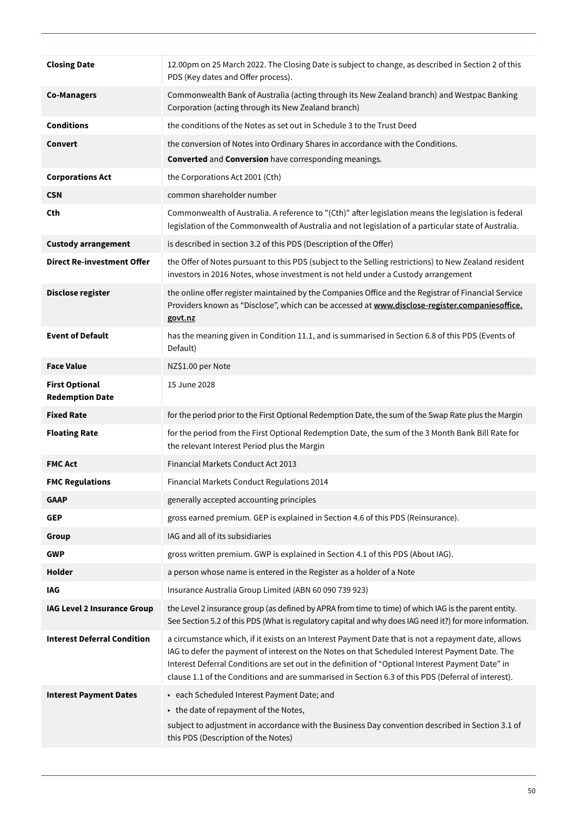| <b>Closing Date</b>                             | 12.00pm on 25 March 2022. The Closing Date is subject to change, as described in Section 2 of this<br>PDS (Key dates and Offer process).                                                                                                                                                                                                                                                                         |
|-------------------------------------------------|------------------------------------------------------------------------------------------------------------------------------------------------------------------------------------------------------------------------------------------------------------------------------------------------------------------------------------------------------------------------------------------------------------------|
| <b>Co-Managers</b>                              | Commonwealth Bank of Australia (acting through its New Zealand branch) and Westpac Banking<br>Corporation (acting through its New Zealand branch)                                                                                                                                                                                                                                                                |
| <b>Conditions</b>                               | the conditions of the Notes as set out in Schedule 3 to the Trust Deed                                                                                                                                                                                                                                                                                                                                           |
| Convert                                         | the conversion of Notes into Ordinary Shares in accordance with the Conditions.                                                                                                                                                                                                                                                                                                                                  |
|                                                 | <b>Converted and Conversion have corresponding meanings.</b>                                                                                                                                                                                                                                                                                                                                                     |
| <b>Corporations Act</b>                         | the Corporations Act 2001 (Cth)                                                                                                                                                                                                                                                                                                                                                                                  |
| <b>CSN</b>                                      | common shareholder number                                                                                                                                                                                                                                                                                                                                                                                        |
| <b>Cth</b>                                      | Commonwealth of Australia. A reference to "(Cth)" after legislation means the legislation is federal<br>legislation of the Commonwealth of Australia and not legislation of a particular state of Australia.                                                                                                                                                                                                     |
| <b>Custody arrangement</b>                      | is described in section 3.2 of this PDS (Description of the Offer)                                                                                                                                                                                                                                                                                                                                               |
| <b>Direct Re-investment Offer</b>               | the Offer of Notes pursuant to this PDS (subject to the Selling restrictions) to New Zealand resident<br>investors in 2016 Notes, whose investment is not held under a Custody arrangement                                                                                                                                                                                                                       |
| Disclose register                               | the online offer register maintained by the Companies Office and the Registrar of Financial Service<br>Providers known as "Disclose", which can be accessed at www.disclose-register.companiesoffice.<br>govt.nz                                                                                                                                                                                                 |
| <b>Event of Default</b>                         | has the meaning given in Condition 11.1, and is summarised in Section 6.8 of this PDS (Events of<br>Default)                                                                                                                                                                                                                                                                                                     |
| <b>Face Value</b>                               | NZ\$1.00 per Note                                                                                                                                                                                                                                                                                                                                                                                                |
| <b>First Optional</b><br><b>Redemption Date</b> | 15 June 2028                                                                                                                                                                                                                                                                                                                                                                                                     |
| <b>Fixed Rate</b>                               | for the period prior to the First Optional Redemption Date, the sum of the Swap Rate plus the Margin                                                                                                                                                                                                                                                                                                             |
| <b>Floating Rate</b>                            | for the period from the First Optional Redemption Date, the sum of the 3 Month Bank Bill Rate for<br>the relevant Interest Period plus the Margin                                                                                                                                                                                                                                                                |
| <b>FMC Act</b>                                  | Financial Markets Conduct Act 2013                                                                                                                                                                                                                                                                                                                                                                               |
| <b>FMC Regulations</b>                          | Financial Markets Conduct Regulations 2014                                                                                                                                                                                                                                                                                                                                                                       |
| <b>GAAP</b>                                     | generally accepted accounting principles                                                                                                                                                                                                                                                                                                                                                                         |
| <b>GEP</b>                                      | gross earned premium. GEP is explained in Section 4.6 of this PDS (Reinsurance).                                                                                                                                                                                                                                                                                                                                 |
| Group                                           | IAG and all of its subsidiaries                                                                                                                                                                                                                                                                                                                                                                                  |
| <b>GWP</b>                                      | gross written premium. GWP is explained in Section 4.1 of this PDS (About IAG).                                                                                                                                                                                                                                                                                                                                  |
| Holder                                          | a person whose name is entered in the Register as a holder of a Note                                                                                                                                                                                                                                                                                                                                             |
| IAG                                             | Insurance Australia Group Limited (ABN 60 090 739 923)                                                                                                                                                                                                                                                                                                                                                           |
| IAG Level 2 Insurance Group                     | the Level 2 insurance group (as defined by APRA from time to time) of which IAG is the parent entity.<br>See Section 5.2 of this PDS (What is regulatory capital and why does IAG need it?) for more information.                                                                                                                                                                                                |
| <b>Interest Deferral Condition</b>              | a circumstance which, if it exists on an Interest Payment Date that is not a repayment date, allows<br>IAG to defer the payment of interest on the Notes on that Scheduled Interest Payment Date. The<br>Interest Deferral Conditions are set out in the definition of "Optional Interest Payment Date" in<br>clause 1.1 of the Conditions and are summarised in Section 6.3 of this PDS (Deferral of interest). |
| <b>Interest Payment Dates</b>                   | • each Scheduled Interest Payment Date; and                                                                                                                                                                                                                                                                                                                                                                      |
|                                                 | • the date of repayment of the Notes,                                                                                                                                                                                                                                                                                                                                                                            |
|                                                 | subject to adjustment in accordance with the Business Day convention described in Section 3.1 of<br>this PDS (Description of the Notes)                                                                                                                                                                                                                                                                          |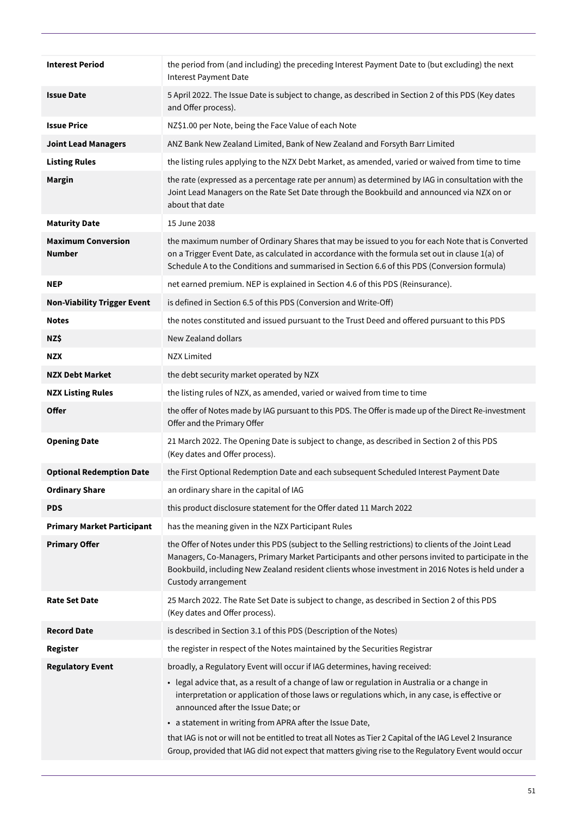| <b>Interest Period</b>              | the period from (and including) the preceding Interest Payment Date to (but excluding) the next<br>Interest Payment Date                                                                                                                                                                                                                                                                                                                                                                                                                                                                             |
|-------------------------------------|------------------------------------------------------------------------------------------------------------------------------------------------------------------------------------------------------------------------------------------------------------------------------------------------------------------------------------------------------------------------------------------------------------------------------------------------------------------------------------------------------------------------------------------------------------------------------------------------------|
| <b>Issue Date</b>                   | 5 April 2022. The Issue Date is subject to change, as described in Section 2 of this PDS (Key dates<br>and Offer process).                                                                                                                                                                                                                                                                                                                                                                                                                                                                           |
| <b>Issue Price</b>                  | NZ\$1.00 per Note, being the Face Value of each Note                                                                                                                                                                                                                                                                                                                                                                                                                                                                                                                                                 |
| <b>Joint Lead Managers</b>          | ANZ Bank New Zealand Limited, Bank of New Zealand and Forsyth Barr Limited                                                                                                                                                                                                                                                                                                                                                                                                                                                                                                                           |
| <b>Listing Rules</b>                | the listing rules applying to the NZX Debt Market, as amended, varied or waived from time to time                                                                                                                                                                                                                                                                                                                                                                                                                                                                                                    |
| <b>Margin</b>                       | the rate (expressed as a percentage rate per annum) as determined by IAG in consultation with the<br>Joint Lead Managers on the Rate Set Date through the Bookbuild and announced via NZX on or<br>about that date                                                                                                                                                                                                                                                                                                                                                                                   |
| <b>Maturity Date</b>                | 15 June 2038                                                                                                                                                                                                                                                                                                                                                                                                                                                                                                                                                                                         |
| <b>Maximum Conversion</b><br>Number | the maximum number of Ordinary Shares that may be issued to you for each Note that is Converted<br>on a Trigger Event Date, as calculated in accordance with the formula set out in clause 1(a) of<br>Schedule A to the Conditions and summarised in Section 6.6 of this PDS (Conversion formula)                                                                                                                                                                                                                                                                                                    |
| <b>NEP</b>                          | net earned premium. NEP is explained in Section 4.6 of this PDS (Reinsurance).                                                                                                                                                                                                                                                                                                                                                                                                                                                                                                                       |
| <b>Non-Viability Trigger Event</b>  | is defined in Section 6.5 of this PDS (Conversion and Write-Off)                                                                                                                                                                                                                                                                                                                                                                                                                                                                                                                                     |
| <b>Notes</b>                        | the notes constituted and issued pursuant to the Trust Deed and offered pursuant to this PDS                                                                                                                                                                                                                                                                                                                                                                                                                                                                                                         |
| NZ\$                                | New Zealand dollars                                                                                                                                                                                                                                                                                                                                                                                                                                                                                                                                                                                  |
| <b>NZX</b>                          | <b>NZX Limited</b>                                                                                                                                                                                                                                                                                                                                                                                                                                                                                                                                                                                   |
| <b>NZX Debt Market</b>              | the debt security market operated by NZX                                                                                                                                                                                                                                                                                                                                                                                                                                                                                                                                                             |
| <b>NZX Listing Rules</b>            | the listing rules of NZX, as amended, varied or waived from time to time                                                                                                                                                                                                                                                                                                                                                                                                                                                                                                                             |
| <b>Offer</b>                        | the offer of Notes made by IAG pursuant to this PDS. The Offer is made up of the Direct Re-investment<br>Offer and the Primary Offer                                                                                                                                                                                                                                                                                                                                                                                                                                                                 |
| <b>Opening Date</b>                 | 21 March 2022. The Opening Date is subject to change, as described in Section 2 of this PDS<br>(Key dates and Offer process).                                                                                                                                                                                                                                                                                                                                                                                                                                                                        |
| <b>Optional Redemption Date</b>     | the First Optional Redemption Date and each subsequent Scheduled Interest Payment Date                                                                                                                                                                                                                                                                                                                                                                                                                                                                                                               |
| <b>Ordinary Share</b>               | an ordinary share in the capital of IAG                                                                                                                                                                                                                                                                                                                                                                                                                                                                                                                                                              |
| <b>PDS</b>                          | this product disclosure statement for the Offer dated 11 March 2022                                                                                                                                                                                                                                                                                                                                                                                                                                                                                                                                  |
| <b>Primary Market Participant</b>   | has the meaning given in the NZX Participant Rules                                                                                                                                                                                                                                                                                                                                                                                                                                                                                                                                                   |
| <b>Primary Offer</b>                | the Offer of Notes under this PDS (subject to the Selling restrictions) to clients of the Joint Lead<br>Managers, Co-Managers, Primary Market Participants and other persons invited to participate in the<br>Bookbuild, including New Zealand resident clients whose investment in 2016 Notes is held under a<br>Custody arrangement                                                                                                                                                                                                                                                                |
| <b>Rate Set Date</b>                | 25 March 2022. The Rate Set Date is subject to change, as described in Section 2 of this PDS<br>(Key dates and Offer process).                                                                                                                                                                                                                                                                                                                                                                                                                                                                       |
| <b>Record Date</b>                  | is described in Section 3.1 of this PDS (Description of the Notes)                                                                                                                                                                                                                                                                                                                                                                                                                                                                                                                                   |
| <b>Register</b>                     | the register in respect of the Notes maintained by the Securities Registrar                                                                                                                                                                                                                                                                                                                                                                                                                                                                                                                          |
| <b>Regulatory Event</b>             | broadly, a Regulatory Event will occur if IAG determines, having received:<br>• legal advice that, as a result of a change of law or regulation in Australia or a change in<br>interpretation or application of those laws or regulations which, in any case, is effective or<br>announced after the Issue Date; or<br>• a statement in writing from APRA after the Issue Date,<br>that IAG is not or will not be entitled to treat all Notes as Tier 2 Capital of the IAG Level 2 Insurance<br>Group, provided that IAG did not expect that matters giving rise to the Regulatory Event would occur |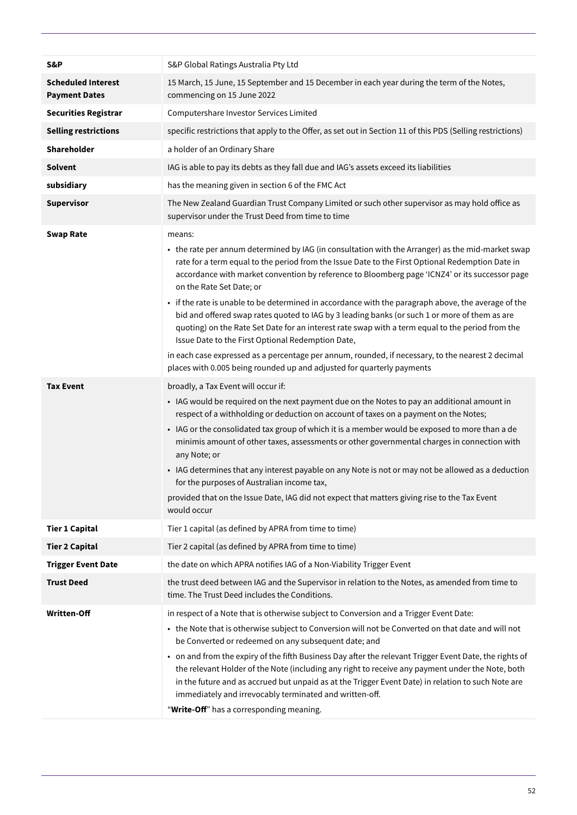| S&P                                               | S&P Global Ratings Australia Pty Ltd                                                                                                                                                                                                                                                                                                                                                                                                                                                                                                                                                                                                                                                                                                                                                                                                                                                                                                                                                                                                                                                                                                                                                                                                                                                                                                                                                                                                                                                                                                                                                              |
|---------------------------------------------------|---------------------------------------------------------------------------------------------------------------------------------------------------------------------------------------------------------------------------------------------------------------------------------------------------------------------------------------------------------------------------------------------------------------------------------------------------------------------------------------------------------------------------------------------------------------------------------------------------------------------------------------------------------------------------------------------------------------------------------------------------------------------------------------------------------------------------------------------------------------------------------------------------------------------------------------------------------------------------------------------------------------------------------------------------------------------------------------------------------------------------------------------------------------------------------------------------------------------------------------------------------------------------------------------------------------------------------------------------------------------------------------------------------------------------------------------------------------------------------------------------------------------------------------------------------------------------------------------------|
| <b>Scheduled Interest</b><br><b>Payment Dates</b> | 15 March, 15 June, 15 September and 15 December in each year during the term of the Notes,<br>commencing on 15 June 2022                                                                                                                                                                                                                                                                                                                                                                                                                                                                                                                                                                                                                                                                                                                                                                                                                                                                                                                                                                                                                                                                                                                                                                                                                                                                                                                                                                                                                                                                          |
| <b>Securities Registrar</b>                       | Computershare Investor Services Limited                                                                                                                                                                                                                                                                                                                                                                                                                                                                                                                                                                                                                                                                                                                                                                                                                                                                                                                                                                                                                                                                                                                                                                                                                                                                                                                                                                                                                                                                                                                                                           |
| <b>Selling restrictions</b>                       | specific restrictions that apply to the Offer, as set out in Section 11 of this PDS (Selling restrictions)                                                                                                                                                                                                                                                                                                                                                                                                                                                                                                                                                                                                                                                                                                                                                                                                                                                                                                                                                                                                                                                                                                                                                                                                                                                                                                                                                                                                                                                                                        |
| Shareholder                                       | a holder of an Ordinary Share                                                                                                                                                                                                                                                                                                                                                                                                                                                                                                                                                                                                                                                                                                                                                                                                                                                                                                                                                                                                                                                                                                                                                                                                                                                                                                                                                                                                                                                                                                                                                                     |
| <b>Solvent</b>                                    | IAG is able to pay its debts as they fall due and IAG's assets exceed its liabilities                                                                                                                                                                                                                                                                                                                                                                                                                                                                                                                                                                                                                                                                                                                                                                                                                                                                                                                                                                                                                                                                                                                                                                                                                                                                                                                                                                                                                                                                                                             |
| subsidiary                                        | has the meaning given in section 6 of the FMC Act                                                                                                                                                                                                                                                                                                                                                                                                                                                                                                                                                                                                                                                                                                                                                                                                                                                                                                                                                                                                                                                                                                                                                                                                                                                                                                                                                                                                                                                                                                                                                 |
| <b>Supervisor</b>                                 | The New Zealand Guardian Trust Company Limited or such other supervisor as may hold office as<br>supervisor under the Trust Deed from time to time                                                                                                                                                                                                                                                                                                                                                                                                                                                                                                                                                                                                                                                                                                                                                                                                                                                                                                                                                                                                                                                                                                                                                                                                                                                                                                                                                                                                                                                |
| <b>Swap Rate</b><br><b>Tax Event</b>              | means:<br>• the rate per annum determined by IAG (in consultation with the Arranger) as the mid-market swap<br>rate for a term equal to the period from the Issue Date to the First Optional Redemption Date in<br>accordance with market convention by reference to Bloomberg page 'ICNZ4' or its successor page<br>on the Rate Set Date; or<br>• if the rate is unable to be determined in accordance with the paragraph above, the average of the<br>bid and offered swap rates quoted to IAG by 3 leading banks (or such 1 or more of them as are<br>quoting) on the Rate Set Date for an interest rate swap with a term equal to the period from the<br>Issue Date to the First Optional Redemption Date,<br>in each case expressed as a percentage per annum, rounded, if necessary, to the nearest 2 decimal<br>places with 0.005 being rounded up and adjusted for quarterly payments<br>broadly, a Tax Event will occur if:<br>• IAG would be required on the next payment due on the Notes to pay an additional amount in<br>respect of a withholding or deduction on account of taxes on a payment on the Notes;<br>• IAG or the consolidated tax group of which it is a member would be exposed to more than a de<br>minimis amount of other taxes, assessments or other governmental charges in connection with<br>any Note; or<br>• IAG determines that any interest payable on any Note is not or may not be allowed as a deduction<br>for the purposes of Australian income tax,<br>provided that on the Issue Date, IAG did not expect that matters giving rise to the Tax Event |
|                                                   | would occur                                                                                                                                                                                                                                                                                                                                                                                                                                                                                                                                                                                                                                                                                                                                                                                                                                                                                                                                                                                                                                                                                                                                                                                                                                                                                                                                                                                                                                                                                                                                                                                       |
| <b>Tier 1 Capital</b>                             | Tier 1 capital (as defined by APRA from time to time)                                                                                                                                                                                                                                                                                                                                                                                                                                                                                                                                                                                                                                                                                                                                                                                                                                                                                                                                                                                                                                                                                                                                                                                                                                                                                                                                                                                                                                                                                                                                             |
| <b>Tier 2 Capital</b>                             | Tier 2 capital (as defined by APRA from time to time)                                                                                                                                                                                                                                                                                                                                                                                                                                                                                                                                                                                                                                                                                                                                                                                                                                                                                                                                                                                                                                                                                                                                                                                                                                                                                                                                                                                                                                                                                                                                             |
| <b>Trigger Event Date</b><br><b>Trust Deed</b>    | the date on which APRA notifies IAG of a Non-Viability Trigger Event<br>the trust deed between IAG and the Supervisor in relation to the Notes, as amended from time to                                                                                                                                                                                                                                                                                                                                                                                                                                                                                                                                                                                                                                                                                                                                                                                                                                                                                                                                                                                                                                                                                                                                                                                                                                                                                                                                                                                                                           |
|                                                   | time. The Trust Deed includes the Conditions.                                                                                                                                                                                                                                                                                                                                                                                                                                                                                                                                                                                                                                                                                                                                                                                                                                                                                                                                                                                                                                                                                                                                                                                                                                                                                                                                                                                                                                                                                                                                                     |
| <b>Written-Off</b>                                | in respect of a Note that is otherwise subject to Conversion and a Trigger Event Date:<br>• the Note that is otherwise subject to Conversion will not be Converted on that date and will not<br>be Converted or redeemed on any subsequent date; and<br>• on and from the expiry of the fifth Business Day after the relevant Trigger Event Date, the rights of<br>the relevant Holder of the Note (including any right to receive any payment under the Note, both<br>in the future and as accrued but unpaid as at the Trigger Event Date) in relation to such Note are<br>immediately and irrevocably terminated and written-off.<br>"Write-Off" has a corresponding meaning.                                                                                                                                                                                                                                                                                                                                                                                                                                                                                                                                                                                                                                                                                                                                                                                                                                                                                                                  |